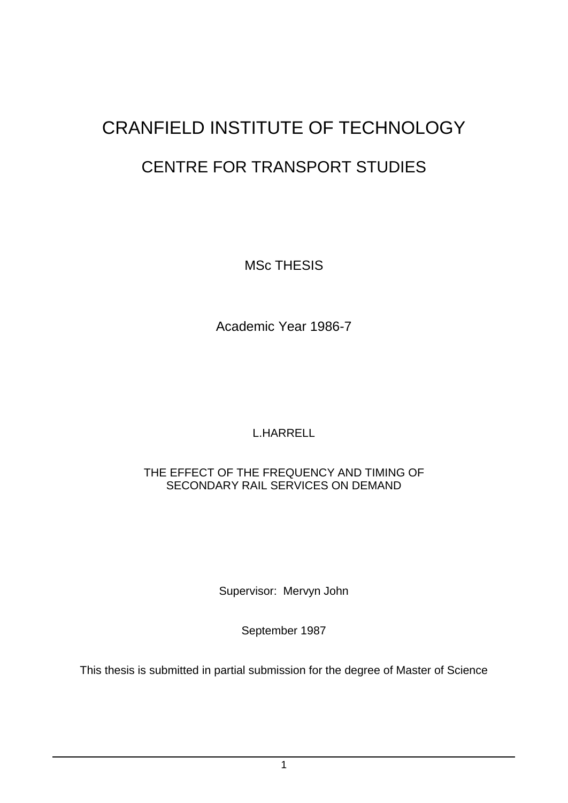# CRANFIELD INSTITUTE OF TECHNOLOGY CENTRE FOR TRANSPORT STUDIES

MSc THESIS

Academic Year 1986-7

L.HARRELL

# THE EFFECT OF THE FREQUENCY AND TIMING OF SECONDARY RAIL SERVICES ON DEMAND

Supervisor: Mervyn John

September 1987

This thesis is submitted in partial submission for the degree of Master of Science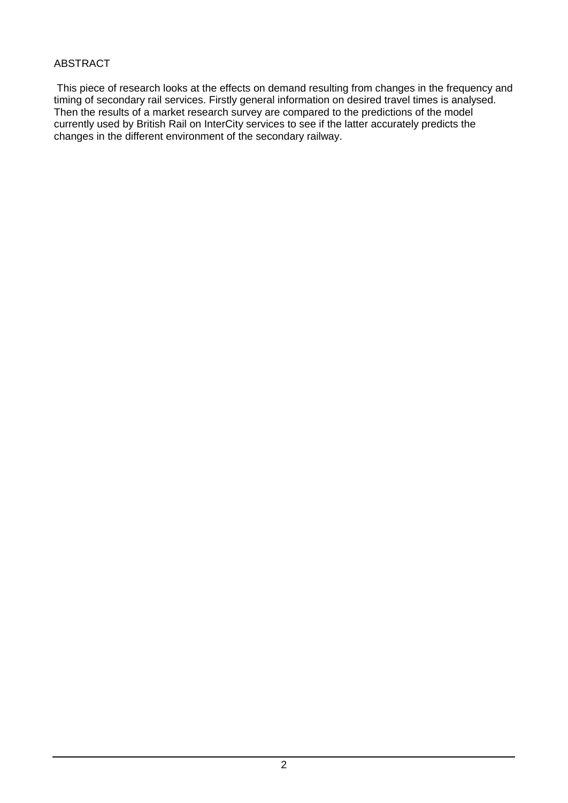#### ABSTRACT

This piece of research looks at the effects on demand resulting from changes in the frequency and timing of secondary rail services. Firstly general information on desired travel times is analysed. Then the results of a market research survey are compared to the predictions of the model currently used by British Rail on InterCity services to see if the latter accurately predicts the changes in the different environment of the secondary railway.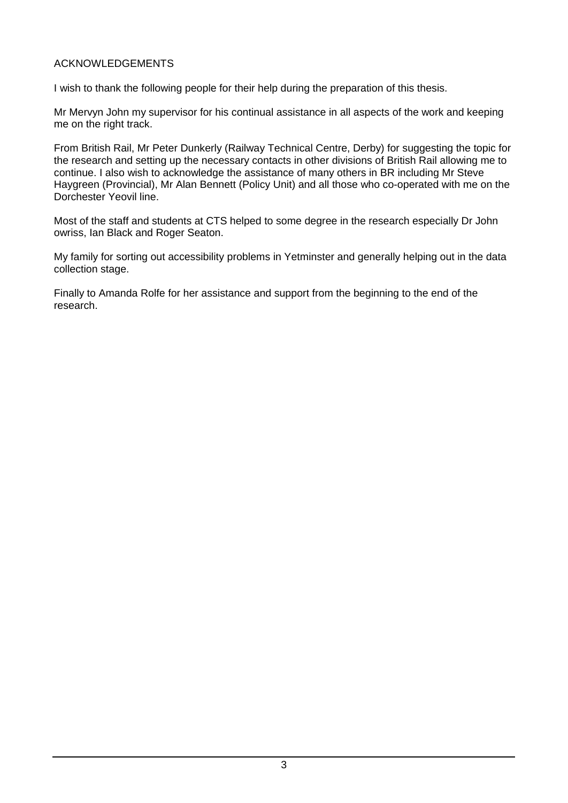#### ACKNOWLEDGEMENTS

I wish to thank the following people for their help during the preparation of this thesis.

Mr Mervyn John my supervisor for his continual assistance in all aspects of the work and keeping me on the right track.

From British Rail, Mr Peter Dunkerly (Railway Technical Centre, Derby) for suggesting the topic for the research and setting up the necessary contacts in other divisions of British Rail allowing me to continue. I also wish to acknowledge the assistance of many others in BR including Mr Steve Haygreen (Provincial), Mr Alan Bennett (Policy Unit) and all those who co-operated with me on the Dorchester Yeovil line.

Most of the staff and students at CTS helped to some degree in the research especially Dr John owriss, Ian Black and Roger Seaton.

My family for sorting out accessibility problems in Yetminster and generally helping out in the data collection stage.

Finally to Amanda Rolfe for her assistance and support from the beginning to the end of the research.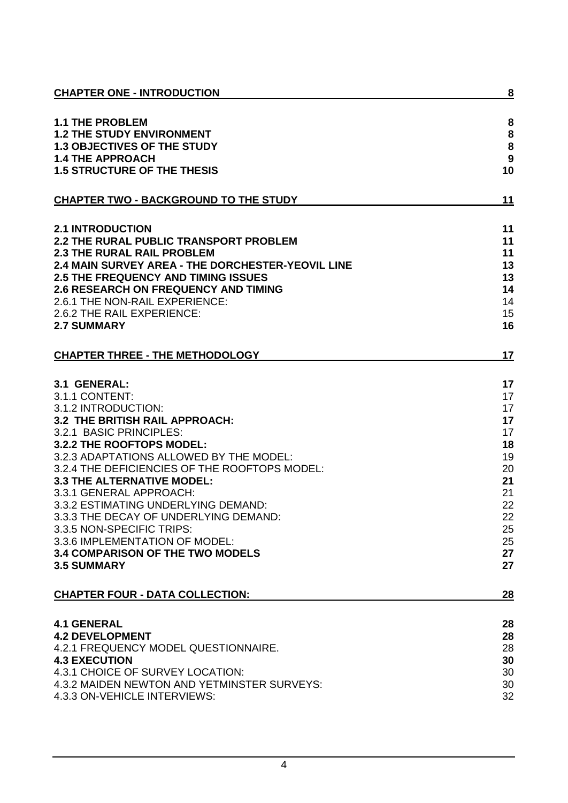| <b>CHAPTER ONE - INTRODUCTION</b>                 | 8                |
|---------------------------------------------------|------------------|
| <b>1.1 THE PROBLEM</b>                            | 8                |
| <b>1.2 THE STUDY ENVIRONMENT</b>                  | 8                |
| <b>1.3 OBJECTIVES OF THE STUDY</b>                | 8                |
| <b>1.4 THE APPROACH</b>                           | $\boldsymbol{9}$ |
| <b>1.5 STRUCTURE OF THE THESIS</b>                | 10               |
| <b>CHAPTER TWO - BACKGROUND TO THE STUDY</b>      | 11               |
| <b>2.1 INTRODUCTION</b>                           | 11               |
| <b>2.2 THE RURAL PUBLIC TRANSPORT PROBLEM</b>     | 11               |
| <b>2.3 THE RURAL RAIL PROBLEM</b>                 | 11               |
| 2.4 MAIN SURVEY AREA - THE DORCHESTER-YEOVIL LINE | 13               |
| <b>2.5 THE FREQUENCY AND TIMING ISSUES</b>        | 13               |
| <b>2.6 RESEARCH ON FREQUENCY AND TIMING</b>       | 14               |
| 2.6.1 THE NON-RAIL EXPERIENCE:                    | 14               |
| 2.6.2 THE RAIL EXPERIENCE:                        | 15               |
| <b>2.7 SUMMARY</b>                                | 16               |
| <b>CHAPTER THREE - THE METHODOLOGY</b>            | 17               |
|                                                   |                  |
| 3.1 GENERAL:                                      | 17               |
| 3.1.1 CONTENT:                                    | 17               |
| 3.1.2 INTRODUCTION:                               | 17               |
| 3.2 THE BRITISH RAIL APPROACH:                    | 17               |
| 3.2.1 BASIC PRINCIPLES:                           | 17               |
| 3.2.2 THE ROOFTOPS MODEL:                         | 18               |
| 3.2.3 ADAPTATIONS ALLOWED BY THE MODEL:           | 19               |
| 3.2.4 THE DEFICIENCIES OF THE ROOFTOPS MODEL:     | 20               |
| <b>3.3 THE ALTERNATIVE MODEL:</b>                 | 21               |
| 3.3.1 GENERAL APPROACH:                           | 21               |
| 3.3.2 ESTIMATING UNDERLYING DEMAND:               | 22               |
| 3.3.3 THE DECAY OF UNDERLYING DEMAND:             | 22               |
| 3.3.5 NON-SPECIFIC TRIPS:                         | 25               |
| 3.3.6 IMPLEMENTATION OF MODEL:                    | 25               |
| <b>3.4 COMPARISON OF THE TWO MODELS</b>           | 27               |
| <b>3.5 SUMMARY</b>                                | 27               |
| <b>CHAPTER FOUR - DATA COLLECTION:</b>            | 28               |
| <b>4.1 GENERAL</b>                                | 28               |
| <b>4.2 DEVELOPMENT</b>                            | 28               |
| 4.2.1 FREQUENCY MODEL QUESTIONNAIRE.              | 28               |
| <b>4.3 EXECUTION</b>                              | 30               |
| 4.3.1 CHOICE OF SURVEY LOCATION:                  | 30               |
| 4.3.2 MAIDEN NEWTON AND YETMINSTER SURVEYS:       | 30               |
| 4.3.3 ON-VEHICLE INTERVIEWS:                      | 32               |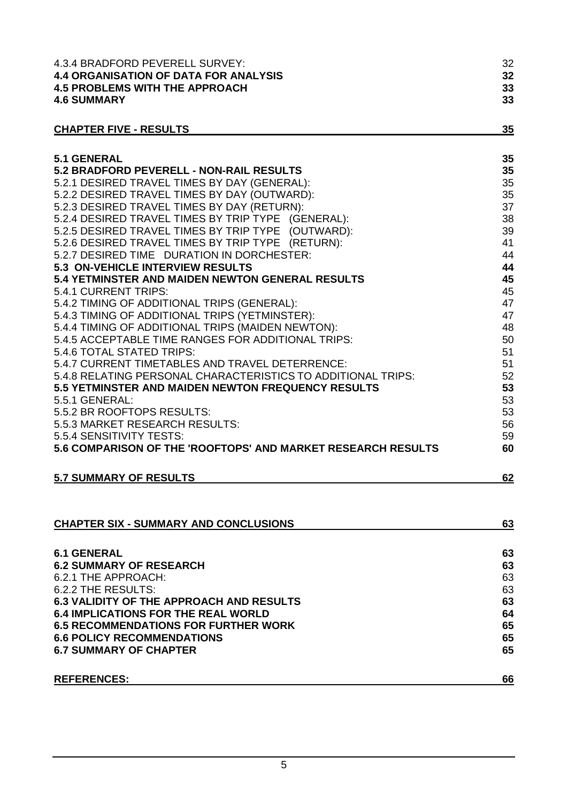| 4.3.4 BRADFORD PEVERELL SURVEY:                              | 32 |
|--------------------------------------------------------------|----|
| <b>4.4 ORGANISATION OF DATA FOR ANALYSIS</b>                 | 32 |
| <b>4.5 PROBLEMS WITH THE APPROACH</b>                        | 33 |
| <b>4.6 SUMMARY</b>                                           | 33 |
|                                                              |    |
| <b>CHAPTER FIVE - RESULTS</b>                                | 35 |
|                                                              |    |
| <b>5.1 GENERAL</b>                                           | 35 |
| <b>5.2 BRADFORD PEVERELL - NON-RAIL RESULTS</b>              | 35 |
| 5.2.1 DESIRED TRAVEL TIMES BY DAY (GENERAL):                 | 35 |
| 5.2.2 DESIRED TRAVEL TIMES BY DAY (OUTWARD):                 | 35 |
| 5.2.3 DESIRED TRAVEL TIMES BY DAY (RETURN):                  | 37 |
| 5.2.4 DESIRED TRAVEL TIMES BY TRIP TYPE (GENERAL):           | 38 |
| 5.2.5 DESIRED TRAVEL TIMES BY TRIP TYPE (OUTWARD):           | 39 |
| 5.2.6 DESIRED TRAVEL TIMES BY TRIP TYPE (RETURN):            | 41 |
| 5.2.7 DESIRED TIME DURATION IN DORCHESTER:                   | 44 |
| 5.3 ON-VEHICLE INTERVIEW RESULTS                             | 44 |
| 5.4 YETMINSTER AND MAIDEN NEWTON GENERAL RESULTS             | 45 |
| 5.4.1 CURRENT TRIPS:                                         | 45 |
| 5.4.2 TIMING OF ADDITIONAL TRIPS (GENERAL):                  | 47 |
| 5.4.3 TIMING OF ADDITIONAL TRIPS (YETMINSTER):               | 47 |
| 5.4.4 TIMING OF ADDITIONAL TRIPS (MAIDEN NEWTON):            | 48 |
| 5.4.5 ACCEPTABLE TIME RANGES FOR ADDITIONAL TRIPS:           | 50 |
| 5.4.6 TOTAL STATED TRIPS:                                    | 51 |
| 5.4.7 CURRENT TIMETABLES AND TRAVEL DETERRENCE:              | 51 |
| 5.4.8 RELATING PERSONAL CHARACTERISTICS TO ADDITIONAL TRIPS: | 52 |
| 5.5 YETMINSTER AND MAIDEN NEWTON FREQUENCY RESULTS           | 53 |
| 5.5.1 GENERAL:                                               | 53 |
| 5.5.2 BR ROOFTOPS RESULTS:                                   | 53 |
| 5.5.3 MARKET RESEARCH RESULTS:                               | 56 |
| 5.5.4 SENSITIVITY TESTS:                                     | 59 |
| 5.6 COMPARISON OF THE 'ROOFTOPS' AND MARKET RESEARCH RESULTS | 60 |
|                                                              |    |
| <b>5.7 SUMMARY OF RESULTS</b>                                | 62 |
|                                                              |    |
|                                                              |    |
| <b>CHAPTER SIX - SUMMARY AND CONCLUSIONS</b>                 | 63 |
|                                                              |    |
| <b>6.1 GENERAL</b>                                           | 63 |
| 6.2 SUMMARY OF RESEARCH                                      | 63 |
| 6.2.1 THE APPROACH:                                          | 63 |
| 6.2.2 THE RESULTS:                                           | 63 |
| <b>6.3 VALIDITY OF THE APPROACH AND RESULTS</b>              | 63 |
| <b>6.4 IMPLICATIONS FOR THE REAL WORLD</b>                   | 64 |
| 6.5 RECOMMENDATIONS FOR FURTHER WORK                         | 65 |
| <b>6.6 POLICY RECOMMENDATIONS</b>                            | 65 |
| <b>6.7 SUMMARY OF CHAPTER</b>                                | 65 |
|                                                              |    |
|                                                              |    |

# **REFERENCES: 66**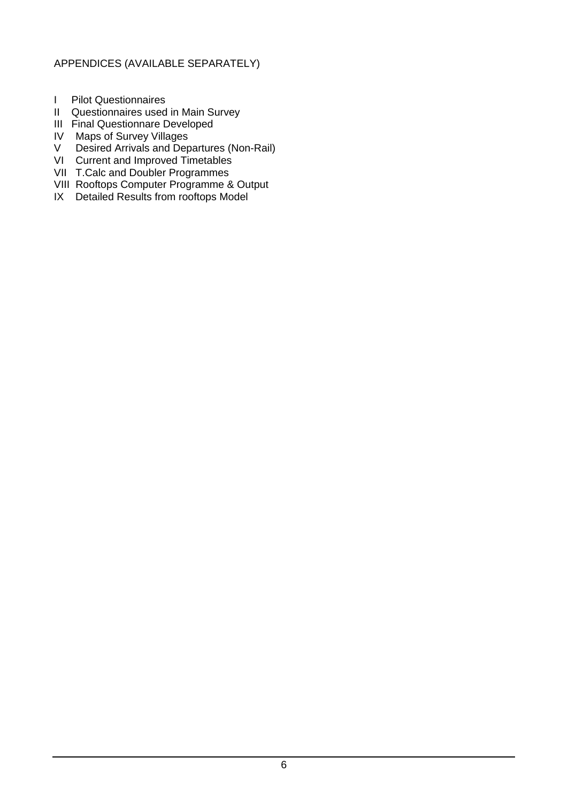#### APPENDICES (AVAILABLE SEPARATELY)

- I Pilot Questionnaires
- II Questionnaires used in Main Survey
- III Final Questionnare Developed
- IV Maps of Survey Villages
- V Desired Arrivals and Departures (Non-Rail)
- VI Current and Improved Timetables
- VII T.Calc and Doubler Programmes
- VIII Rooftops Computer Programme & Output
- IX Detailed Results from rooftops Model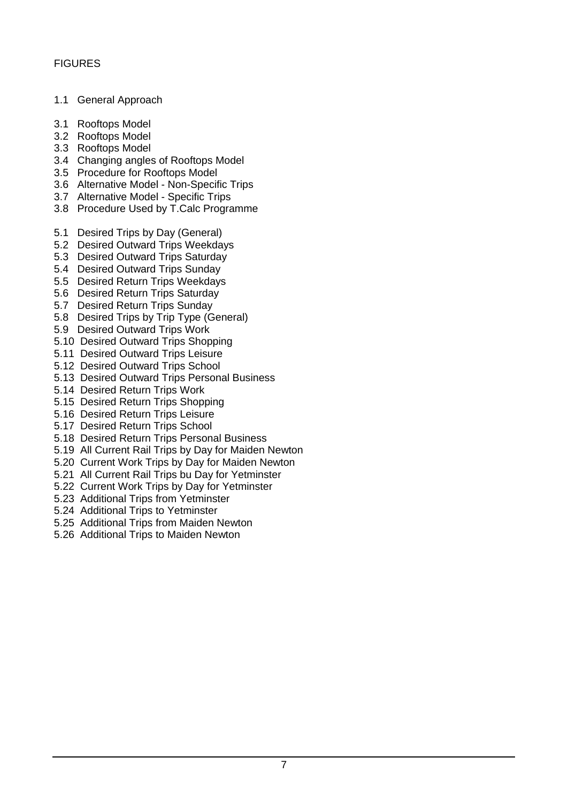- 1.1 General Approach
- 3.1 Rooftops Model
- 3.2 Rooftops Model
- 3.3 Rooftops Model
- 3.4 Changing angles of Rooftops Model
- 3.5 Procedure for Rooftops Model
- 3.6 Alternative Model Non-Specific Trips
- 3.7 Alternative Model Specific Trips
- 3.8 Procedure Used by T.Calc Programme
- 5.1 Desired Trips by Day (General)
- 5.2 Desired Outward Trips Weekdays
- 5.3 Desired Outward Trips Saturday
- 5.4 Desired Outward Trips Sunday
- 5.5 Desired Return Trips Weekdays
- 5.6 Desired Return Trips Saturday
- 5.7 Desired Return Trips Sunday
- 5.8 Desired Trips by Trip Type (General)
- 5.9 Desired Outward Trips Work
- 5.10 Desired Outward Trips Shopping
- 5.11 Desired Outward Trips Leisure
- 5.12 Desired Outward Trips School
- 5.13 Desired Outward Trips Personal Business
- 5.14 Desired Return Trips Work
- 5.15 Desired Return Trips Shopping
- 5.16 Desired Return Trips Leisure
- 5.17 Desired Return Trips School
- 5.18 Desired Return Trips Personal Business
- 5.19 All Current Rail Trips by Day for Maiden Newton
- 5.20 Current Work Trips by Day for Maiden Newton
- 5.21 All Current Rail Trips bu Day for Yetminster
- 5.22 Current Work Trips by Day for Yetminster
- 5.23 Additional Trips from Yetminster
- 5.24 Additional Trips to Yetminster
- 5.25 Additional Trips from Maiden Newton
- 5.26 Additional Trips to Maiden Newton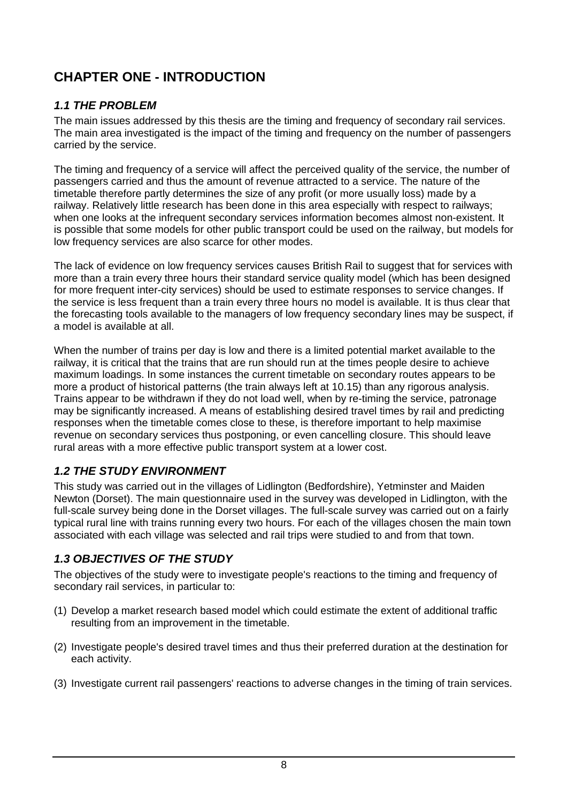# **CHAPTER ONE - INTRODUCTION**

# *1.1 THE PROBLEM*

The main issues addressed by this thesis are the timing and frequency of secondary rail services. The main area investigated is the impact of the timing and frequency on the number of passengers carried by the service.

The timing and frequency of a service will affect the perceived quality of the service, the number of passengers carried and thus the amount of revenue attracted to a service. The nature of the timetable therefore partly determines the size of any profit (or more usually loss) made by a railway. Relatively little research has been done in this area especially with respect to railways; when one looks at the infrequent secondary services information becomes almost non-existent. It is possible that some models for other public transport could be used on the railway, but models for low frequency services are also scarce for other modes.

The lack of evidence on low frequency services causes British Rail to suggest that for services with more than a train every three hours their standard service quality model (which has been designed for more frequent inter-city services) should be used to estimate responses to service changes. If the service is less frequent than a train every three hours no model is available. It is thus clear that the forecasting tools available to the managers of low frequency secondary lines may be suspect, if a model is available at all.

When the number of trains per day is low and there is a limited potential market available to the railway, it is critical that the trains that are run should run at the times people desire to achieve maximum loadings. In some instances the current timetable on secondary routes appears to be more a product of historical patterns (the train always left at 10.15) than any rigorous analysis. Trains appear to be withdrawn if they do not load well, when by re-timing the service, patronage may be significantly increased. A means of establishing desired travel times by rail and predicting responses when the timetable comes close to these, is therefore important to help maximise revenue on secondary services thus postponing, or even cancelling closure. This should leave rural areas with a more effective public transport system at a lower cost.

# *1.2 THE STUDY ENVIRONMENT*

This study was carried out in the villages of Lidlington (Bedfordshire), Yetminster and Maiden Newton (Dorset). The main questionnaire used in the survey was developed in Lidlington, with the full-scale survey being done in the Dorset villages. The full-scale survey was carried out on a fairly typical rural line with trains running every two hours. For each of the villages chosen the main town associated with each village was selected and rail trips were studied to and from that town.

# *1.3 OBJECTIVES OF THE STUDY*

The objectives of the study were to investigate people's reactions to the timing and frequency of secondary rail services, in particular to:

- (1) Develop a market research based model which could estimate the extent of additional traffic resulting from an improvement in the timetable.
- (2) Investigate people's desired travel times and thus their preferred duration at the destination for each activity.
- (3) Investigate current rail passengers' reactions to adverse changes in the timing of train services.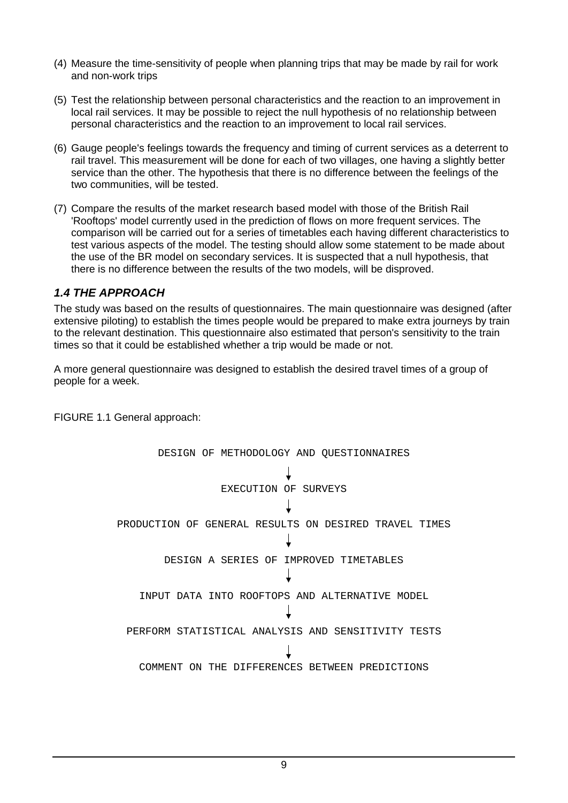- (4) Measure the time-sensitivity of people when planning trips that may be made by rail for work and non-work trips
- (5) Test the relationship between personal characteristics and the reaction to an improvement in local rail services. It may be possible to reject the null hypothesis of no relationship between personal characteristics and the reaction to an improvement to local rail services.
- (6) Gauge people's feelings towards the frequency and timing of current services as a deterrent to rail travel. This measurement will be done for each of two villages, one having a slightly better service than the other. The hypothesis that there is no difference between the feelings of the two communities, will be tested.
- (7) Compare the results of the market research based model with those of the British Rail 'Rooftops' model currently used in the prediction of flows on more frequent services. The comparison will be carried out for a series of timetables each having different characteristics to test various aspects of the model. The testing should allow some statement to be made about the use of the BR model on secondary services. It is suspected that a null hypothesis, that there is no difference between the results of the two models, will be disproved.

#### *1.4 THE APPROACH*

The study was based on the results of questionnaires. The main questionnaire was designed (after extensive piloting) to establish the times people would be prepared to make extra journeys by train to the relevant destination. This questionnaire also estimated that person's sensitivity to the train times so that it could be established whether a trip would be made or not.

A more general questionnaire was designed to establish the desired travel times of a group of people for a week.

DESIGN OF METHODOLOGY AND QUESTIONNAIRES EXECUTION OF SURVEYS PRODUCTION OF GENERAL RESULTS ON DESIRED TRAVEL TIMES DESIGN A SERIES OF IMPROVED TIMETABLES INPUT DATA INTO ROOFTOPS AND ALTERNATIVE MODEL PERFORM STATISTICAL ANALYSIS AND SENSITIVITY TESTS COMMENT ON THE DIFFERENCES BETWEEN PREDICTIONS

FIGURE 1.1 General approach: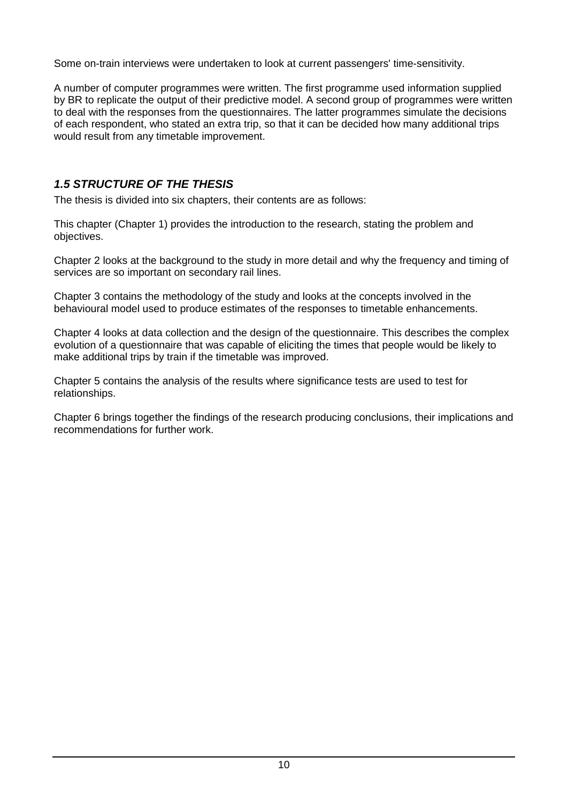Some on-train interviews were undertaken to look at current passengers' time-sensitivity.

A number of computer programmes were written. The first programme used information supplied by BR to replicate the output of their predictive model. A second group of programmes were written to deal with the responses from the questionnaires. The latter programmes simulate the decisions of each respondent, who stated an extra trip, so that it can be decided how many additional trips would result from any timetable improvement.

### *1.5 STRUCTURE OF THE THESIS*

The thesis is divided into six chapters, their contents are as follows:

This chapter (Chapter 1) provides the introduction to the research, stating the problem and objectives.

Chapter 2 looks at the background to the study in more detail and why the frequency and timing of services are so important on secondary rail lines.

Chapter 3 contains the methodology of the study and looks at the concepts involved in the behavioural model used to produce estimates of the responses to timetable enhancements.

Chapter 4 looks at data collection and the design of the questionnaire. This describes the complex evolution of a questionnaire that was capable of eliciting the times that people would be likely to make additional trips by train if the timetable was improved.

Chapter 5 contains the analysis of the results where significance tests are used to test for relationships.

Chapter 6 brings together the findings of the research producing conclusions, their implications and recommendations for further work.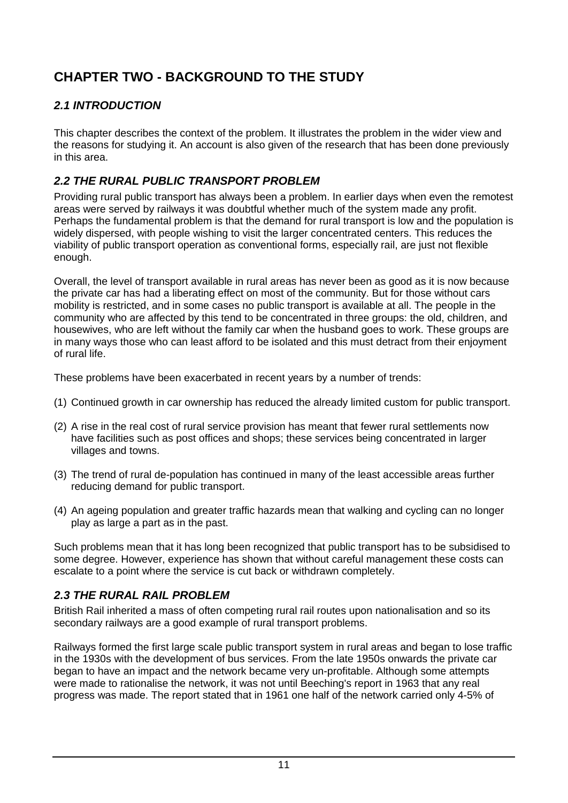# **CHAPTER TWO - BACKGROUND TO THE STUDY**

# *2.1 INTRODUCTION*

This chapter describes the context of the problem. It illustrates the problem in the wider view and the reasons for studying it. An account is also given of the research that has been done previously in this area.

# *2.2 THE RURAL PUBLIC TRANSPORT PROBLEM*

Providing rural public transport has always been a problem. In earlier days when even the remotest areas were served by railways it was doubtful whether much of the system made any profit. Perhaps the fundamental problem is that the demand for rural transport is low and the population is widely dispersed, with people wishing to visit the larger concentrated centers. This reduces the viability of public transport operation as conventional forms, especially rail, are just not flexible enough.

Overall, the level of transport available in rural areas has never been as good as it is now because the private car has had a liberating effect on most of the community. But for those without cars mobility is restricted, and in some cases no public transport is available at all. The people in the community who are affected by this tend to be concentrated in three groups: the old, children, and housewives, who are left without the family car when the husband goes to work. These groups are in many ways those who can least afford to be isolated and this must detract from their enjoyment of rural life.

These problems have been exacerbated in recent years by a number of trends:

- (1) Continued growth in car ownership has reduced the already limited custom for public transport.
- (2) A rise in the real cost of rural service provision has meant that fewer rural settlements now have facilities such as post offices and shops; these services being concentrated in larger villages and towns.
- (3) The trend of rural de-population has continued in many of the least accessible areas further reducing demand for public transport.
- (4) An ageing population and greater traffic hazards mean that walking and cycling can no longer play as large a part as in the past.

Such problems mean that it has long been recognized that public transport has to be subsidised to some degree. However, experience has shown that without careful management these costs can escalate to a point where the service is cut back or withdrawn completely.

# *2.3 THE RURAL RAIL PROBLEM*

British Rail inherited a mass of often competing rural rail routes upon nationalisation and so its secondary railways are a good example of rural transport problems.

Railways formed the first large scale public transport system in rural areas and began to lose traffic in the 1930s with the development of bus services. From the late 1950s onwards the private car began to have an impact and the network became very un-profitable. Although some attempts were made to rationalise the network, it was not until Beeching's report in 1963 that any real progress was made. The report stated that in 1961 one half of the network carried only 4-5% of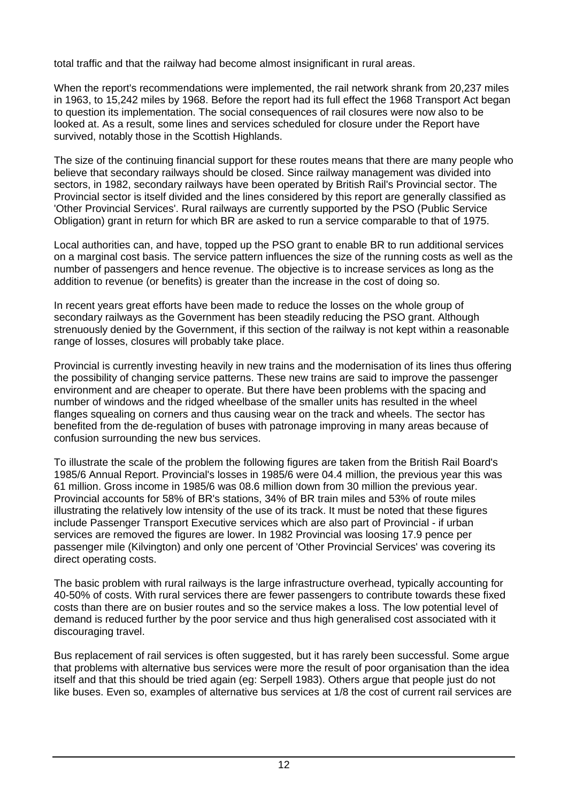total traffic and that the railway had become almost insignificant in rural areas.

When the report's recommendations were implemented, the rail network shrank from 20,237 miles in 1963, to 15,242 miles by 1968. Before the report had its full effect the 1968 Transport Act began to question its implementation. The social consequences of rail closures were now also to be looked at. As a result, some lines and services scheduled for closure under the Report have survived, notably those in the Scottish Highlands.

The size of the continuing financial support for these routes means that there are many people who believe that secondary railways should be closed. Since railway management was divided into sectors, in 1982, secondary railways have been operated by British Rail's Provincial sector. The Provincial sector is itself divided and the lines considered by this report are generally classified as 'Other Provincial Services'. Rural railways are currently supported by the PSO (Public Service Obligation) grant in return for which BR are asked to run a service comparable to that of 1975.

Local authorities can, and have, topped up the PSO grant to enable BR to run additional services on a marginal cost basis. The service pattern influences the size of the running costs as well as the number of passengers and hence revenue. The objective is to increase services as long as the addition to revenue (or benefits) is greater than the increase in the cost of doing so.

In recent years great efforts have been made to reduce the losses on the whole group of secondary railways as the Government has been steadily reducing the PSO grant. Although strenuously denied by the Government, if this section of the railway is not kept within a reasonable range of losses, closures will probably take place.

Provincial is currently investing heavily in new trains and the modernisation of its lines thus offering the possibility of changing service patterns. These new trains are said to improve the passenger environment and are cheaper to operate. But there have been problems with the spacing and number of windows and the ridged wheelbase of the smaller units has resulted in the wheel flanges squealing on corners and thus causing wear on the track and wheels. The sector has benefited from the de-regulation of buses with patronage improving in many areas because of confusion surrounding the new bus services.

To illustrate the scale of the problem the following figures are taken from the British Rail Board's 1985/6 Annual Report. Provincial's losses in 1985/6 were 04.4 million, the previous year this was 61 million. Gross income in 1985/6 was 08.6 million down from 30 million the previous year. Provincial accounts for 58% of BR's stations, 34% of BR train miles and 53% of route miles illustrating the relatively low intensity of the use of its track. It must be noted that these figures include Passenger Transport Executive services which are also part of Provincial - if urban services are removed the figures are lower. In 1982 Provincial was loosing 17.9 pence per passenger mile (Kilvington) and only one percent of 'Other Provincial Services' was covering its direct operating costs.

The basic problem with rural railways is the large infrastructure overhead, typically accounting for 40-50% of costs. With rural services there are fewer passengers to contribute towards these fixed costs than there are on busier routes and so the service makes a loss. The low potential level of demand is reduced further by the poor service and thus high generalised cost associated with it discouraging travel.

Bus replacement of rail services is often suggested, but it has rarely been successful. Some argue that problems with alternative bus services were more the result of poor organisation than the idea itself and that this should be tried again (eg: Serpell 1983). Others argue that people just do not like buses. Even so, examples of alternative bus services at 1/8 the cost of current rail services are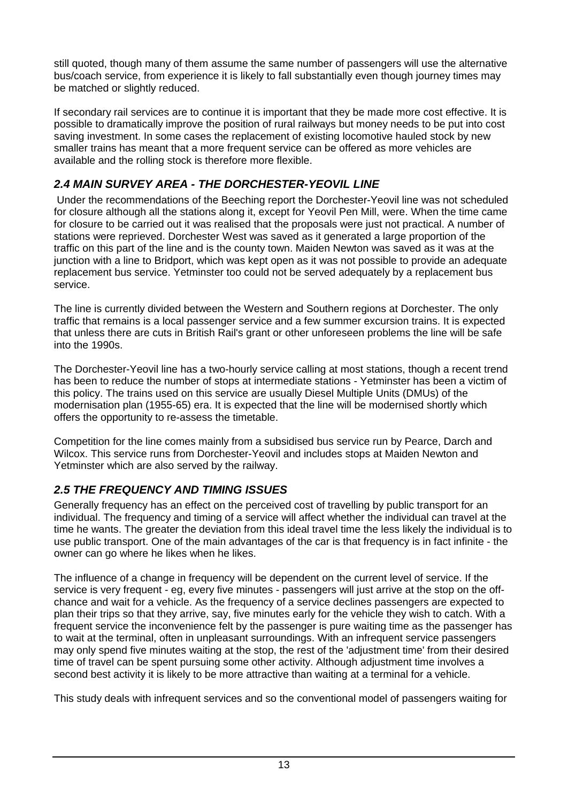still quoted, though many of them assume the same number of passengers will use the alternative bus/coach service, from experience it is likely to fall substantially even though journey times may be matched or slightly reduced.

If secondary rail services are to continue it is important that they be made more cost effective. It is possible to dramatically improve the position of rural railways but money needs to be put into cost saving investment. In some cases the replacement of existing locomotive hauled stock by new smaller trains has meant that a more frequent service can be offered as more vehicles are available and the rolling stock is therefore more flexible.

# *2.4 MAIN SURVEY AREA - THE DORCHESTER-YEOVIL LINE*

 Under the recommendations of the Beeching report the Dorchester-Yeovil line was not scheduled for closure although all the stations along it, except for Yeovil Pen Mill, were. When the time came for closure to be carried out it was realised that the proposals were just not practical. A number of stations were reprieved. Dorchester West was saved as it generated a large proportion of the traffic on this part of the line and is the county town. Maiden Newton was saved as it was at the junction with a line to Bridport, which was kept open as it was not possible to provide an adequate replacement bus service. Yetminster too could not be served adequately by a replacement bus service.

The line is currently divided between the Western and Southern regions at Dorchester. The only traffic that remains is a local passenger service and a few summer excursion trains. It is expected that unless there are cuts in British Rail's grant or other unforeseen problems the line will be safe into the 1990s.

The Dorchester-Yeovil line has a two-hourly service calling at most stations, though a recent trend has been to reduce the number of stops at intermediate stations - Yetminster has been a victim of this policy. The trains used on this service are usually Diesel Multiple Units (DMUs) of the modernisation plan (1955-65) era. It is expected that the line will be modernised shortly which offers the opportunity to re-assess the timetable.

Competition for the line comes mainly from a subsidised bus service run by Pearce, Darch and Wilcox. This service runs from Dorchester-Yeovil and includes stops at Maiden Newton and Yetminster which are also served by the railway.

# *2.5 THE FREQUENCY AND TIMING ISSUES*

Generally frequency has an effect on the perceived cost of travelling by public transport for an individual. The frequency and timing of a service will affect whether the individual can travel at the time he wants. The greater the deviation from this ideal travel time the less likely the individual is to use public transport. One of the main advantages of the car is that frequency is in fact infinite - the owner can go where he likes when he likes.

The influence of a change in frequency will be dependent on the current level of service. If the service is very frequent - eg, every five minutes - passengers will just arrive at the stop on the offchance and wait for a vehicle. As the frequency of a service declines passengers are expected to plan their trips so that they arrive, say, five minutes early for the vehicle they wish to catch. With a frequent service the inconvenience felt by the passenger is pure waiting time as the passenger has to wait at the terminal, often in unpleasant surroundings. With an infrequent service passengers may only spend five minutes waiting at the stop, the rest of the 'adjustment time' from their desired time of travel can be spent pursuing some other activity. Although adjustment time involves a second best activity it is likely to be more attractive than waiting at a terminal for a vehicle.

This study deals with infrequent services and so the conventional model of passengers waiting for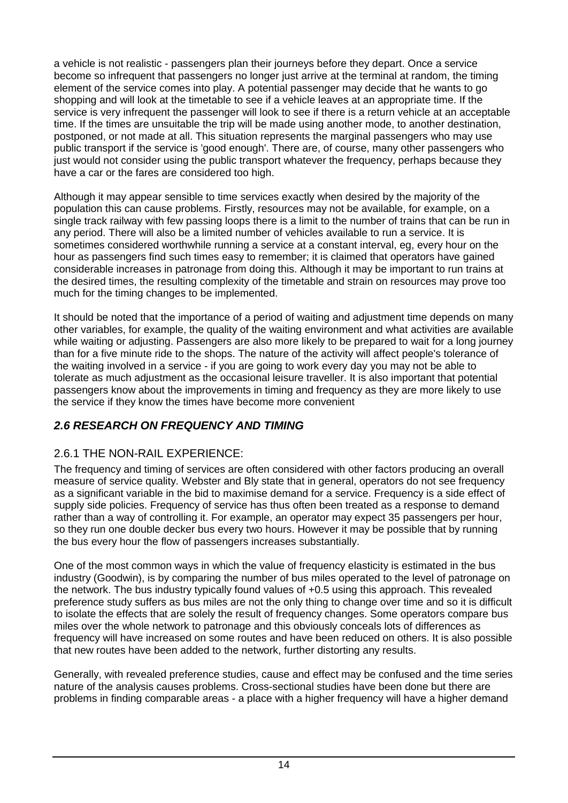a vehicle is not realistic - passengers plan their journeys before they depart. Once a service become so infrequent that passengers no longer just arrive at the terminal at random, the timing element of the service comes into play. A potential passenger may decide that he wants to go shopping and will look at the timetable to see if a vehicle leaves at an appropriate time. If the service is very infrequent the passenger will look to see if there is a return vehicle at an acceptable time. If the times are unsuitable the trip will be made using another mode, to another destination, postponed, or not made at all. This situation represents the marginal passengers who may use public transport if the service is 'good enough'. There are, of course, many other passengers who just would not consider using the public transport whatever the frequency, perhaps because they have a car or the fares are considered too high.

Although it may appear sensible to time services exactly when desired by the majority of the population this can cause problems. Firstly, resources may not be available, for example, on a single track railway with few passing loops there is a limit to the number of trains that can be run in any period. There will also be a limited number of vehicles available to run a service. It is sometimes considered worthwhile running a service at a constant interval, eg, every hour on the hour as passengers find such times easy to remember; it is claimed that operators have gained considerable increases in patronage from doing this. Although it may be important to run trains at the desired times, the resulting complexity of the timetable and strain on resources may prove too much for the timing changes to be implemented.

It should be noted that the importance of a period of waiting and adjustment time depends on many other variables, for example, the quality of the waiting environment and what activities are available while waiting or adjusting. Passengers are also more likely to be prepared to wait for a long journey than for a five minute ride to the shops. The nature of the activity will affect people's tolerance of the waiting involved in a service - if you are going to work every day you may not be able to tolerate as much adjustment as the occasional leisure traveller. It is also important that potential passengers know about the improvements in timing and frequency as they are more likely to use the service if they know the times have become more convenient

# *2.6 RESEARCH ON FREQUENCY AND TIMING*

# 2.6.1 THE NON-RAIL EXPERIENCE:

The frequency and timing of services are often considered with other factors producing an overall measure of service quality. Webster and Bly state that in general, operators do not see frequency as a significant variable in the bid to maximise demand for a service. Frequency is a side effect of supply side policies. Frequency of service has thus often been treated as a response to demand rather than a way of controlling it. For example, an operator may expect 35 passengers per hour, so they run one double decker bus every two hours. However it may be possible that by running the bus every hour the flow of passengers increases substantially.

One of the most common ways in which the value of frequency elasticity is estimated in the bus industry (Goodwin), is by comparing the number of bus miles operated to the level of patronage on the network. The bus industry typically found values of +0.5 using this approach. This revealed preference study suffers as bus miles are not the only thing to change over time and so it is difficult to isolate the effects that are solely the result of frequency changes. Some operators compare bus miles over the whole network to patronage and this obviously conceals lots of differences as frequency will have increased on some routes and have been reduced on others. It is also possible that new routes have been added to the network, further distorting any results.

Generally, with revealed preference studies, cause and effect may be confused and the time series nature of the analysis causes problems. Cross-sectional studies have been done but there are problems in finding comparable areas - a place with a higher frequency will have a higher demand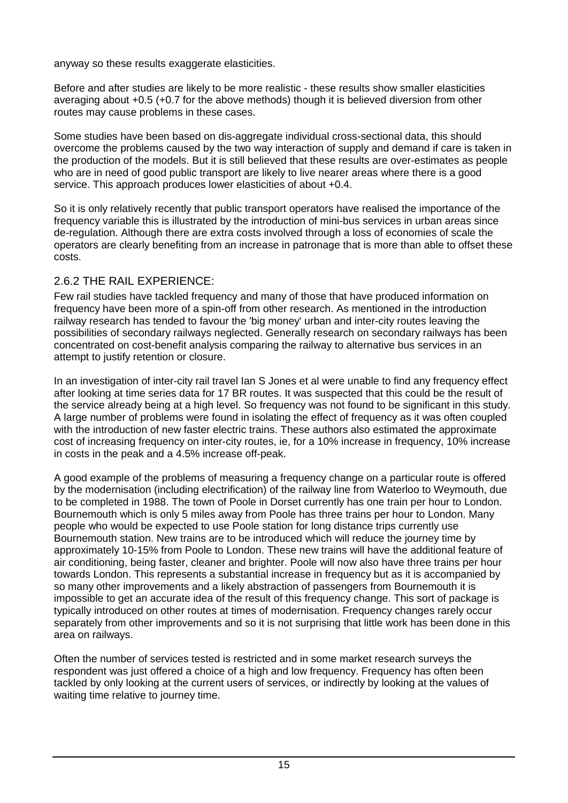anyway so these results exaggerate elasticities.

Before and after studies are likely to be more realistic - these results show smaller elasticities averaging about +0.5 (+0.7 for the above methods) though it is believed diversion from other routes may cause problems in these cases.

Some studies have been based on dis-aggregate individual cross-sectional data, this should overcome the problems caused by the two way interaction of supply and demand if care is taken in the production of the models. But it is still believed that these results are over-estimates as people who are in need of good public transport are likely to live nearer areas where there is a good service. This approach produces lower elasticities of about +0.4.

So it is only relatively recently that public transport operators have realised the importance of the frequency variable this is illustrated by the introduction of mini-bus services in urban areas since de-regulation. Although there are extra costs involved through a loss of economies of scale the operators are clearly benefiting from an increase in patronage that is more than able to offset these costs.

#### 2.6.2 THE RAIL EXPERIENCE:

Few rail studies have tackled frequency and many of those that have produced information on frequency have been more of a spin-off from other research. As mentioned in the introduction railway research has tended to favour the 'big money' urban and inter-city routes leaving the possibilities of secondary railways neglected. Generally research on secondary railways has been concentrated on cost-benefit analysis comparing the railway to alternative bus services in an attempt to justify retention or closure.

In an investigation of inter-city rail travel Ian S Jones et al were unable to find any frequency effect after looking at time series data for 17 BR routes. It was suspected that this could be the result of the service already being at a high level. So frequency was not found to be significant in this study. A large number of problems were found in isolating the effect of frequency as it was often coupled with the introduction of new faster electric trains. These authors also estimated the approximate cost of increasing frequency on inter-city routes, ie, for a 10% increase in frequency, 10% increase in costs in the peak and a 4.5% increase off-peak.

A good example of the problems of measuring a frequency change on a particular route is offered by the modernisation (including electrification) of the railway line from Waterloo to Weymouth, due to be completed in 1988. The town of Poole in Dorset currently has one train per hour to London. Bournemouth which is only 5 miles away from Poole has three trains per hour to London. Many people who would be expected to use Poole station for long distance trips currently use Bournemouth station. New trains are to be introduced which will reduce the journey time by approximately 10-15% from Poole to London. These new trains will have the additional feature of air conditioning, being faster, cleaner and brighter. Poole will now also have three trains per hour towards London. This represents a substantial increase in frequency but as it is accompanied by so many other improvements and a likely abstraction of passengers from Bournemouth it is impossible to get an accurate idea of the result of this frequency change. This sort of package is typically introduced on other routes at times of modernisation. Frequency changes rarely occur separately from other improvements and so it is not surprising that little work has been done in this area on railways.

Often the number of services tested is restricted and in some market research surveys the respondent was just offered a choice of a high and low frequency. Frequency has often been tackled by only looking at the current users of services, or indirectly by looking at the values of waiting time relative to journey time.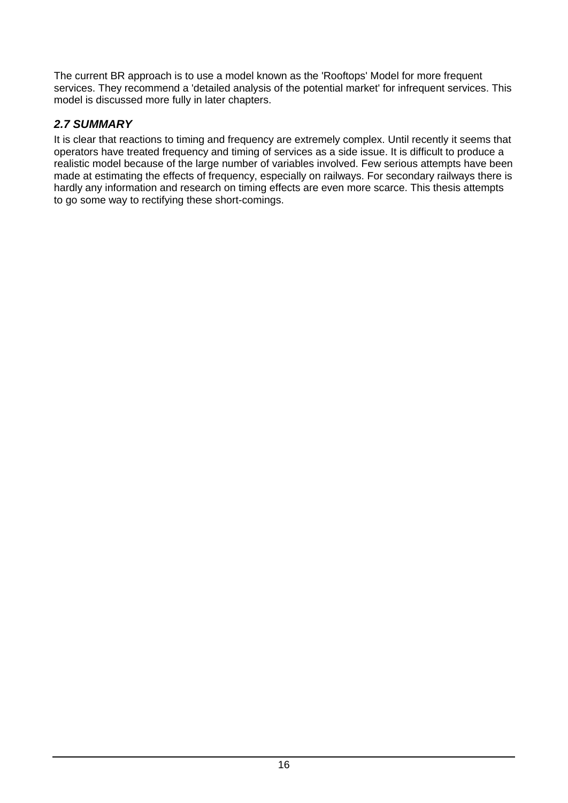The current BR approach is to use a model known as the 'Rooftops' Model for more frequent services. They recommend a 'detailed analysis of the potential market' for infrequent services. This model is discussed more fully in later chapters.

# *2.7 SUMMARY*

It is clear that reactions to timing and frequency are extremely complex. Until recently it seems that operators have treated frequency and timing of services as a side issue. It is difficult to produce a realistic model because of the large number of variables involved. Few serious attempts have been made at estimating the effects of frequency, especially on railways. For secondary railways there is hardly any information and research on timing effects are even more scarce. This thesis attempts to go some way to rectifying these short-comings.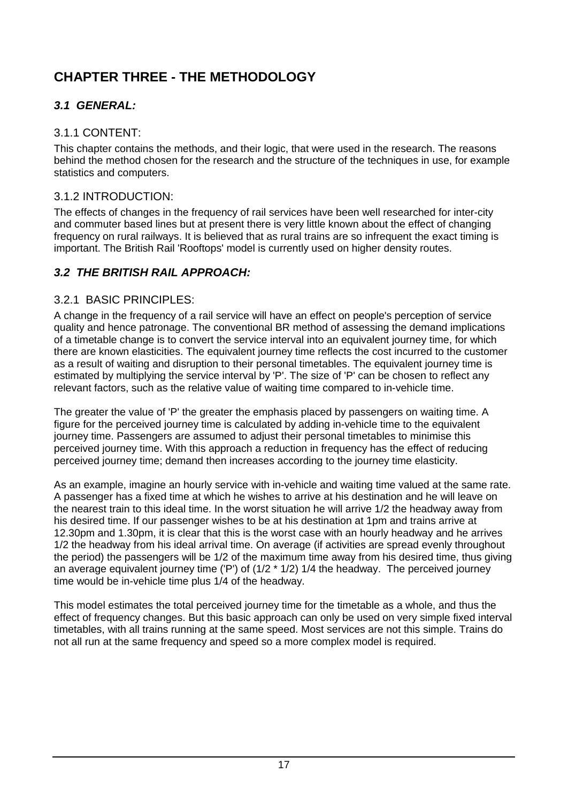# **CHAPTER THREE - THE METHODOLOGY**

# *3.1 GENERAL:*

# 3.1.1 CONTENT:

This chapter contains the methods, and their logic, that were used in the research. The reasons behind the method chosen for the research and the structure of the techniques in use, for example statistics and computers.

# 3.1.2 INTRODUCTION:

The effects of changes in the frequency of rail services have been well researched for inter-city and commuter based lines but at present there is very little known about the effect of changing frequency on rural railways. It is believed that as rural trains are so infrequent the exact timing is important. The British Rail 'Rooftops' model is currently used on higher density routes.

# *3.2 THE BRITISH RAIL APPROACH:*

# 3.2.1 BASIC PRINCIPLES:

A change in the frequency of a rail service will have an effect on people's perception of service quality and hence patronage. The conventional BR method of assessing the demand implications of a timetable change is to convert the service interval into an equivalent journey time, for which there are known elasticities. The equivalent journey time reflects the cost incurred to the customer as a result of waiting and disruption to their personal timetables. The equivalent journey time is estimated by multiplying the service interval by 'P'. The size of 'P' can be chosen to reflect any relevant factors, such as the relative value of waiting time compared to in-vehicle time.

The greater the value of 'P' the greater the emphasis placed by passengers on waiting time. A figure for the perceived journey time is calculated by adding in-vehicle time to the equivalent journey time. Passengers are assumed to adjust their personal timetables to minimise this perceived journey time. With this approach a reduction in frequency has the effect of reducing perceived journey time; demand then increases according to the journey time elasticity.

As an example, imagine an hourly service with in-vehicle and waiting time valued at the same rate. A passenger has a fixed time at which he wishes to arrive at his destination and he will leave on the nearest train to this ideal time. In the worst situation he will arrive 1/2 the headway away from his desired time. If our passenger wishes to be at his destination at 1pm and trains arrive at 12.30pm and 1.30pm, it is clear that this is the worst case with an hourly headway and he arrives 1/2 the headway from his ideal arrival time. On average (if activities are spread evenly throughout the period) the passengers will be 1/2 of the maximum time away from his desired time, thus giving an average equivalent journey time ('P') of (1/2 \* 1/2) 1/4 the headway. The perceived journey time would be in-vehicle time plus 1/4 of the headway.

This model estimates the total perceived journey time for the timetable as a whole, and thus the effect of frequency changes. But this basic approach can only be used on very simple fixed interval timetables, with all trains running at the same speed. Most services are not this simple. Trains do not all run at the same frequency and speed so a more complex model is required.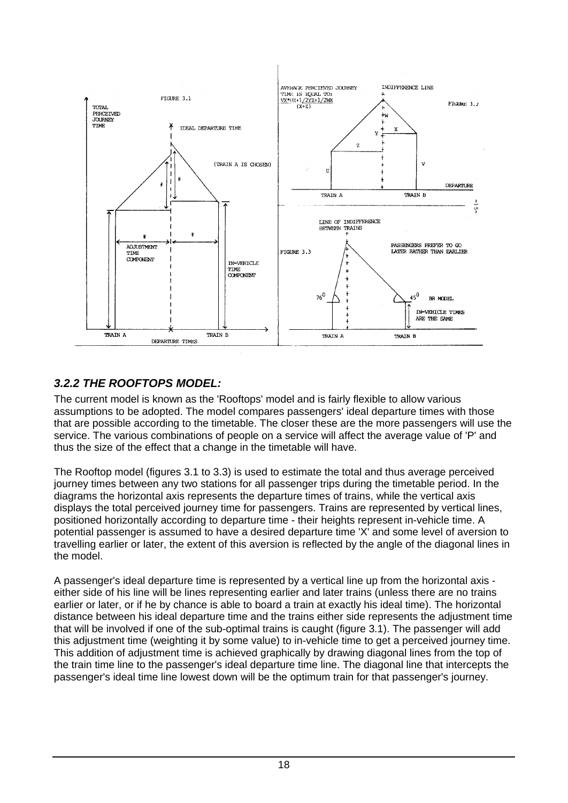

# *3.2.2 THE ROOFTOPS MODEL:*

The current model is known as the 'Rooftops' model and is fairly flexible to allow various assumptions to be adopted. The model compares passengers' ideal departure times with those that are possible according to the timetable. The closer these are the more passengers will use the service. The various combinations of people on a service will affect the average value of 'P' and thus the size of the effect that a change in the timetable will have.

The Rooftop model (figures 3.1 to 3.3) is used to estimate the total and thus average perceived journey times between any two stations for all passenger trips during the timetable period. In the diagrams the horizontal axis represents the departure times of trains, while the vertical axis displays the total perceived journey time for passengers. Trains are represented by vertical lines, positioned horizontally according to departure time - their heights represent in-vehicle time. A potential passenger is assumed to have a desired departure time 'X' and some level of aversion to travelling earlier or later, the extent of this aversion is reflected by the angle of the diagonal lines in the model.

A passenger's ideal departure time is represented by a vertical line up from the horizontal axis either side of his line will be lines representing earlier and later trains (unless there are no trains earlier or later, or if he by chance is able to board a train at exactly his ideal time). The horizontal distance between his ideal departure time and the trains either side represents the adjustment time that will be involved if one of the sub-optimal trains is caught (figure 3.1). The passenger will add this adjustment time (weighting it by some value) to in-vehicle time to get a perceived journey time. This addition of adjustment time is achieved graphically by drawing diagonal lines from the top of the train time line to the passenger's ideal departure time line. The diagonal line that intercepts the passenger's ideal time line lowest down will be the optimum train for that passenger's journey.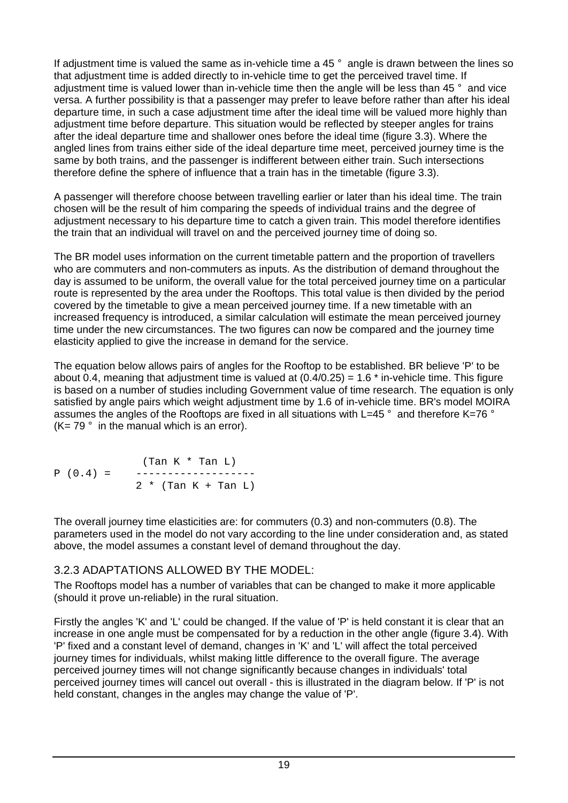If adjustment time is valued the same as in-vehicle time a 45 ° angle is drawn between the lines so that adjustment time is added directly to in-vehicle time to get the perceived travel time. If adjustment time is valued lower than in-vehicle time then the angle will be less than 45 ° and vice versa. A further possibility is that a passenger may prefer to leave before rather than after his ideal departure time, in such a case adjustment time after the ideal time will be valued more highly than adjustment time before departure. This situation would be reflected by steeper angles for trains after the ideal departure time and shallower ones before the ideal time (figure 3.3). Where the angled lines from trains either side of the ideal departure time meet, perceived journey time is the same by both trains, and the passenger is indifferent between either train. Such intersections therefore define the sphere of influence that a train has in the timetable (figure 3.3).

A passenger will therefore choose between travelling earlier or later than his ideal time. The train chosen will be the result of him comparing the speeds of individual trains and the degree of adjustment necessary to his departure time to catch a given train. This model therefore identifies the train that an individual will travel on and the perceived journey time of doing so.

The BR model uses information on the current timetable pattern and the proportion of travellers who are commuters and non-commuters as inputs. As the distribution of demand throughout the day is assumed to be uniform, the overall value for the total perceived journey time on a particular route is represented by the area under the Rooftops. This total value is then divided by the period covered by the timetable to give a mean perceived journey time. If a new timetable with an increased frequency is introduced, a similar calculation will estimate the mean perceived journey time under the new circumstances. The two figures can now be compared and the journey time elasticity applied to give the increase in demand for the service.

The equation below allows pairs of angles for the Rooftop to be established. BR believe 'P' to be about 0.4, meaning that adjustment time is valued at  $(0.4/0.25) = 1.6$  \* in-vehicle time. This figure is based on a number of studies including Government value of time research. The equation is only satisfied by angle pairs which weight adjustment time by 1.6 of in-vehicle time. BR's model MOIRA assumes the angles of the Rooftops are fixed in all situations with L=45 ° and therefore K=76 °  $(K= 79 \degree$  in the manual which is an error).

 (Tan K \* Tan L) P (0.4) = -------------------  $2 * (Tan K + Tan L)$ 

The overall journey time elasticities are: for commuters (0.3) and non-commuters (0.8). The parameters used in the model do not vary according to the line under consideration and, as stated above, the model assumes a constant level of demand throughout the day.

#### 3.2.3 ADAPTATIONS ALLOWED BY THE MODEL:

The Rooftops model has a number of variables that can be changed to make it more applicable (should it prove un-reliable) in the rural situation.

Firstly the angles 'K' and 'L' could be changed. If the value of 'P' is held constant it is clear that an increase in one angle must be compensated for by a reduction in the other angle (figure 3.4). With 'P' fixed and a constant level of demand, changes in 'K' and 'L' will affect the total perceived journey times for individuals, whilst making little difference to the overall figure. The average perceived journey times will not change significantly because changes in individuals' total perceived journey times will cancel out overall - this is illustrated in the diagram below. If 'P' is not held constant, changes in the angles may change the value of 'P'.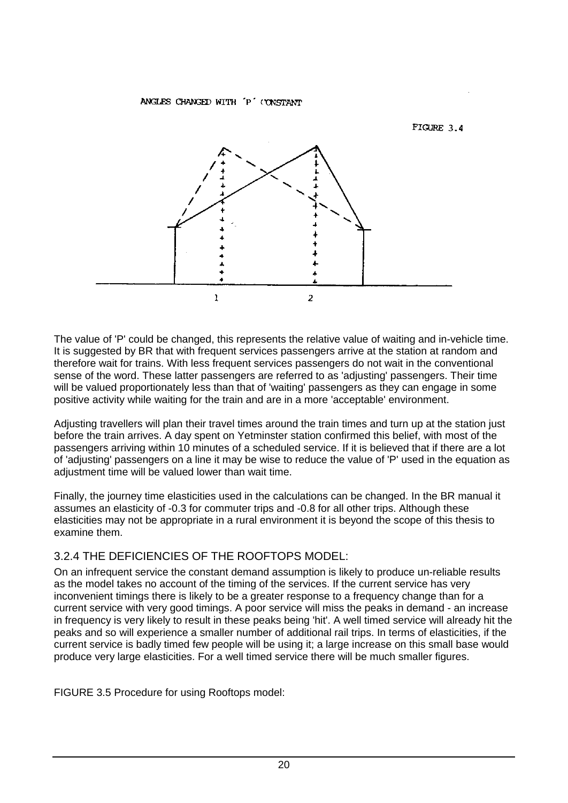#### ANGLES CHANGED WITH 'P' (YNSTANT



The value of 'P' could be changed, this represents the relative value of waiting and in-vehicle time. It is suggested by BR that with frequent services passengers arrive at the station at random and therefore wait for trains. With less frequent services passengers do not wait in the conventional sense of the word. These latter passengers are referred to as 'adjusting' passengers. Their time will be valued proportionately less than that of 'waiting' passengers as they can engage in some positive activity while waiting for the train and are in a more 'acceptable' environment.

Adjusting travellers will plan their travel times around the train times and turn up at the station just before the train arrives. A day spent on Yetminster station confirmed this belief, with most of the passengers arriving within 10 minutes of a scheduled service. If it is believed that if there are a lot of 'adjusting' passengers on a line it may be wise to reduce the value of 'P' used in the equation as adjustment time will be valued lower than wait time.

Finally, the journey time elasticities used in the calculations can be changed. In the BR manual it assumes an elasticity of -0.3 for commuter trips and -0.8 for all other trips. Although these elasticities may not be appropriate in a rural environment it is beyond the scope of this thesis to examine them.

#### 3.2.4 THE DEFICIENCIES OF THE ROOFTOPS MODEL:

On an infrequent service the constant demand assumption is likely to produce un-reliable results as the model takes no account of the timing of the services. If the current service has very inconvenient timings there is likely to be a greater response to a frequency change than for a current service with very good timings. A poor service will miss the peaks in demand - an increase in frequency is very likely to result in these peaks being 'hit'. A well timed service will already hit the peaks and so will experience a smaller number of additional rail trips. In terms of elasticities, if the current service is badly timed few people will be using it; a large increase on this small base would produce very large elasticities. For a well timed service there will be much smaller figures.

FIGURE 3.5 Procedure for using Rooftops model: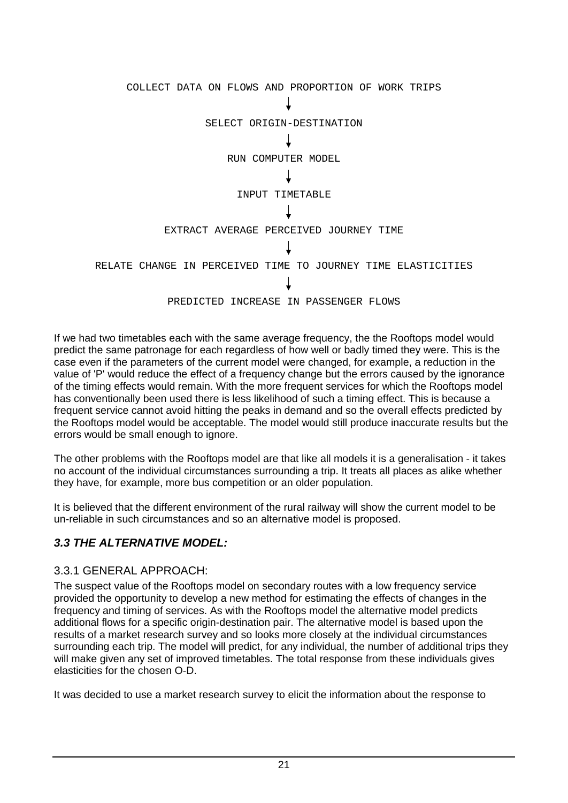

If we had two timetables each with the same average frequency, the the Rooftops model would predict the same patronage for each regardless of how well or badly timed they were. This is the case even if the parameters of the current model were changed, for example, a reduction in the value of 'P' would reduce the effect of a frequency change but the errors caused by the ignorance of the timing effects would remain. With the more frequent services for which the Rooftops model has conventionally been used there is less likelihood of such a timing effect. This is because a frequent service cannot avoid hitting the peaks in demand and so the overall effects predicted by the Rooftops model would be acceptable. The model would still produce inaccurate results but the errors would be small enough to ignore.

The other problems with the Rooftops model are that like all models it is a generalisation - it takes no account of the individual circumstances surrounding a trip. It treats all places as alike whether they have, for example, more bus competition or an older population.

It is believed that the different environment of the rural railway will show the current model to be un-reliable in such circumstances and so an alternative model is proposed.

# *3.3 THE ALTERNATIVE MODEL:*

#### 3.3.1 GENERAL APPROACH:

The suspect value of the Rooftops model on secondary routes with a low frequency service provided the opportunity to develop a new method for estimating the effects of changes in the frequency and timing of services. As with the Rooftops model the alternative model predicts additional flows for a specific origin-destination pair. The alternative model is based upon the results of a market research survey and so looks more closely at the individual circumstances surrounding each trip. The model will predict, for any individual, the number of additional trips they will make given any set of improved timetables. The total response from these individuals gives elasticities for the chosen O-D.

It was decided to use a market research survey to elicit the information about the response to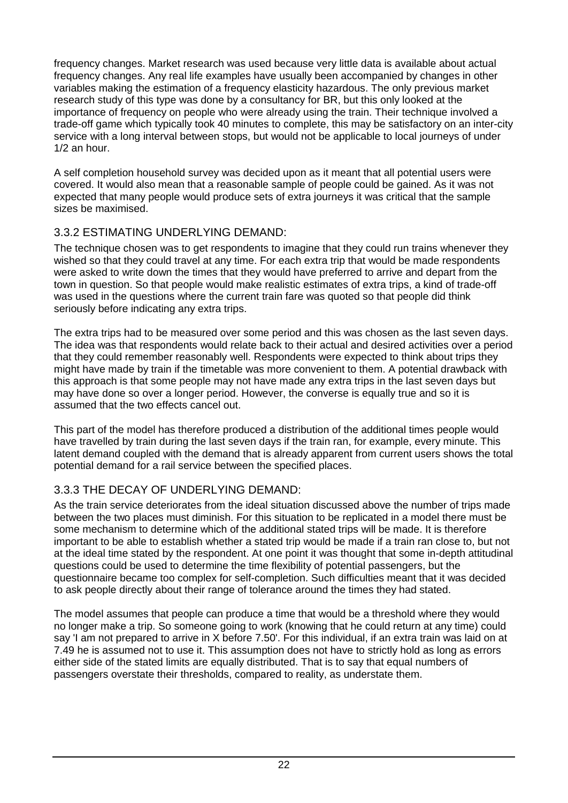frequency changes. Market research was used because very little data is available about actual frequency changes. Any real life examples have usually been accompanied by changes in other variables making the estimation of a frequency elasticity hazardous. The only previous market research study of this type was done by a consultancy for BR, but this only looked at the importance of frequency on people who were already using the train. Their technique involved a trade-off game which typically took 40 minutes to complete, this may be satisfactory on an inter-city service with a long interval between stops, but would not be applicable to local journeys of under 1/2 an hour.

A self completion household survey was decided upon as it meant that all potential users were covered. It would also mean that a reasonable sample of people could be gained. As it was not expected that many people would produce sets of extra journeys it was critical that the sample sizes be maximised.

# 3.3.2 ESTIMATING UNDERLYING DEMAND:

The technique chosen was to get respondents to imagine that they could run trains whenever they wished so that they could travel at any time. For each extra trip that would be made respondents were asked to write down the times that they would have preferred to arrive and depart from the town in question. So that people would make realistic estimates of extra trips, a kind of trade-off was used in the questions where the current train fare was quoted so that people did think seriously before indicating any extra trips.

The extra trips had to be measured over some period and this was chosen as the last seven days. The idea was that respondents would relate back to their actual and desired activities over a period that they could remember reasonably well. Respondents were expected to think about trips they might have made by train if the timetable was more convenient to them. A potential drawback with this approach is that some people may not have made any extra trips in the last seven days but may have done so over a longer period. However, the converse is equally true and so it is assumed that the two effects cancel out.

This part of the model has therefore produced a distribution of the additional times people would have travelled by train during the last seven days if the train ran, for example, every minute. This latent demand coupled with the demand that is already apparent from current users shows the total potential demand for a rail service between the specified places.

# 3.3.3 THE DECAY OF UNDERLYING DEMAND:

As the train service deteriorates from the ideal situation discussed above the number of trips made between the two places must diminish. For this situation to be replicated in a model there must be some mechanism to determine which of the additional stated trips will be made. It is therefore important to be able to establish whether a stated trip would be made if a train ran close to, but not at the ideal time stated by the respondent. At one point it was thought that some in-depth attitudinal questions could be used to determine the time flexibility of potential passengers, but the questionnaire became too complex for self-completion. Such difficulties meant that it was decided to ask people directly about their range of tolerance around the times they had stated.

The model assumes that people can produce a time that would be a threshold where they would no longer make a trip. So someone going to work (knowing that he could return at any time) could say 'I am not prepared to arrive in X before 7.50'. For this individual, if an extra train was laid on at 7.49 he is assumed not to use it. This assumption does not have to strictly hold as long as errors either side of the stated limits are equally distributed. That is to say that equal numbers of passengers overstate their thresholds, compared to reality, as understate them.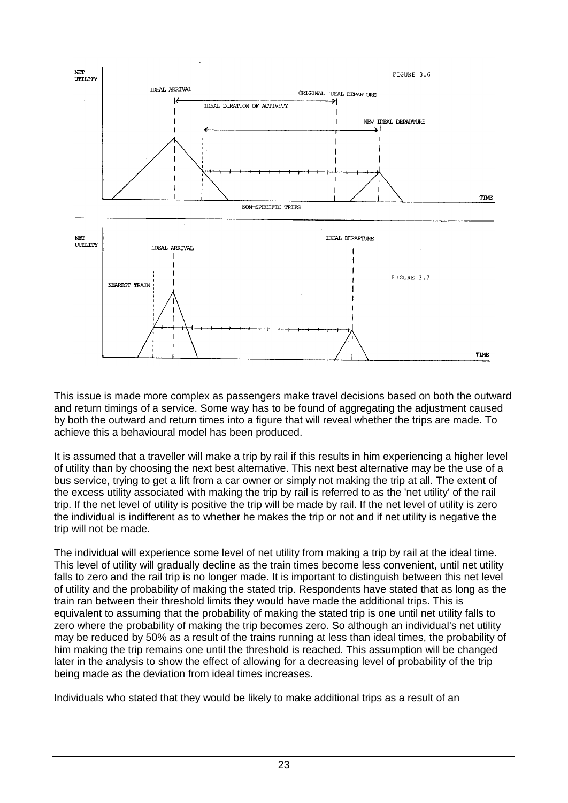

This issue is made more complex as passengers make travel decisions based on both the outward and return timings of a service. Some way has to be found of aggregating the adjustment caused by both the outward and return times into a figure that will reveal whether the trips are made. To achieve this a behavioural model has been produced.

It is assumed that a traveller will make a trip by rail if this results in him experiencing a higher level of utility than by choosing the next best alternative. This next best alternative may be the use of a bus service, trying to get a lift from a car owner or simply not making the trip at all. The extent of the excess utility associated with making the trip by rail is referred to as the 'net utility' of the rail trip. If the net level of utility is positive the trip will be made by rail. If the net level of utility is zero the individual is indifferent as to whether he makes the trip or not and if net utility is negative the trip will not be made.

The individual will experience some level of net utility from making a trip by rail at the ideal time. This level of utility will gradually decline as the train times become less convenient, until net utility falls to zero and the rail trip is no longer made. It is important to distinguish between this net level of utility and the probability of making the stated trip. Respondents have stated that as long as the train ran between their threshold limits they would have made the additional trips. This is equivalent to assuming that the probability of making the stated trip is one until net utility falls to zero where the probability of making the trip becomes zero. So although an individual's net utility may be reduced by 50% as a result of the trains running at less than ideal times, the probability of him making the trip remains one until the threshold is reached. This assumption will be changed later in the analysis to show the effect of allowing for a decreasing level of probability of the trip being made as the deviation from ideal times increases.

Individuals who stated that they would be likely to make additional trips as a result of an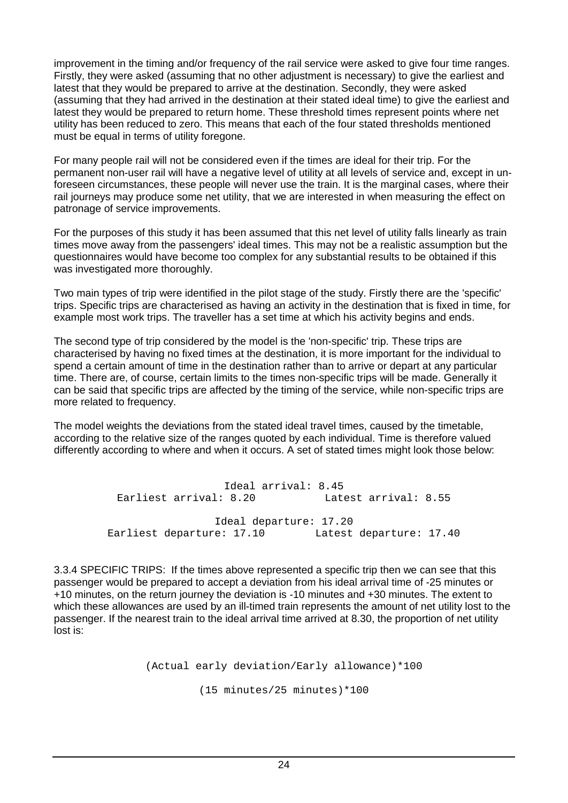improvement in the timing and/or frequency of the rail service were asked to give four time ranges. Firstly, they were asked (assuming that no other adjustment is necessary) to give the earliest and latest that they would be prepared to arrive at the destination. Secondly, they were asked (assuming that they had arrived in the destination at their stated ideal time) to give the earliest and latest they would be prepared to return home. These threshold times represent points where net utility has been reduced to zero. This means that each of the four stated thresholds mentioned must be equal in terms of utility foregone.

For many people rail will not be considered even if the times are ideal for their trip. For the permanent non-user rail will have a negative level of utility at all levels of service and, except in unforeseen circumstances, these people will never use the train. It is the marginal cases, where their rail journeys may produce some net utility, that we are interested in when measuring the effect on patronage of service improvements.

For the purposes of this study it has been assumed that this net level of utility falls linearly as train times move away from the passengers' ideal times. This may not be a realistic assumption but the questionnaires would have become too complex for any substantial results to be obtained if this was investigated more thoroughly.

Two main types of trip were identified in the pilot stage of the study. Firstly there are the 'specific' trips. Specific trips are characterised as having an activity in the destination that is fixed in time, for example most work trips. The traveller has a set time at which his activity begins and ends.

The second type of trip considered by the model is the 'non-specific' trip. These trips are characterised by having no fixed times at the destination, it is more important for the individual to spend a certain amount of time in the destination rather than to arrive or depart at any particular time. There are, of course, certain limits to the times non-specific trips will be made. Generally it can be said that specific trips are affected by the timing of the service, while non-specific trips are more related to frequency.

The model weights the deviations from the stated ideal travel times, caused by the timetable, according to the relative size of the ranges quoted by each individual. Time is therefore valued differently according to where and when it occurs. A set of stated times might look those below:

> Ideal arrival: 8.45 Earliest arrival: 8.20 Latest arrival: 8.55 Ideal departure: 17.20 Earliest departure: 17.10 Latest departure: 17.40

3.3.4 SPECIFIC TRIPS: If the times above represented a specific trip then we can see that this passenger would be prepared to accept a deviation from his ideal arrival time of -25 minutes or +10 minutes, on the return journey the deviation is -10 minutes and +30 minutes. The extent to which these allowances are used by an ill-timed train represents the amount of net utility lost to the passenger. If the nearest train to the ideal arrival time arrived at 8.30, the proportion of net utility lost is:

```
(Actual early deviation/Early allowance)*100
(15 minutes/25 minutes)*100
```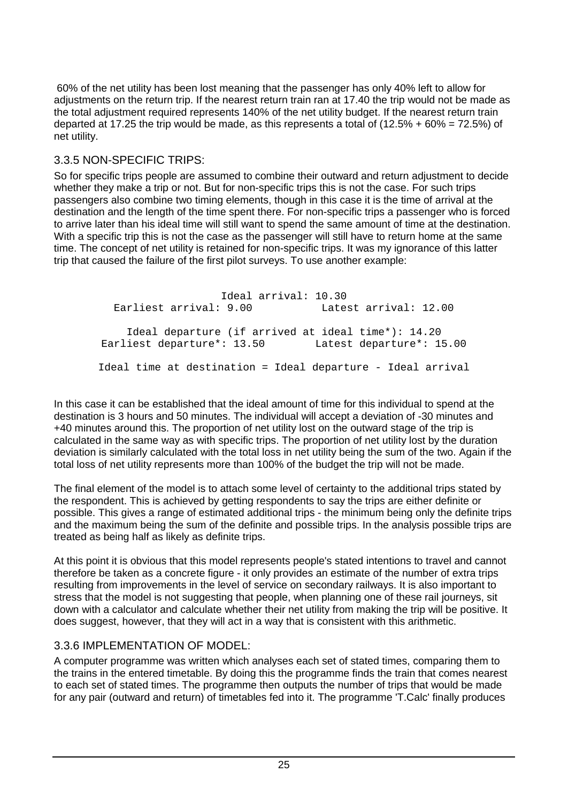60% of the net utility has been lost meaning that the passenger has only 40% left to allow for adjustments on the return trip. If the nearest return train ran at 17.40 the trip would not be made as the total adjustment required represents 140% of the net utility budget. If the nearest return train departed at 17.25 the trip would be made, as this represents a total of  $(12.5\% + 60\% = 72.5\%)$  of net utility.

# 3.3.5 NON-SPECIFIC TRIPS:

So for specific trips people are assumed to combine their outward and return adjustment to decide whether they make a trip or not. But for non-specific trips this is not the case. For such trips passengers also combine two timing elements, though in this case it is the time of arrival at the destination and the length of the time spent there. For non-specific trips a passenger who is forced to arrive later than his ideal time will still want to spend the same amount of time at the destination. With a specific trip this is not the case as the passenger will still have to return home at the same time. The concept of net utility is retained for non-specific trips. It was my ignorance of this latter trip that caused the failure of the first pilot surveys. To use another example:

Ideal arrival: 10.30 Earliest arrival: 9.00 Latest arrival: 12.00 Ideal departure (if arrived at ideal time\*): 14.20 Earliest departure\*: 13.50 Latest departure\*: 15.00 Ideal time at destination = Ideal departure - Ideal arrival

In this case it can be established that the ideal amount of time for this individual to spend at the destination is 3 hours and 50 minutes. The individual will accept a deviation of -30 minutes and +40 minutes around this. The proportion of net utility lost on the outward stage of the trip is calculated in the same way as with specific trips. The proportion of net utility lost by the duration deviation is similarly calculated with the total loss in net utility being the sum of the two. Again if the total loss of net utility represents more than 100% of the budget the trip will not be made.

The final element of the model is to attach some level of certainty to the additional trips stated by the respondent. This is achieved by getting respondents to say the trips are either definite or possible. This gives a range of estimated additional trips - the minimum being only the definite trips and the maximum being the sum of the definite and possible trips. In the analysis possible trips are treated as being half as likely as definite trips.

At this point it is obvious that this model represents people's stated intentions to travel and cannot therefore be taken as a concrete figure - it only provides an estimate of the number of extra trips resulting from improvements in the level of service on secondary railways. It is also important to stress that the model is not suggesting that people, when planning one of these rail journeys, sit down with a calculator and calculate whether their net utility from making the trip will be positive. It does suggest, however, that they will act in a way that is consistent with this arithmetic.

# 3.3.6 IMPLEMENTATION OF MODEL:

A computer programme was written which analyses each set of stated times, comparing them to the trains in the entered timetable. By doing this the programme finds the train that comes nearest to each set of stated times. The programme then outputs the number of trips that would be made for any pair (outward and return) of timetables fed into it. The programme 'T.Calc' finally produces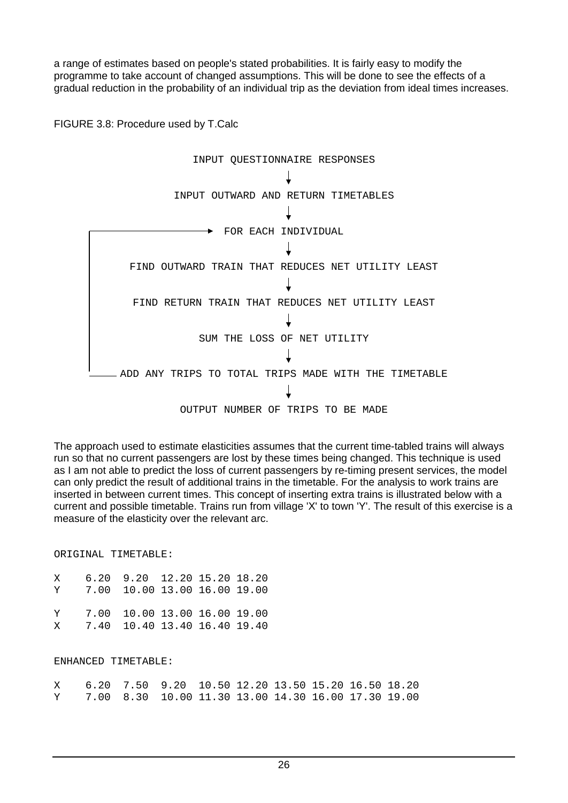a range of estimates based on people's stated probabilities. It is fairly easy to modify the programme to take account of changed assumptions. This will be done to see the effects of a gradual reduction in the probability of an individual trip as the deviation from ideal times increases.

FIGURE 3.8: Procedure used by T.Calc



The approach used to estimate elasticities assumes that the current time-tabled trains will always run so that no current passengers are lost by these times being changed. This technique is used as I am not able to predict the loss of current passengers by re-timing present services, the model can only predict the result of additional trains in the timetable. For the analysis to work trains are inserted in between current times. This concept of inserting extra trains is illustrated below with a current and possible timetable. Trains run from village 'X' to town 'Y'. The result of this exercise is a measure of the elasticity over the relevant arc.

ORIGINAL TIMETABLE:

| X | 6.20 9.20 12.20 15.20 18.20<br>Y 7.00 10.00 13.00 16.00 19.00    |  |  |
|---|------------------------------------------------------------------|--|--|
|   | Y 7.00 10.00 13.00 16.00 19.00<br>X 7.40 10.40 13.40 16.40 19.40 |  |  |

#### ENHANCED TIMETABLE:

| X    6.20   7.50   9.20   10.50   12.20   13.50   15.20   16.50   18.20 |  |  |  |  |
|-------------------------------------------------------------------------|--|--|--|--|
| Y       7.00   8.30   10.00  11.30  13.00  14.30  16.00  17.30  19.00   |  |  |  |  |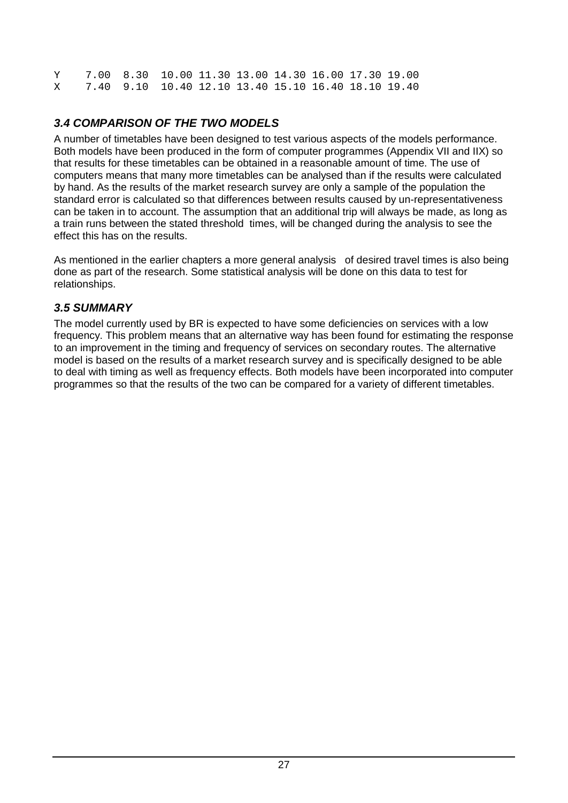Y 7.00 8.30 10.00 11.30 13.00 14.30 16.00 17.30 19.00 X 7.40 9.10 10.40 12.10 13.40 15.10 16.40 18.10 19.40

# *3.4 COMPARISON OF THE TWO MODELS*

A number of timetables have been designed to test various aspects of the models performance. Both models have been produced in the form of computer programmes (Appendix VII and IIX) so that results for these timetables can be obtained in a reasonable amount of time. The use of computers means that many more timetables can be analysed than if the results were calculated by hand. As the results of the market research survey are only a sample of the population the standard error is calculated so that differences between results caused by un-representativeness can be taken in to account. The assumption that an additional trip will always be made, as long as a train runs between the stated threshold times, will be changed during the analysis to see the effect this has on the results.

As mentioned in the earlier chapters a more general analysis of desired travel times is also being done as part of the research. Some statistical analysis will be done on this data to test for relationships.

### *3.5 SUMMARY*

The model currently used by BR is expected to have some deficiencies on services with a low frequency. This problem means that an alternative way has been found for estimating the response to an improvement in the timing and frequency of services on secondary routes. The alternative model is based on the results of a market research survey and is specifically designed to be able to deal with timing as well as frequency effects. Both models have been incorporated into computer programmes so that the results of the two can be compared for a variety of different timetables.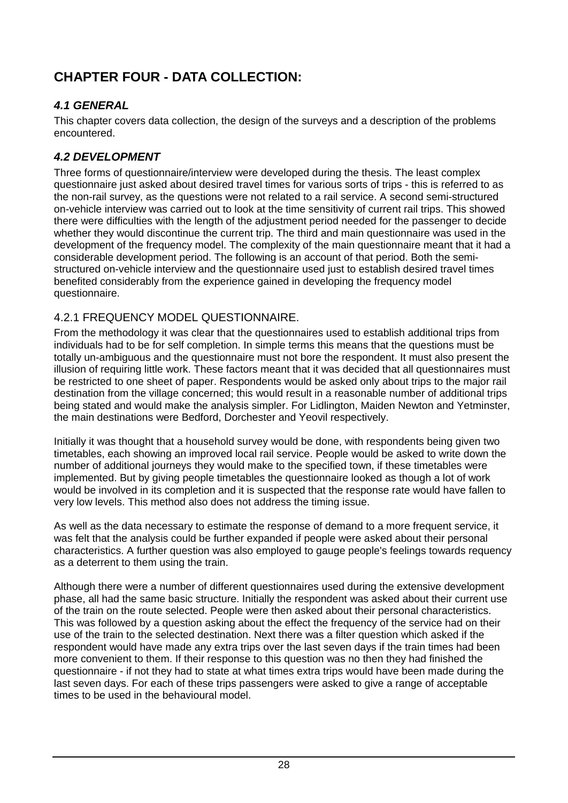# **CHAPTER FOUR - DATA COLLECTION:**

# *4.1 GENERAL*

This chapter covers data collection, the design of the surveys and a description of the problems encountered.

# *4.2 DEVELOPMENT*

Three forms of questionnaire/interview were developed during the thesis. The least complex questionnaire just asked about desired travel times for various sorts of trips - this is referred to as the non-rail survey, as the questions were not related to a rail service. A second semi-structured on-vehicle interview was carried out to look at the time sensitivity of current rail trips. This showed there were difficulties with the length of the adjustment period needed for the passenger to decide whether they would discontinue the current trip. The third and main questionnaire was used in the development of the frequency model. The complexity of the main questionnaire meant that it had a considerable development period. The following is an account of that period. Both the semistructured on-vehicle interview and the questionnaire used just to establish desired travel times benefited considerably from the experience gained in developing the frequency model questionnaire.

# 4.2.1 FREQUENCY MODEL QUESTIONNAIRE.

From the methodology it was clear that the questionnaires used to establish additional trips from individuals had to be for self completion. In simple terms this means that the questions must be totally un-ambiguous and the questionnaire must not bore the respondent. It must also present the illusion of requiring little work. These factors meant that it was decided that all questionnaires must be restricted to one sheet of paper. Respondents would be asked only about trips to the major rail destination from the village concerned; this would result in a reasonable number of additional trips being stated and would make the analysis simpler. For Lidlington, Maiden Newton and Yetminster, the main destinations were Bedford, Dorchester and Yeovil respectively.

Initially it was thought that a household survey would be done, with respondents being given two timetables, each showing an improved local rail service. People would be asked to write down the number of additional journeys they would make to the specified town, if these timetables were implemented. But by giving people timetables the questionnaire looked as though a lot of work would be involved in its completion and it is suspected that the response rate would have fallen to very low levels. This method also does not address the timing issue.

As well as the data necessary to estimate the response of demand to a more frequent service, it was felt that the analysis could be further expanded if people were asked about their personal characteristics. A further question was also employed to gauge people's feelings towards requency as a deterrent to them using the train.

Although there were a number of different questionnaires used during the extensive development phase, all had the same basic structure. Initially the respondent was asked about their current use of the train on the route selected. People were then asked about their personal characteristics. This was followed by a question asking about the effect the frequency of the service had on their use of the train to the selected destination. Next there was a filter question which asked if the respondent would have made any extra trips over the last seven days if the train times had been more convenient to them. If their response to this question was no then they had finished the questionnaire - if not they had to state at what times extra trips would have been made during the last seven days. For each of these trips passengers were asked to give a range of acceptable times to be used in the behavioural model.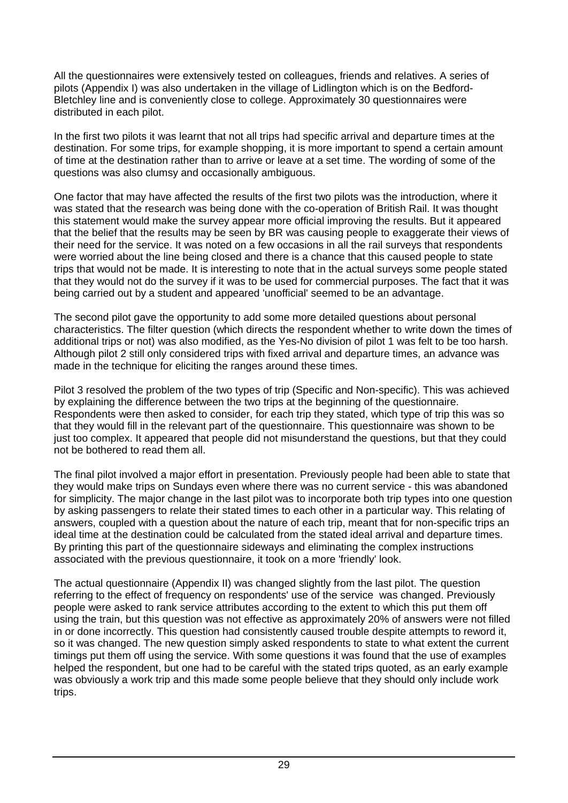All the questionnaires were extensively tested on colleagues, friends and relatives. A series of pilots (Appendix I) was also undertaken in the village of Lidlington which is on the Bedford-Bletchley line and is conveniently close to college. Approximately 30 questionnaires were distributed in each pilot.

In the first two pilots it was learnt that not all trips had specific arrival and departure times at the destination. For some trips, for example shopping, it is more important to spend a certain amount of time at the destination rather than to arrive or leave at a set time. The wording of some of the questions was also clumsy and occasionally ambiguous.

One factor that may have affected the results of the first two pilots was the introduction, where it was stated that the research was being done with the co-operation of British Rail. It was thought this statement would make the survey appear more official improving the results. But it appeared that the belief that the results may be seen by BR was causing people to exaggerate their views of their need for the service. It was noted on a few occasions in all the rail surveys that respondents were worried about the line being closed and there is a chance that this caused people to state trips that would not be made. It is interesting to note that in the actual surveys some people stated that they would not do the survey if it was to be used for commercial purposes. The fact that it was being carried out by a student and appeared 'unofficial' seemed to be an advantage.

The second pilot gave the opportunity to add some more detailed questions about personal characteristics. The filter question (which directs the respondent whether to write down the times of additional trips or not) was also modified, as the Yes-No division of pilot 1 was felt to be too harsh. Although pilot 2 still only considered trips with fixed arrival and departure times, an advance was made in the technique for eliciting the ranges around these times.

Pilot 3 resolved the problem of the two types of trip (Specific and Non-specific). This was achieved by explaining the difference between the two trips at the beginning of the questionnaire. Respondents were then asked to consider, for each trip they stated, which type of trip this was so that they would fill in the relevant part of the questionnaire. This questionnaire was shown to be just too complex. It appeared that people did not misunderstand the questions, but that they could not be bothered to read them all.

The final pilot involved a major effort in presentation. Previously people had been able to state that they would make trips on Sundays even where there was no current service - this was abandoned for simplicity. The major change in the last pilot was to incorporate both trip types into one question by asking passengers to relate their stated times to each other in a particular way. This relating of answers, coupled with a question about the nature of each trip, meant that for non-specific trips an ideal time at the destination could be calculated from the stated ideal arrival and departure times. By printing this part of the questionnaire sideways and eliminating the complex instructions associated with the previous questionnaire, it took on a more 'friendly' look.

The actual questionnaire (Appendix II) was changed slightly from the last pilot. The question referring to the effect of frequency on respondents' use of the service was changed. Previously people were asked to rank service attributes according to the extent to which this put them off using the train, but this question was not effective as approximately 20% of answers were not filled in or done incorrectly. This question had consistently caused trouble despite attempts to reword it, so it was changed. The new question simply asked respondents to state to what extent the current timings put them off using the service. With some questions it was found that the use of examples helped the respondent, but one had to be careful with the stated trips quoted, as an early example was obviously a work trip and this made some people believe that they should only include work trips.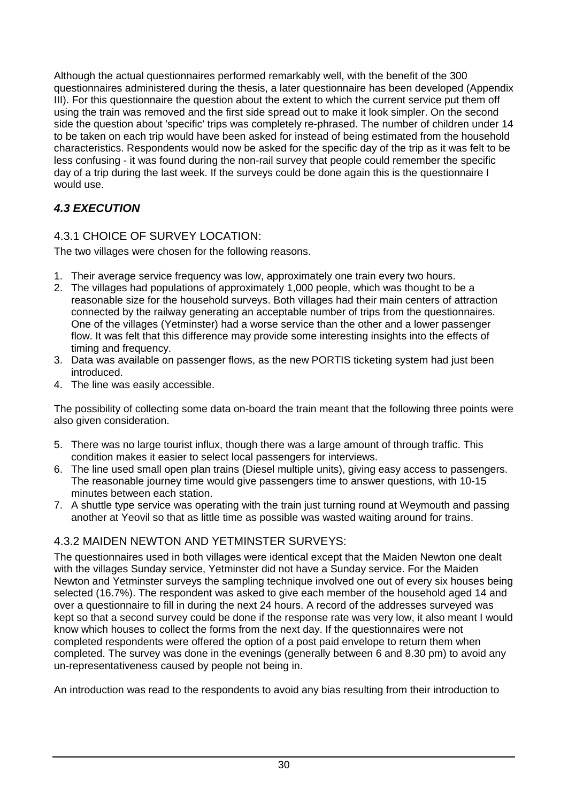Although the actual questionnaires performed remarkably well, with the benefit of the 300 questionnaires administered during the thesis, a later questionnaire has been developed (Appendix III). For this questionnaire the question about the extent to which the current service put them off using the train was removed and the first side spread out to make it look simpler. On the second side the question about 'specific' trips was completely re-phrased. The number of children under 14 to be taken on each trip would have been asked for instead of being estimated from the household characteristics. Respondents would now be asked for the specific day of the trip as it was felt to be less confusing - it was found during the non-rail survey that people could remember the specific day of a trip during the last week. If the surveys could be done again this is the questionnaire I would use.

# *4.3 EXECUTION*

# 4.3.1 CHOICE OF SURVEY LOCATION:

The two villages were chosen for the following reasons.

- 1. Their average service frequency was low, approximately one train every two hours.
- 2. The villages had populations of approximately 1,000 people, which was thought to be a reasonable size for the household surveys. Both villages had their main centers of attraction connected by the railway generating an acceptable number of trips from the questionnaires. One of the villages (Yetminster) had a worse service than the other and a lower passenger flow. It was felt that this difference may provide some interesting insights into the effects of timing and frequency.
- 3. Data was available on passenger flows, as the new PORTIS ticketing system had just been introduced.
- 4. The line was easily accessible.

The possibility of collecting some data on-board the train meant that the following three points were also given consideration.

- 5. There was no large tourist influx, though there was a large amount of through traffic. This condition makes it easier to select local passengers for interviews.
- 6. The line used small open plan trains (Diesel multiple units), giving easy access to passengers. The reasonable journey time would give passengers time to answer questions, with 10-15 minutes between each station.
- 7. A shuttle type service was operating with the train just turning round at Weymouth and passing another at Yeovil so that as little time as possible was wasted waiting around for trains.

# 4.3.2 MAIDEN NEWTON AND YETMINSTER SURVEYS:

The questionnaires used in both villages were identical except that the Maiden Newton one dealt with the villages Sunday service, Yetminster did not have a Sunday service. For the Maiden Newton and Yetminster surveys the sampling technique involved one out of every six houses being selected (16.7%). The respondent was asked to give each member of the household aged 14 and over a questionnaire to fill in during the next 24 hours. A record of the addresses surveyed was kept so that a second survey could be done if the response rate was very low, it also meant I would know which houses to collect the forms from the next day. If the questionnaires were not completed respondents were offered the option of a post paid envelope to return them when completed. The survey was done in the evenings (generally between 6 and 8.30 pm) to avoid any un-representativeness caused by people not being in.

An introduction was read to the respondents to avoid any bias resulting from their introduction to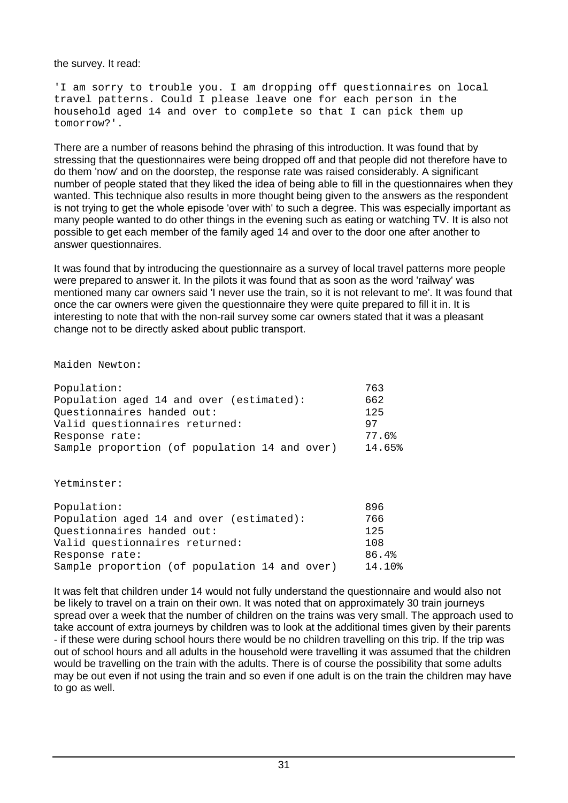the survey. It read:

'I am sorry to trouble you. I am dropping off questionnaires on local travel patterns. Could I please leave one for each person in the household aged 14 and over to complete so that I can pick them up tomorrow?'.

There are a number of reasons behind the phrasing of this introduction. It was found that by stressing that the questionnaires were being dropped off and that people did not therefore have to do them 'now' and on the doorstep, the response rate was raised considerably. A significant number of people stated that they liked the idea of being able to fill in the questionnaires when they wanted. This technique also results in more thought being given to the answers as the respondent is not trying to get the whole episode 'over with' to such a degree. This was especially important as many people wanted to do other things in the evening such as eating or watching TV. It is also not possible to get each member of the family aged 14 and over to the door one after another to answer questionnaires.

It was found that by introducing the questionnaire as a survey of local travel patterns more people were prepared to answer it. In the pilots it was found that as soon as the word 'railway' was mentioned many car owners said 'I never use the train, so it is not relevant to me'. It was found that once the car owners were given the questionnaire they were quite prepared to fill it in. It is interesting to note that with the non-rail survey some car owners stated that it was a pleasant change not to be directly asked about public transport.

Maiden Newton:

| Population:                                   | 763    |
|-----------------------------------------------|--------|
| Population aged 14 and over (estimated):      | 662    |
| Questionnaires handed out:                    | 125    |
| Valid questionnaires returned:                | 97     |
| Response rate:                                | 77.6%  |
| Sample proportion (of population 14 and over) | 14.65% |

Yetminster:

| Population:                                   | 896    |
|-----------------------------------------------|--------|
| Population aged 14 and over (estimated):      | 766    |
| Ouestionnaires handed out:                    | 125    |
| Valid questionnaires returned:                | 108    |
| Response rate:                                | 86.4%  |
| Sample proportion (of population 14 and over) | 14.10% |

It was felt that children under 14 would not fully understand the questionnaire and would also not be likely to travel on a train on their own. It was noted that on approximately 30 train journeys spread over a week that the number of children on the trains was very small. The approach used to take account of extra journeys by children was to look at the additional times given by their parents - if these were during school hours there would be no children travelling on this trip. If the trip was out of school hours and all adults in the household were travelling it was assumed that the children would be travelling on the train with the adults. There is of course the possibility that some adults may be out even if not using the train and so even if one adult is on the train the children may have to go as well.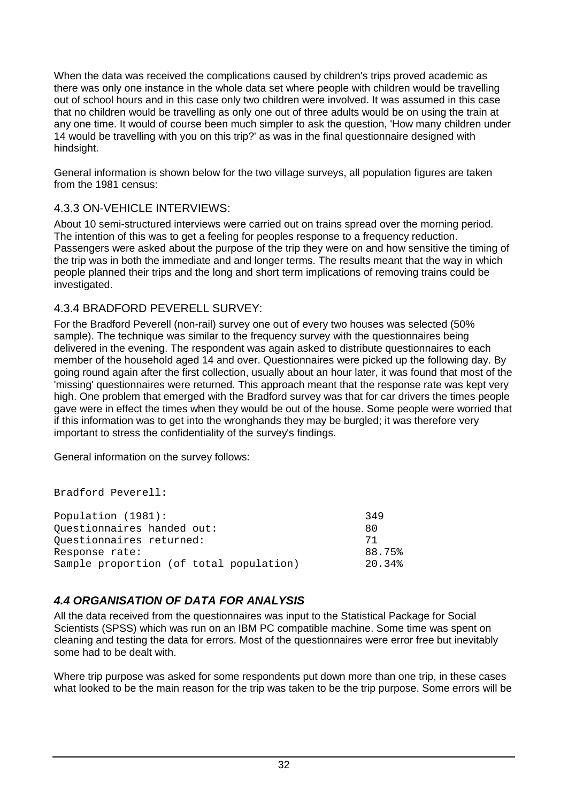When the data was received the complications caused by children's trips proved academic as there was only one instance in the whole data set where people with children would be travelling out of school hours and in this case only two children were involved. It was assumed in this case that no children would be travelling as only one out of three adults would be on using the train at any one time. It would of course been much simpler to ask the question, 'How many children under 14 would be travelling with you on this trip?' as was in the final questionnaire designed with hindsight.

General information is shown below for the two village surveys, all population figures are taken from the 1981 census:

#### 4.3.3 ON-VEHICLE INTERVIEWS:

About 10 semi-structured interviews were carried out on trains spread over the morning period. The intention of this was to get a feeling for peoples response to a frequency reduction. Passengers were asked about the purpose of the trip they were on and how sensitive the timing of the trip was in both the immediate and and longer terms. The results meant that the way in which people planned their trips and the long and short term implications of removing trains could be investigated.

#### 4.3.4 BRADFORD PEVERELL SURVEY:

For the Bradford Peverell (non-rail) survey one out of every two houses was selected (50% sample). The technique was similar to the frequency survey with the questionnaires being delivered in the evening. The respondent was again asked to distribute questionnaires to each member of the household aged 14 and over. Questionnaires were picked up the following day. By going round again after the first collection, usually about an hour later, it was found that most of the 'missing' questionnaires were returned. This approach meant that the response rate was kept very high. One problem that emerged with the Bradford survey was that for car drivers the times people gave were in effect the times when they would be out of the house. Some people were worried that if this information was to get into the wronghands they may be burgled; it was therefore very important to stress the confidentiality of the survey's findings.

General information on the survey follows:

Bradford Peverell:

| Population (1981):                      | 349    |
|-----------------------------------------|--------|
| Questionnaires handed out:              | 80     |
| Questionnaires returned:                | 71     |
| Response rate:                          | 88.75% |
| Sample proportion (of total population) | 20.34% |

#### *4.4 ORGANISATION OF DATA FOR ANALYSIS*

All the data received from the questionnaires was input to the Statistical Package for Social Scientists (SPSS) which was run on an IBM PC compatible machine. Some time was spent on cleaning and testing the data for errors. Most of the questionnaires were error free but inevitably some had to be dealt with.

Where trip purpose was asked for some respondents put down more than one trip, in these cases what looked to be the main reason for the trip was taken to be the trip purpose. Some errors will be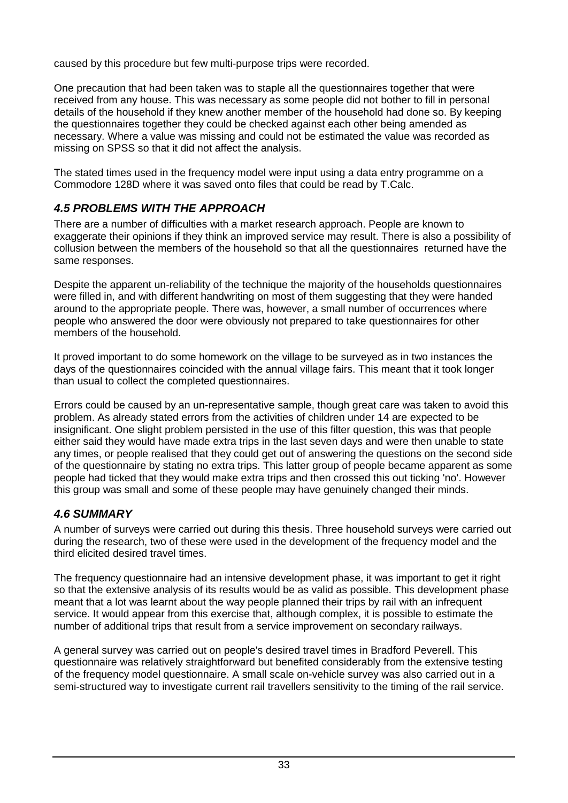caused by this procedure but few multi-purpose trips were recorded.

One precaution that had been taken was to staple all the questionnaires together that were received from any house. This was necessary as some people did not bother to fill in personal details of the household if they knew another member of the household had done so. By keeping the questionnaires together they could be checked against each other being amended as necessary. Where a value was missing and could not be estimated the value was recorded as missing on SPSS so that it did not affect the analysis.

The stated times used in the frequency model were input using a data entry programme on a Commodore 128D where it was saved onto files that could be read by T.Calc.

# *4.5 PROBLEMS WITH THE APPROACH*

There are a number of difficulties with a market research approach. People are known to exaggerate their opinions if they think an improved service may result. There is also a possibility of collusion between the members of the household so that all the questionnaires returned have the same responses.

Despite the apparent un-reliability of the technique the majority of the households questionnaires were filled in, and with different handwriting on most of them suggesting that they were handed around to the appropriate people. There was, however, a small number of occurrences where people who answered the door were obviously not prepared to take questionnaires for other members of the household.

It proved important to do some homework on the village to be surveyed as in two instances the days of the questionnaires coincided with the annual village fairs. This meant that it took longer than usual to collect the completed questionnaires.

Errors could be caused by an un-representative sample, though great care was taken to avoid this problem. As already stated errors from the activities of children under 14 are expected to be insignificant. One slight problem persisted in the use of this filter question, this was that people either said they would have made extra trips in the last seven days and were then unable to state any times, or people realised that they could get out of answering the questions on the second side of the questionnaire by stating no extra trips. This latter group of people became apparent as some people had ticked that they would make extra trips and then crossed this out ticking 'no'. However this group was small and some of these people may have genuinely changed their minds.

# *4.6 SUMMARY*

A number of surveys were carried out during this thesis. Three household surveys were carried out during the research, two of these were used in the development of the frequency model and the third elicited desired travel times.

The frequency questionnaire had an intensive development phase, it was important to get it right so that the extensive analysis of its results would be as valid as possible. This development phase meant that a lot was learnt about the way people planned their trips by rail with an infrequent service. It would appear from this exercise that, although complex, it is possible to estimate the number of additional trips that result from a service improvement on secondary railways.

A general survey was carried out on people's desired travel times in Bradford Peverell. This questionnaire was relatively straightforward but benefited considerably from the extensive testing of the frequency model questionnaire. A small scale on-vehicle survey was also carried out in a semi-structured way to investigate current rail travellers sensitivity to the timing of the rail service.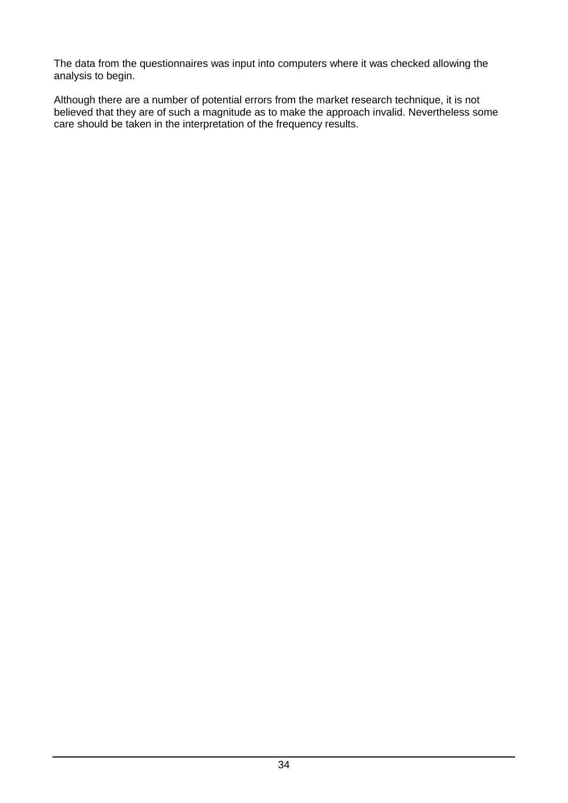The data from the questionnaires was input into computers where it was checked allowing the analysis to begin.

Although there are a number of potential errors from the market research technique, it is not believed that they are of such a magnitude as to make the approach invalid. Nevertheless some care should be taken in the interpretation of the frequency results.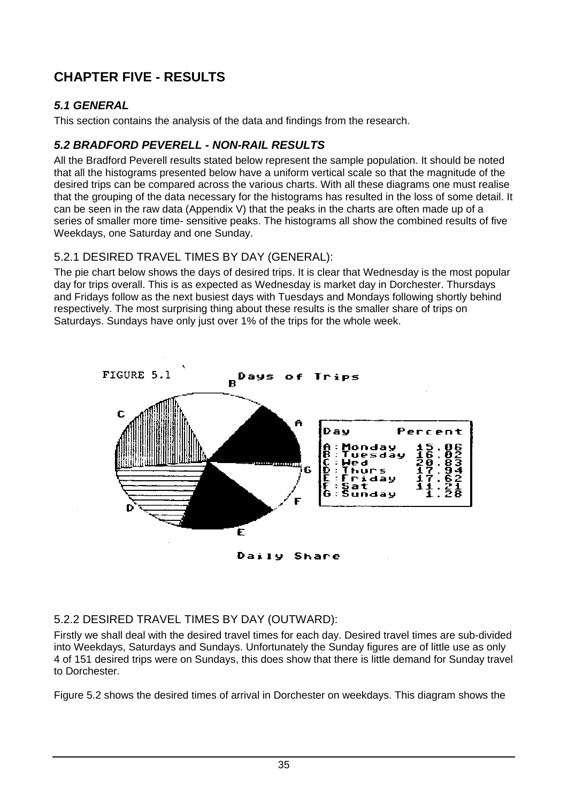# **CHAPTER FIVE - RESULTS**

# *5.1 GENERAL*

This section contains the analysis of the data and findings from the research.

# *5.2 BRADFORD PEVERELL - NON-RAIL RESULTS*

All the Bradford Peverell results stated below represent the sample population. It should be noted that all the histograms presented below have a uniform vertical scale so that the magnitude of the desired trips can be compared across the various charts. With all these diagrams one must realise that the grouping of the data necessary for the histograms has resulted in the loss of some detail. It can be seen in the raw data (Appendix V) that the peaks in the charts are often made up of a series of smaller more time- sensitive peaks. The histograms all show the combined results of five Weekdays, one Saturday and one Sunday.

# 5.2.1 DESIRED TRAVEL TIMES BY DAY (GENERAL):

The pie chart below shows the days of desired trips. It is clear that Wednesday is the most popular day for trips overall. This is as expected as Wednesday is market day in Dorchester. Thursdays and Fridays follow as the next busiest days with Tuesdays and Mondays following shortly behind respectively. The most surprising thing about these results is the smaller share of trips on Saturdays. Sundays have only just over 1% of the trips for the whole week.



Daily Share

#### 5.2.2 DESIRED TRAVEL TIMES BY DAY (OUTWARD):

Firstly we shall deal with the desired travel times for each day. Desired travel times are sub-divided into Weekdays, Saturdays and Sundays. Unfortunately the Sunday figures are of little use as only 4 of 151 desired trips were on Sundays, this does show that there is little demand for Sunday travel to Dorchester.

Figure 5.2 shows the desired times of arrival in Dorchester on weekdays. This diagram shows the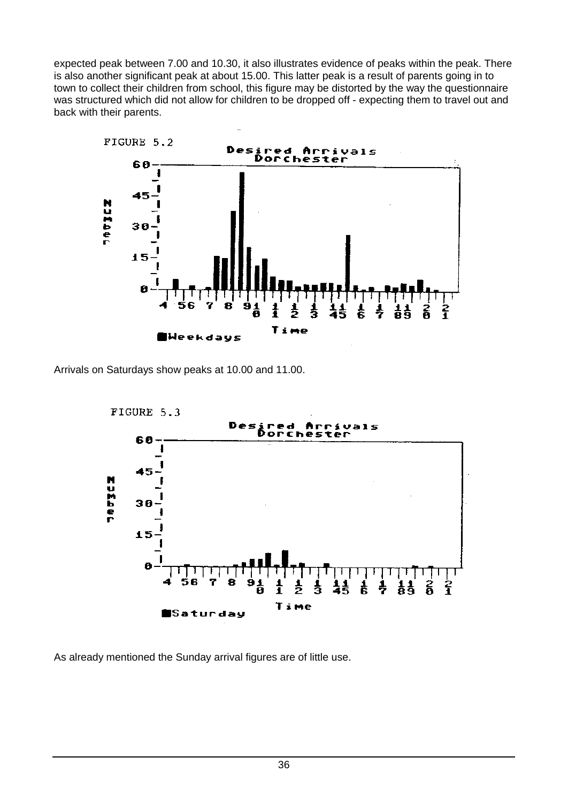expected peak between 7.00 and 10.30, it also illustrates evidence of peaks within the peak. There is also another significant peak at about 15.00. This latter peak is a result of parents going in to town to collect their children from school, this figure may be distorted by the way the questionnaire was structured which did not allow for children to be dropped off - expecting them to travel out and back with their parents.



Arrivals on Saturdays show peaks at 10.00 and 11.00.



As already mentioned the Sunday arrival figures are of little use.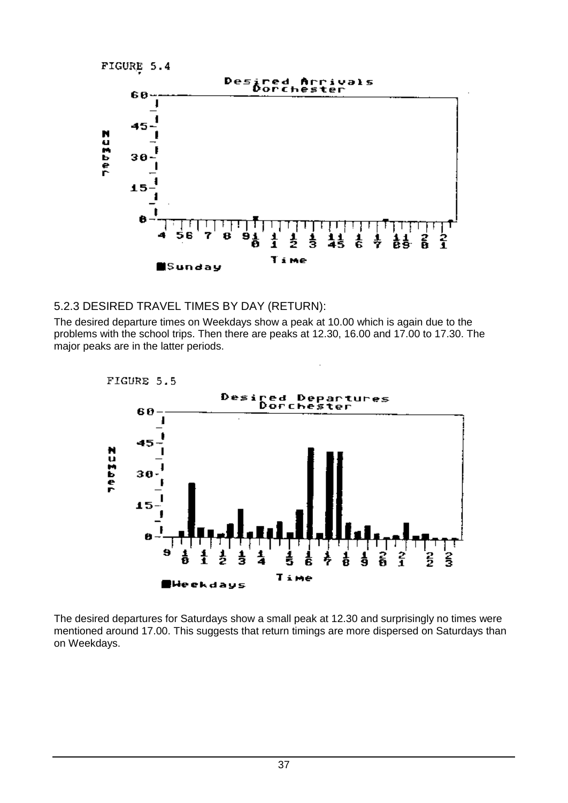FIGURE 5.4



#### 5.2.3 DESIRED TRAVEL TIMES BY DAY (RETURN):

The desired departure times on Weekdays show a peak at 10.00 which is again due to the problems with the school trips. Then there are peaks at 12.30, 16.00 and 17.00 to 17.30. The major peaks are in the latter periods.



The desired departures for Saturdays show a small peak at 12.30 and surprisingly no times were mentioned around 17.00. This suggests that return timings are more dispersed on Saturdays than on Weekdays.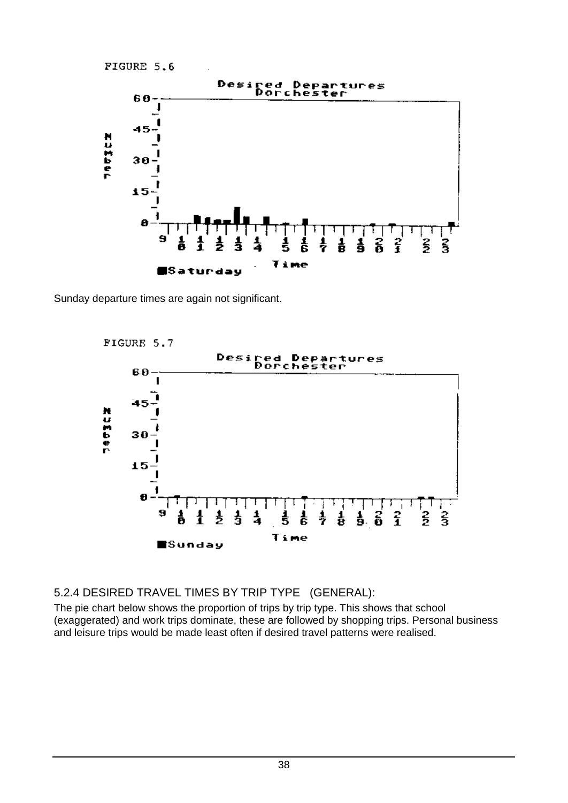FIGURE 5.6



Sunday departure times are again not significant.



5.2.4 DESIRED TRAVEL TIMES BY TRIP TYPE (GENERAL):

The pie chart below shows the proportion of trips by trip type. This shows that school (exaggerated) and work trips dominate, these are followed by shopping trips. Personal business and leisure trips would be made least often if desired travel patterns were realised.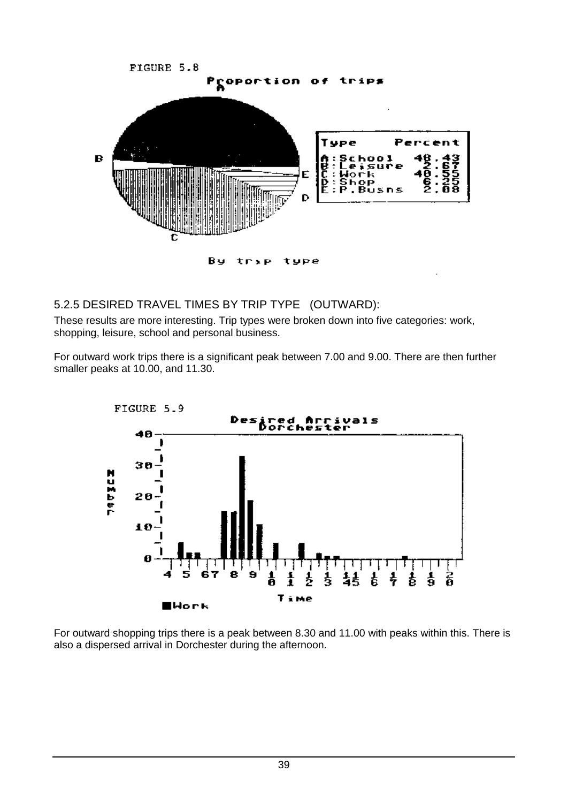

#### 5.2.5 DESIRED TRAVEL TIMES BY TRIP TYPE (OUTWARD):

These results are more interesting. Trip types were broken down into five categories: work, shopping, leisure, school and personal business.

For outward work trips there is a significant peak between 7.00 and 9.00. There are then further smaller peaks at 10.00, and 11.30.



For outward shopping trips there is a peak between 8.30 and 11.00 with peaks within this. There is also a dispersed arrival in Dorchester during the afternoon.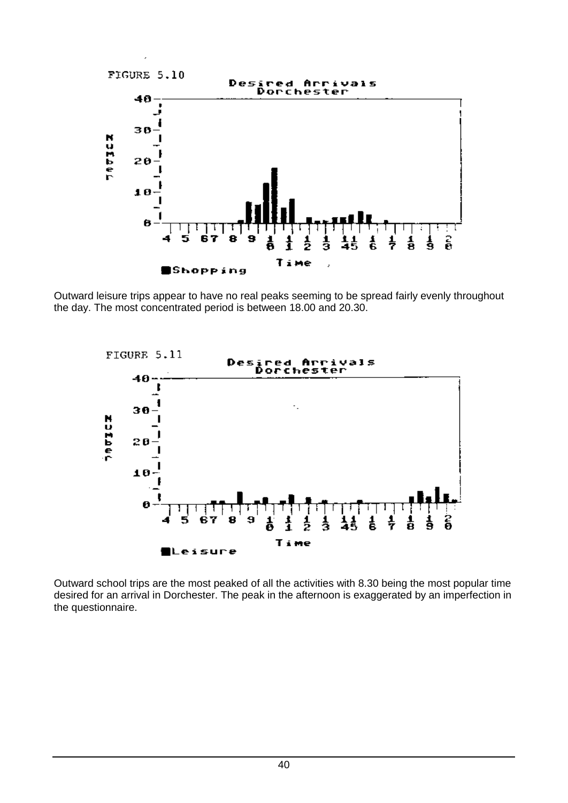

Outward leisure trips appear to have no real peaks seeming to be spread fairly evenly throughout the day. The most concentrated period is between 18.00 and 20.30.



Outward school trips are the most peaked of all the activities with 8.30 being the most popular time desired for an arrival in Dorchester. The peak in the afternoon is exaggerated by an imperfection in the questionnaire.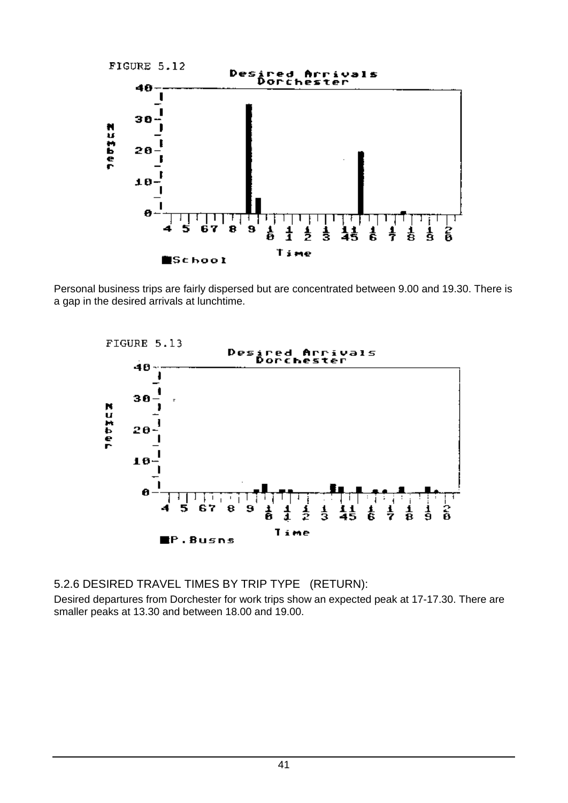

Personal business trips are fairly dispersed but are concentrated between 9.00 and 19.30. There is a gap in the desired arrivals at lunchtime.



5.2.6 DESIRED TRAVEL TIMES BY TRIP TYPE (RETURN):

Desired departures from Dorchester for work trips show an expected peak at 17-17.30. There are smaller peaks at 13.30 and between 18.00 and 19.00.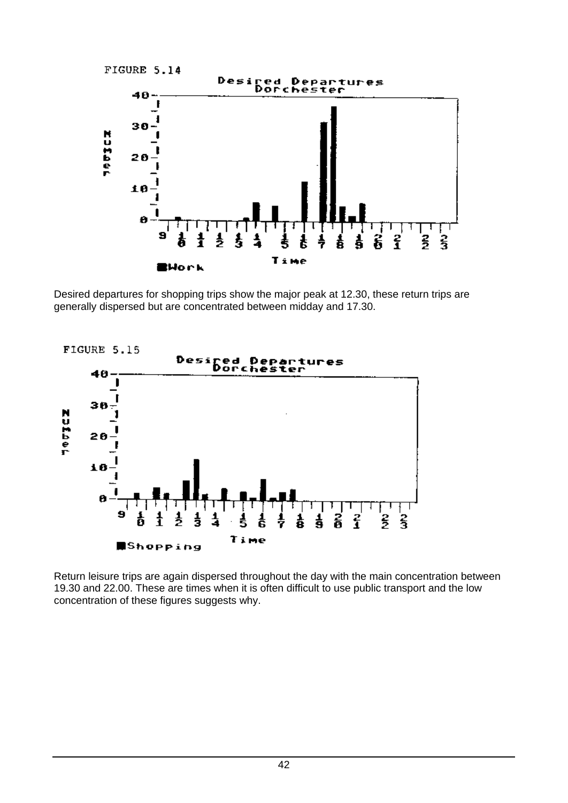

Desired departures for shopping trips show the major peak at 12.30, these return trips are generally dispersed but are concentrated between midday and 17.30.



Return leisure trips are again dispersed throughout the day with the main concentration between 19.30 and 22.00. These are times when it is often difficult to use public transport and the low concentration of these figures suggests why.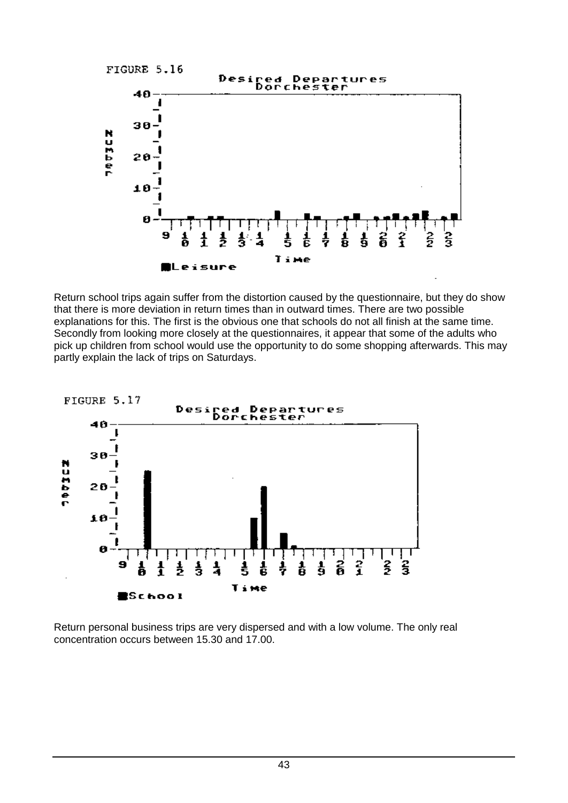

Return school trips again suffer from the distortion caused by the questionnaire, but they do show that there is more deviation in return times than in outward times. There are two possible explanations for this. The first is the obvious one that schools do not all finish at the same time. Secondly from looking more closely at the questionnaires, it appear that some of the adults who pick up children from school would use the opportunity to do some shopping afterwards. This may partly explain the lack of trips on Saturdays.



Return personal business trips are very dispersed and with a low volume. The only real concentration occurs between 15.30 and 17.00.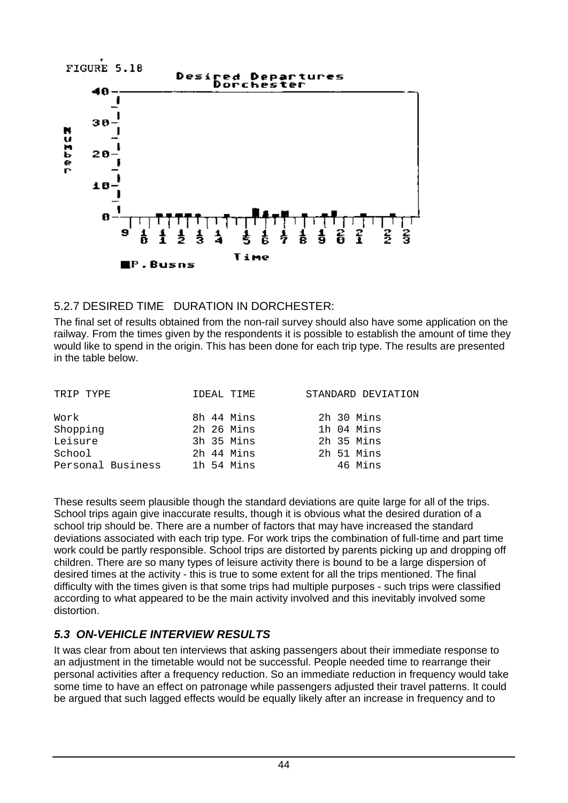

# 5.2.7 DESIRED TIME DURATION IN DORCHESTER:

The final set of results obtained from the non-rail survey should also have some application on the railway. From the times given by the respondents it is possible to establish the amount of time they would like to spend in the origin. This has been done for each trip type. The results are presented in the table below.

| TRIP TYPE         | IDEAL TIME | STANDARD DEVIATION |
|-------------------|------------|--------------------|
| Work              | 8h 44 Mins | 2h 30 Mins         |
| Shopping          | 2h 26 Mins | 1h 04 Mins         |
| Leisure           | 3h 35 Mins | 2h 35 Mins         |
| School            | 2h 44 Mins | 2h 51 Mins         |
| Personal Business | 1h 54 Mins | 46 Mins            |

These results seem plausible though the standard deviations are quite large for all of the trips. School trips again give inaccurate results, though it is obvious what the desired duration of a school trip should be. There are a number of factors that may have increased the standard deviations associated with each trip type. For work trips the combination of full-time and part time work could be partly responsible. School trips are distorted by parents picking up and dropping off children. There are so many types of leisure activity there is bound to be a large dispersion of desired times at the activity - this is true to some extent for all the trips mentioned. The final difficulty with the times given is that some trips had multiple purposes - such trips were classified according to what appeared to be the main activity involved and this inevitably involved some distortion.

# *5.3 ON-VEHICLE INTERVIEW RESULTS*

It was clear from about ten interviews that asking passengers about their immediate response to an adjustment in the timetable would not be successful. People needed time to rearrange their personal activities after a frequency reduction. So an immediate reduction in frequency would take some time to have an effect on patronage while passengers adjusted their travel patterns. It could be argued that such lagged effects would be equally likely after an increase in frequency and to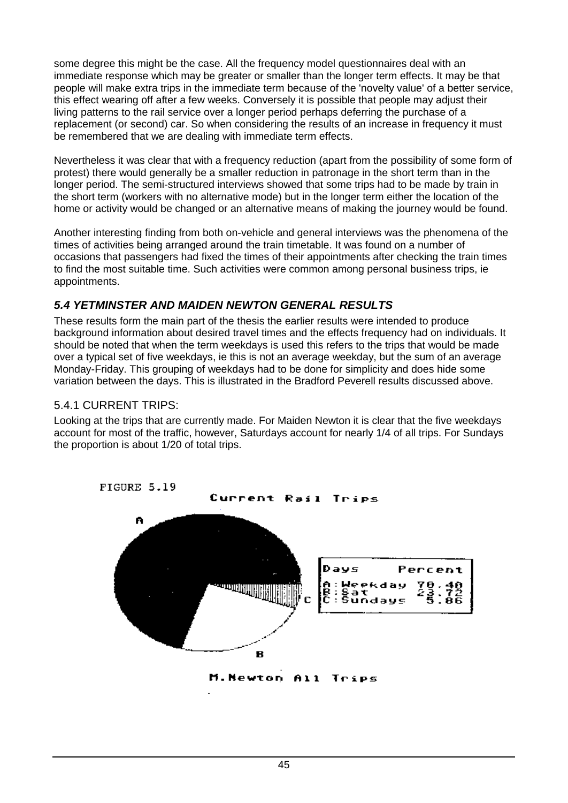some degree this might be the case. All the frequency model questionnaires deal with an immediate response which may be greater or smaller than the longer term effects. It may be that people will make extra trips in the immediate term because of the 'novelty value' of a better service, this effect wearing off after a few weeks. Conversely it is possible that people may adjust their living patterns to the rail service over a longer period perhaps deferring the purchase of a replacement (or second) car. So when considering the results of an increase in frequency it must be remembered that we are dealing with immediate term effects.

Nevertheless it was clear that with a frequency reduction (apart from the possibility of some form of protest) there would generally be a smaller reduction in patronage in the short term than in the longer period. The semi-structured interviews showed that some trips had to be made by train in the short term (workers with no alternative mode) but in the longer term either the location of the home or activity would be changed or an alternative means of making the journey would be found.

Another interesting finding from both on-vehicle and general interviews was the phenomena of the times of activities being arranged around the train timetable. It was found on a number of occasions that passengers had fixed the times of their appointments after checking the train times to find the most suitable time. Such activities were common among personal business trips, ie appointments.

# *5.4 YETMINSTER AND MAIDEN NEWTON GENERAL RESULTS*

These results form the main part of the thesis the earlier results were intended to produce background information about desired travel times and the effects frequency had on individuals. It should be noted that when the term weekdays is used this refers to the trips that would be made over a typical set of five weekdays, ie this is not an average weekday, but the sum of an average Monday-Friday. This grouping of weekdays had to be done for simplicity and does hide some variation between the days. This is illustrated in the Bradford Peverell results discussed above.

#### 5.4.1 CURRENT TRIPS:

Looking at the trips that are currently made. For Maiden Newton it is clear that the five weekdays account for most of the traffic, however, Saturdays account for nearly 1/4 of all trips. For Sundays the proportion is about 1/20 of total trips.



M.Newton  $f11$ Tripg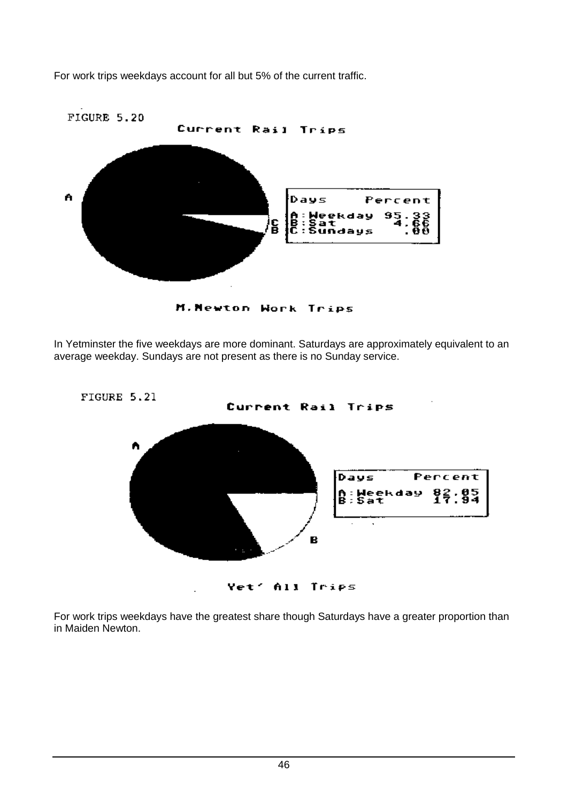For work trips weekdays account for all but 5% of the current traffic.



M. Newton Work Trips

In Yetminster the five weekdays are more dominant. Saturdays are approximately equivalent to an average weekday. Sundays are not present as there is no Sunday service.



For work trips weekdays have the greatest share though Saturdays have a greater proportion than in Maiden Newton.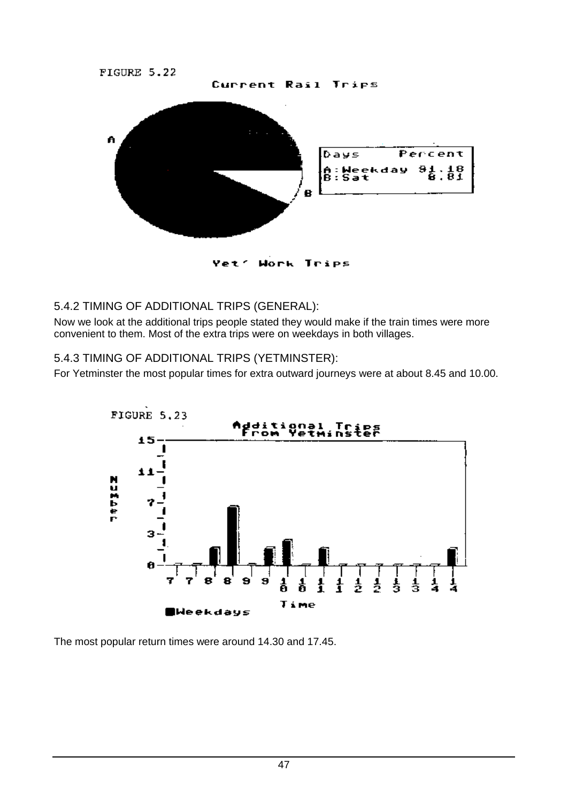

Trips ヤヌモ

# 5.4.2 TIMING OF ADDITIONAL TRIPS (GENERAL):

Now we look at the additional trips people stated they would make if the train times were more convenient to them. Most of the extra trips were on weekdays in both villages.

# 5.4.3 TIMING OF ADDITIONAL TRIPS (YETMINSTER):

For Yetminster the most popular times for extra outward journeys were at about 8.45 and 10.00.



The most popular return times were around 14.30 and 17.45.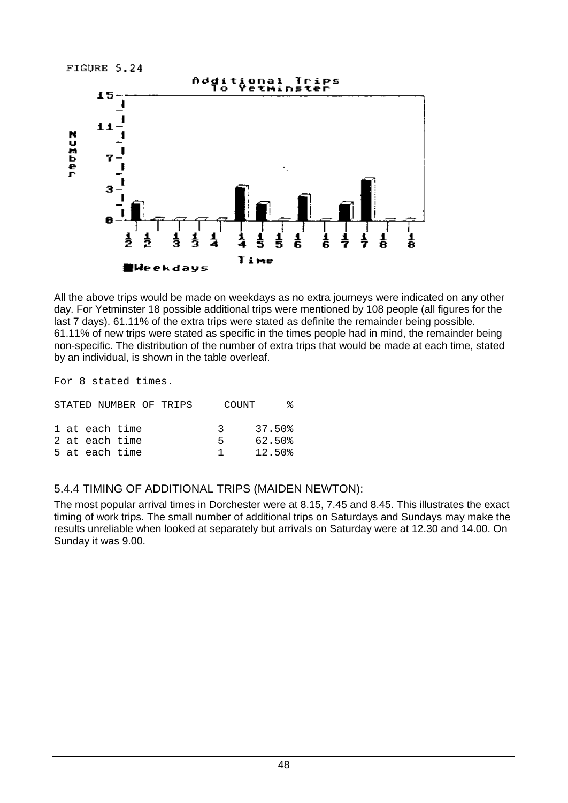FIGURE 5.24



All the above trips would be made on weekdays as no extra journeys were indicated on any other day. For Yetminster 18 possible additional trips were mentioned by 108 people (all figures for the last 7 days). 61.11% of the extra trips were stated as definite the remainder being possible. 61.11% of new trips were stated as specific in the times people had in mind, the remainder being non-specific. The distribution of the number of extra trips that would be made at each time, stated by an individual, is shown in the table overleaf.

For 8 stated times.

|  |                | STATED NUMBER OF TRIPS | <b>COUNT</b> |           | °≈ |
|--|----------------|------------------------|--------------|-----------|----|
|  | 1 at each time |                        |              | 3 37.50 % |    |
|  | 2 at each time |                        | Б.           | 62.50%    |    |
|  | 5 at each time |                        | -1. -        | 12.50%    |    |

#### 5.4.4 TIMING OF ADDITIONAL TRIPS (MAIDEN NEWTON):

The most popular arrival times in Dorchester were at 8.15, 7.45 and 8.45. This illustrates the exact timing of work trips. The small number of additional trips on Saturdays and Sundays may make the results unreliable when looked at separately but arrivals on Saturday were at 12.30 and 14.00. On Sunday it was 9.00.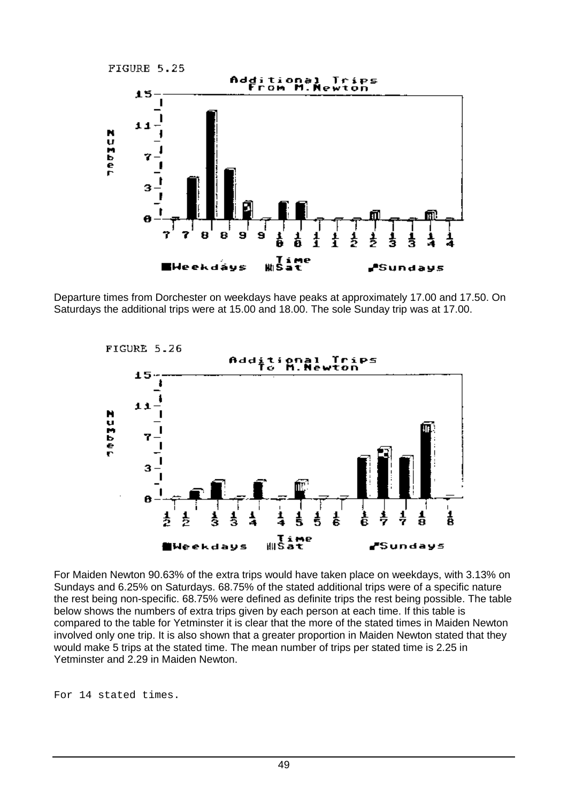

Departure times from Dorchester on weekdays have peaks at approximately 17.00 and 17.50. On Saturdays the additional trips were at 15.00 and 18.00. The sole Sunday trip was at 17.00.



For Maiden Newton 90.63% of the extra trips would have taken place on weekdays, with 3.13% on Sundays and 6.25% on Saturdays. 68.75% of the stated additional trips were of a specific nature the rest being non-specific. 68.75% were defined as definite trips the rest being possible. The table below shows the numbers of extra trips given by each person at each time. If this table is compared to the table for Yetminster it is clear that the more of the stated times in Maiden Newton involved only one trip. It is also shown that a greater proportion in Maiden Newton stated that they would make 5 trips at the stated time. The mean number of trips per stated time is 2.25 in Yetminster and 2.29 in Maiden Newton.

For 14 stated times.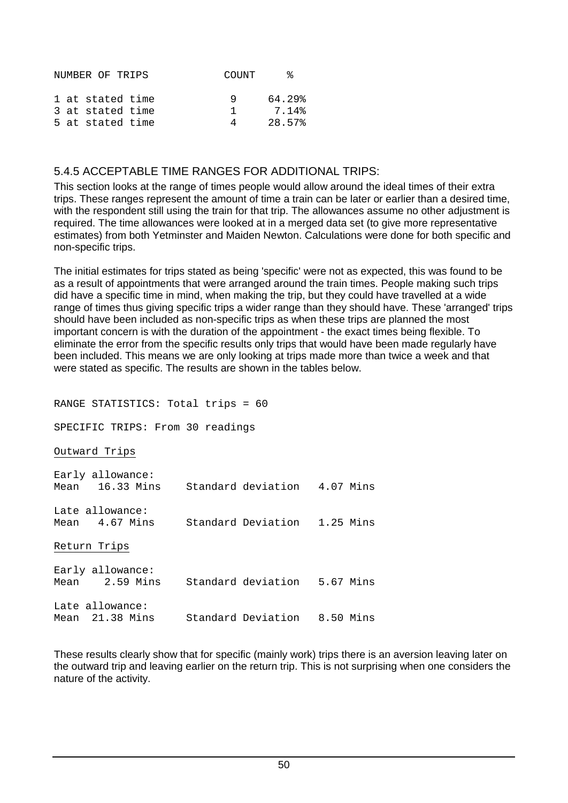|  | NUMBER OF TRIPS  | COUNT | °≈     |
|--|------------------|-------|--------|
|  | 1 at stated time | q     | 64.29% |
|  | 3 at stated time | T.    | 7.14%  |
|  | 5 at stated time |       | 28.57% |

#### 5.4.5 ACCEPTABLE TIME RANGES FOR ADDITIONAL TRIPS:

This section looks at the range of times people would allow around the ideal times of their extra trips. These ranges represent the amount of time a train can be later or earlier than a desired time, with the respondent still using the train for that trip. The allowances assume no other adjustment is required. The time allowances were looked at in a merged data set (to give more representative estimates) from both Yetminster and Maiden Newton. Calculations were done for both specific and non-specific trips.

The initial estimates for trips stated as being 'specific' were not as expected, this was found to be as a result of appointments that were arranged around the train times. People making such trips did have a specific time in mind, when making the trip, but they could have travelled at a wide range of times thus giving specific trips a wider range than they should have. These 'arranged' trips should have been included as non-specific trips as when these trips are planned the most important concern is with the duration of the appointment - the exact times being flexible. To eliminate the error from the specific results only trips that would have been made regularly have been included. This means we are only looking at trips made more than twice a week and that were stated as specific. The results are shown in the tables below.

| RANGE STATISTICS: Total trips = 60                               |  |  |
|------------------------------------------------------------------|--|--|
| SPECIFIC TRIPS: From 30 readings                                 |  |  |
| Outward Trips                                                    |  |  |
| Early allowance:<br>Mean 16.33 Mins Standard deviation 4.07 Mins |  |  |
| Late allowance:<br>Mean 4.67 Mins Standard Deviation 1.25 Mins   |  |  |
| Return Trips                                                     |  |  |
| Early allowance:<br>Mean 2.59 Mins Standard deviation 5.67 Mins  |  |  |
| Late allowance:<br>Mean 21.38 Mins Standard Deviation 8.50 Mins  |  |  |

These results clearly show that for specific (mainly work) trips there is an aversion leaving later on the outward trip and leaving earlier on the return trip. This is not surprising when one considers the nature of the activity.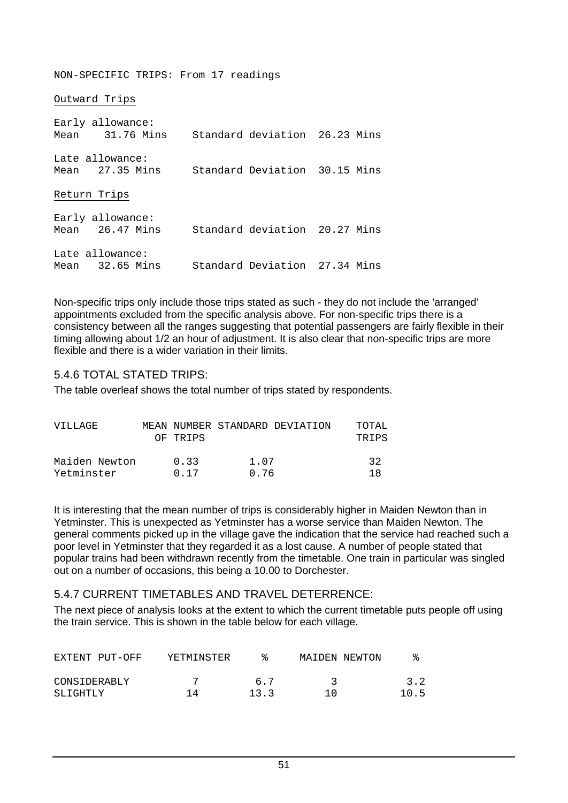NON-SPECIFIC TRIPS: From 17 readings

Outward Trips

Early allowance:<br>Mean 31.76 Mi 31.76 Mins Standard deviation 26.23 Mins Late allowance: Mean 27.35 Mins Standard Deviation 30.15 Mins Return Trips Early allowance: Mean 26.47 Mins Standard deviation 20.27 Mins Late allowance: Mean 32.65 Mins Standard Deviation 27.34 Mins

Non-specific trips only include those trips stated as such - they do not include the 'arranged' appointments excluded from the specific analysis above. For non-specific trips there is a consistency between all the ranges suggesting that potential passengers are fairly flexible in their timing allowing about 1/2 an hour of adjustment. It is also clear that non-specific trips are more flexible and there is a wider variation in their limits.

#### 5.4.6 TOTAL STATED TRIPS:

The table overleaf shows the total number of trips stated by respondents.

| VILLAGE                     | OF TRIPS     |              | MEAN NUMBER STANDARD DEVIATION | TOTAL<br>TRIPS |
|-----------------------------|--------------|--------------|--------------------------------|----------------|
| Maiden Newton<br>Yetminster | 0.33<br>0.17 | 1.07<br>0.76 |                                | 32<br>1 R      |

It is interesting that the mean number of trips is considerably higher in Maiden Newton than in Yetminster. This is unexpected as Yetminster has a worse service than Maiden Newton. The general comments picked up in the village gave the indication that the service had reached such a poor level in Yetminster that they regarded it as a lost cause. A number of people stated that popular trains had been withdrawn recently from the timetable. One train in particular was singled out on a number of occasions, this being a 10.00 to Dorchester.

#### 5.4.7 CURRENT TIMETABLES AND TRAVEL DETERRENCE:

The next piece of analysis looks at the extent to which the current timetable puts people off using the train service. This is shown in the table below for each village.

| EXTENT PUT-OFF           | YETMINSTER |             | MAIDEN NEWTON |                          |
|--------------------------|------------|-------------|---------------|--------------------------|
| CONSIDERABLY<br>SLIGHTLY | 14         | 6.7<br>13.3 | ገ በ           | 3.2 <sub>1</sub><br>10.5 |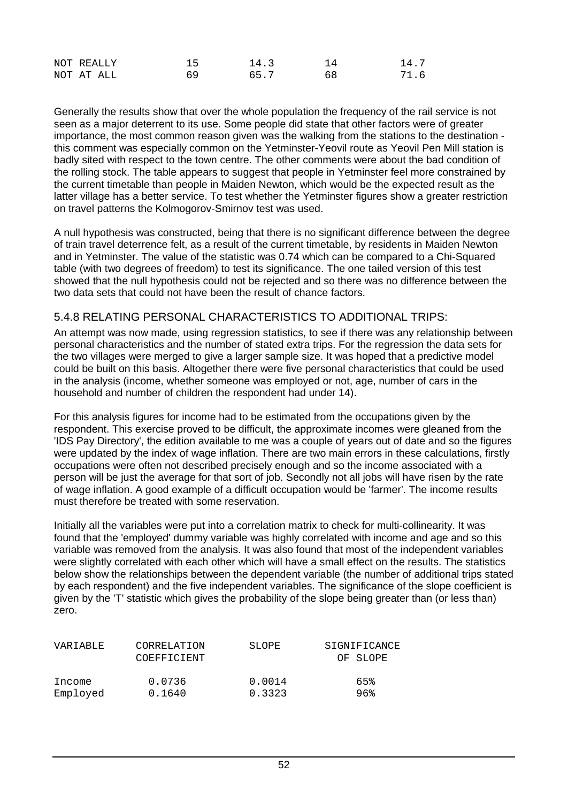| NOT REALLY |    | 14.3 | 14.' |
|------------|----|------|------|
| NOT AT ALL | 69 | 657  | 71 6 |

Generally the results show that over the whole population the frequency of the rail service is not seen as a major deterrent to its use. Some people did state that other factors were of greater importance, the most common reason given was the walking from the stations to the destination this comment was especially common on the Yetminster-Yeovil route as Yeovil Pen Mill station is badly sited with respect to the town centre. The other comments were about the bad condition of the rolling stock. The table appears to suggest that people in Yetminster feel more constrained by the current timetable than people in Maiden Newton, which would be the expected result as the latter village has a better service. To test whether the Yetminster figures show a greater restriction on travel patterns the Kolmogorov-Smirnov test was used.

A null hypothesis was constructed, being that there is no significant difference between the degree of train travel deterrence felt, as a result of the current timetable, by residents in Maiden Newton and in Yetminster. The value of the statistic was 0.74 which can be compared to a Chi-Squared table (with two degrees of freedom) to test its significance. The one tailed version of this test showed that the null hypothesis could not be rejected and so there was no difference between the two data sets that could not have been the result of chance factors.

#### 5.4.8 RELATING PERSONAL CHARACTERISTICS TO ADDITIONAL TRIPS:

An attempt was now made, using regression statistics, to see if there was any relationship between personal characteristics and the number of stated extra trips. For the regression the data sets for the two villages were merged to give a larger sample size. It was hoped that a predictive model could be built on this basis. Altogether there were five personal characteristics that could be used in the analysis (income, whether someone was employed or not, age, number of cars in the household and number of children the respondent had under 14).

For this analysis figures for income had to be estimated from the occupations given by the respondent. This exercise proved to be difficult, the approximate incomes were gleaned from the 'IDS Pay Directory', the edition available to me was a couple of years out of date and so the figures were updated by the index of wage inflation. There are two main errors in these calculations, firstly occupations were often not described precisely enough and so the income associated with a person will be just the average for that sort of job. Secondly not all jobs will have risen by the rate of wage inflation. A good example of a difficult occupation would be 'farmer'. The income results must therefore be treated with some reservation.

Initially all the variables were put into a correlation matrix to check for multi-collinearity. It was found that the 'employed' dummy variable was highly correlated with income and age and so this variable was removed from the analysis. It was also found that most of the independent variables were slightly correlated with each other which will have a small effect on the results. The statistics below show the relationships between the dependent variable (the number of additional trips stated by each respondent) and the five independent variables. The significance of the slope coefficient is given by the 'T' statistic which gives the probability of the slope being greater than (or less than) zero.

| VARIABLE | CORRELATION | SLOPE  | SIGNIFICANCE |
|----------|-------------|--------|--------------|
|          | COEFFICIENT |        | OF SLOPE     |
|          |             |        |              |
| Income   | 0.0736      | 0.0014 | 65%          |
| Employed | 0.1640      | 0.3323 | ୨ଟେ          |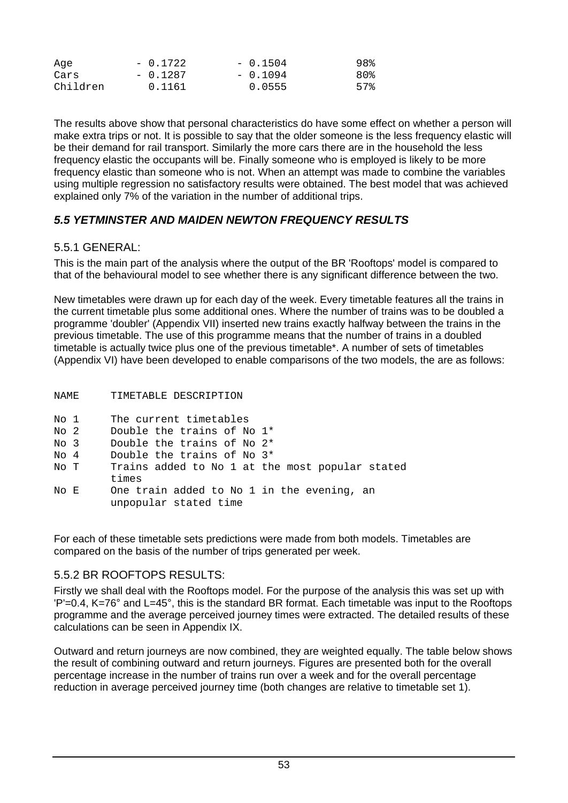| Aqe      | $-0.1722$ | $-0.1504$ | 98% |
|----------|-----------|-----------|-----|
| Cars     | $-0.1287$ | $-0.1094$ | 80% |
| Children | 0.1161    | 0.0555    | 57% |

The results above show that personal characteristics do have some effect on whether a person will make extra trips or not. It is possible to say that the older someone is the less frequency elastic will be their demand for rail transport. Similarly the more cars there are in the household the less frequency elastic the occupants will be. Finally someone who is employed is likely to be more frequency elastic than someone who is not. When an attempt was made to combine the variables using multiple regression no satisfactory results were obtained. The best model that was achieved explained only 7% of the variation in the number of additional trips.

#### *5.5 YETMINSTER AND MAIDEN NEWTON FREQUENCY RESULTS*

#### $5.5.1$  GENERAL:

This is the main part of the analysis where the output of the BR 'Rooftops' model is compared to that of the behavioural model to see whether there is any significant difference between the two.

New timetables were drawn up for each day of the week. Every timetable features all the trains in the current timetable plus some additional ones. Where the number of trains was to be doubled a programme 'doubler' (Appendix VII) inserted new trains exactly halfway between the trains in the previous timetable. The use of this programme means that the number of trains in a doubled timetable is actually twice plus one of the previous timetable\*. A number of sets of timetables (Appendix VI) have been developed to enable comparisons of the two models, the are as follows:

| NAME | TIMETABLE DESCRIPTION                                               |
|------|---------------------------------------------------------------------|
| No 1 | The current timetables                                              |
| No 2 | Double the trains of No 1*                                          |
| No 3 | Double the trains of No 2*                                          |
| No 4 | Double the trains of No 3*                                          |
| No T | Trains added to No 1 at the most popular stated<br>times            |
| No E | One train added to No 1 in the evening, an<br>unpopular stated time |

For each of these timetable sets predictions were made from both models. Timetables are compared on the basis of the number of trips generated per week.

# 5.5.2 BR ROOFTOPS RESULTS:

Firstly we shall deal with the Rooftops model. For the purpose of the analysis this was set up with 'P'=0.4, K=76° and L=45°, this is the standard BR format. Each timetable was input to the Rooftops programme and the average perceived journey times were extracted. The detailed results of these calculations can be seen in Appendix IX.

Outward and return journeys are now combined, they are weighted equally. The table below shows the result of combining outward and return journeys. Figures are presented both for the overall percentage increase in the number of trains run over a week and for the overall percentage reduction in average perceived journey time (both changes are relative to timetable set 1).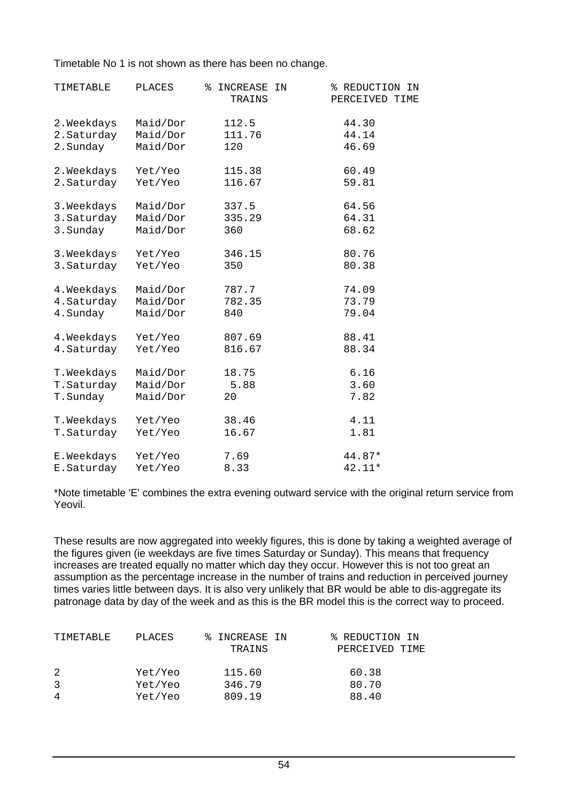Timetable No 1 is not shown as there has been no change.

| TIMETABLE   | <b>PLACES</b> | ి<br>INCREASE<br>IN<br>TRAINS | % REDUCTION<br>IN<br>PERCEIVED TIME |
|-------------|---------------|-------------------------------|-------------------------------------|
| 2. Weekdays | Maid/Dor      | 112.5                         | 44.30                               |
| 2. Saturday | Maid/Dor      | 111.76                        | 44.14                               |
| 2. Sunday   | Maid/Dor      | 120                           | 46.69                               |
| 2. Weekdays | Yet/Yeo       | 115.38                        | 60.49                               |
| 2. Saturday | Yet/Yeo       | 116.67                        | 59.81                               |
| 3. Weekdays | Maid/Dor      | 337.5                         | 64.56                               |
| 3. Saturday | Maid/Dor      | 335.29                        | 64.31                               |
| 3. Sunday   | Maid/Dor      | 360                           | 68.62                               |
| 3. Weekdays | Yet/Yeo       | 346.15                        | 80.76                               |
| 3. Saturday | Yet/Yeo       | 350                           | 80.38                               |
| 4. Weekdays | Maid/Dor      | 787.7                         | 74.09                               |
| 4. Saturday | Maid/Dor      | 782.35                        | 73.79                               |
| 4. Sunday   | Maid/Dor      | 840                           | 79.04                               |
| 4. Weekdays | Yet/Yeo       | 807.69                        | 88.41                               |
| 4. Saturday | Yet/Yeo       | 816.67                        | 88.34                               |
| T.Weekdays  | Maid/Dor      | 18.75                         | 6.16                                |
| T. Saturday | Maid/Dor      | 5.88                          | 3.60                                |
| T.Sunday    | Maid/Dor      | 20                            | 7.82                                |
| T.Weekdays  | Yet/Yeo       | 38.46                         | 4.11                                |
| T.Saturday  | Yet/Yeo       | 16.67                         | 1.81                                |
| E.Weekdays  | Yet/Yeo       | 7.69                          | 44.87*                              |
| E.Saturday  | Yet/Yeo       | 8.33                          | 42.11*                              |

\*Note timetable 'E' combines the extra evening outward service with the original return service from Yeovil.

These results are now aggregated into weekly figures, this is done by taking a weighted average of the figures given (ie weekdays are five times Saturday or Sunday). This means that frequency increases are treated equally no matter which day they occur. However this is not too great an assumption as the percentage increase in the number of trains and reduction in perceived journey times varies little between days. It is also very unlikely that BR would be able to dis-aggregate its patronage data by day of the week and as this is the BR model this is the correct way to proceed.

| TIMETABLE | PLACES  | % INCREASE IN<br>TRAINS | % REDUCTION IN<br>PERCEIVED TIME |
|-----------|---------|-------------------------|----------------------------------|
| -3        | Yet/Yeo | 115.60                  | 60.38                            |
|           | Yet/Yeo | 346.79                  | 80.70                            |
|           | Yet/Yeo | 809.19                  | 88.40                            |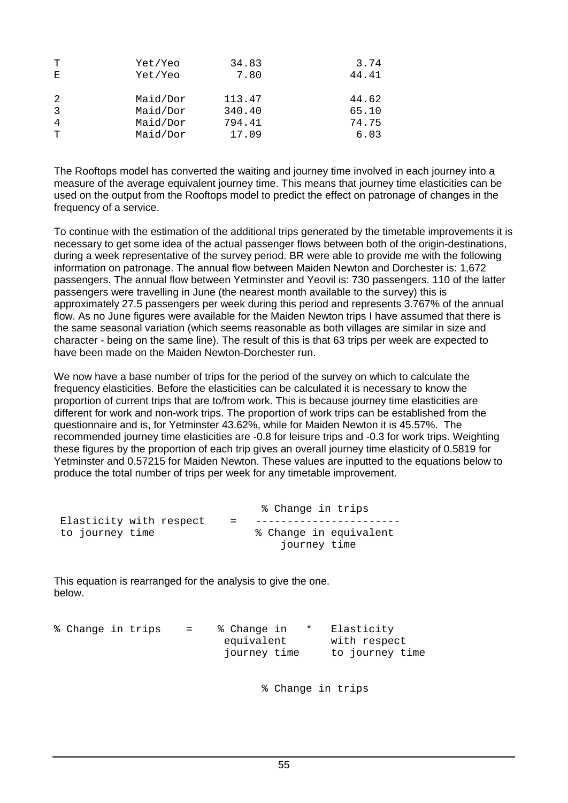| т | Yet/Yeo  | 34.83  | 3.74  |
|---|----------|--------|-------|
| Е | Yet/Yeo  | 7.80   | 44.41 |
|   |          |        |       |
| 2 | Maid/Dor | 113.47 | 44.62 |
| 3 | Maid/Dor | 340.40 | 65.10 |
| 4 | Maid/Dor | 794.41 | 74.75 |
| T | Maid/Dor | 17.09  | 6.03  |
|   |          |        |       |

The Rooftops model has converted the waiting and journey time involved in each journey into a measure of the average equivalent journey time. This means that journey time elasticities can be used on the output from the Rooftops model to predict the effect on patronage of changes in the frequency of a service.

To continue with the estimation of the additional trips generated by the timetable improvements it is necessary to get some idea of the actual passenger flows between both of the origin-destinations, during a week representative of the survey period. BR were able to provide me with the following information on patronage. The annual flow between Maiden Newton and Dorchester is: 1,672 passengers. The annual flow between Yetminster and Yeovil is: 730 passengers. 110 of the latter passengers were travelling in June (the nearest month available to the survey) this is approximately 27.5 passengers per week during this period and represents 3.767% of the annual flow. As no June figures were available for the Maiden Newton trips I have assumed that there is the same seasonal variation (which seems reasonable as both villages are similar in size and character - being on the same line). The result of this is that 63 trips per week are expected to have been made on the Maiden Newton-Dorchester run.

We now have a base number of trips for the period of the survey on which to calculate the frequency elasticities. Before the elasticities can be calculated it is necessary to know the proportion of current trips that are to/from work. This is because journey time elasticities are different for work and non-work trips. The proportion of work trips can be established from the questionnaire and is, for Yetminster 43.62%, while for Maiden Newton it is 45.57%. The recommended journey time elasticities are -0.8 for leisure trips and -0.3 for work trips. Weighting these figures by the proportion of each trip gives an overall journey time elasticity of 0.5819 for Yetminster and 0.57215 for Maiden Newton. These values are inputted to the equations below to produce the total number of trips per week for any timetable improvement.

|                         |     | % Change in trips      |
|-------------------------|-----|------------------------|
| Elasticity with respect | $=$ |                        |
| to journey time         |     | % Change in equivalent |
|                         |     | journey time           |

This equation is rearranged for the analysis to give the one. below.

| % Change in trips |  | $\mathbf{r} = \mathbf{r}$ | % Change in<br>equivalent<br>journey time | $\star$ | Elasticity<br>with respect<br>to journey time |  |
|-------------------|--|---------------------------|-------------------------------------------|---------|-----------------------------------------------|--|
|                   |  |                           |                                           |         |                                               |  |

% Change in trips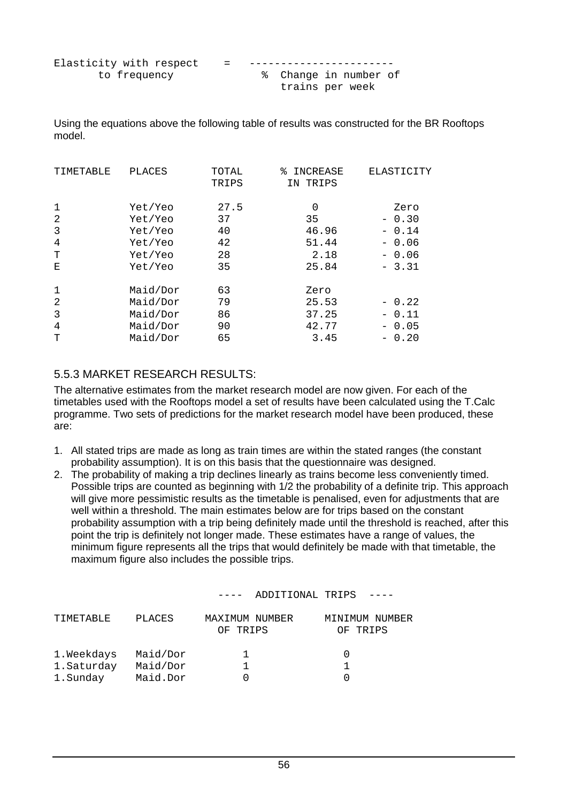| Elasticity with respect | $=$ |                       |  |  |
|-------------------------|-----|-----------------------|--|--|
| to frequency            |     | % Change in number of |  |  |
|                         |     | trains per week       |  |  |

Using the equations above the following table of results was constructed for the BR Rooftops model.

| TIMETABLE        | <b>PLACES</b>      | TOTAL<br>TRIPS | INCREASE<br>°≈<br>IN TRIPS | ELASTICITY      |
|------------------|--------------------|----------------|----------------------------|-----------------|
| $\mathbf 1$<br>2 | Yet/Yeo<br>Yet/Yeo | 27.5<br>37     | 0<br>35                    | Zero<br>$-0.30$ |
| 3                | Yet/Yeo            | 40             | 46.96                      | $-0.14$         |
| 4                | Yet/Yeo            | 42             | 51.44                      | $-0.06$         |
| Т                | Yet/Yeo            | 28             | 2.18                       | $-0.06$         |
| Е                | Yet/Yeo            | 35             | 25.84                      | $-3.31$         |
| $\mathbf 1$      | Maid/Dor           | 63             | Zero                       |                 |
| $\overline{2}$   | Maid/Dor           | 79             | 25.53                      | $-0.22$         |
| 3                | Maid/Dor           | 86             | 37.25                      | $-0.11$         |
| 4                | Maid/Dor           | 90             | 42.77                      | $-0.05$         |
| Т                | Maid/Dor           | 65             | 3.45                       | 0.20            |

#### 5.5.3 MARKET RESEARCH RESULTS:

The alternative estimates from the market research model are now given. For each of the timetables used with the Rooftops model a set of results have been calculated using the T.Calc programme. Two sets of predictions for the market research model have been produced, these are:

- 1. All stated trips are made as long as train times are within the stated ranges (the constant probability assumption). It is on this basis that the questionnaire was designed.
- 2. The probability of making a trip declines linearly as trains become less conveniently timed. Possible trips are counted as beginning with 1/2 the probability of a definite trip. This approach will give more pessimistic results as the timetable is penalised, even for adjustments that are well within a threshold. The main estimates below are for trips based on the constant probability assumption with a trip being definitely made until the threshold is reached, after this point the trip is definitely not longer made. These estimates have a range of values, the minimum figure represents all the trips that would definitely be made with that timetable, the maximum figure also includes the possible trips.

|            |          |                               | ADDITIONAL TRIPS |          |                |
|------------|----------|-------------------------------|------------------|----------|----------------|
| TIMETABLE  | PLACES   | MAXIMUM NUMBER<br>TRIPS<br>ΟF |                  | OF TRIPS | MINIMUM NUMBER |
| 1.Weekdays | Maid/Dor |                               |                  |          |                |
| 1.Saturday | Maid/Dor |                               |                  |          |                |
| 1.Sunday   | Maid.Dor |                               |                  |          |                |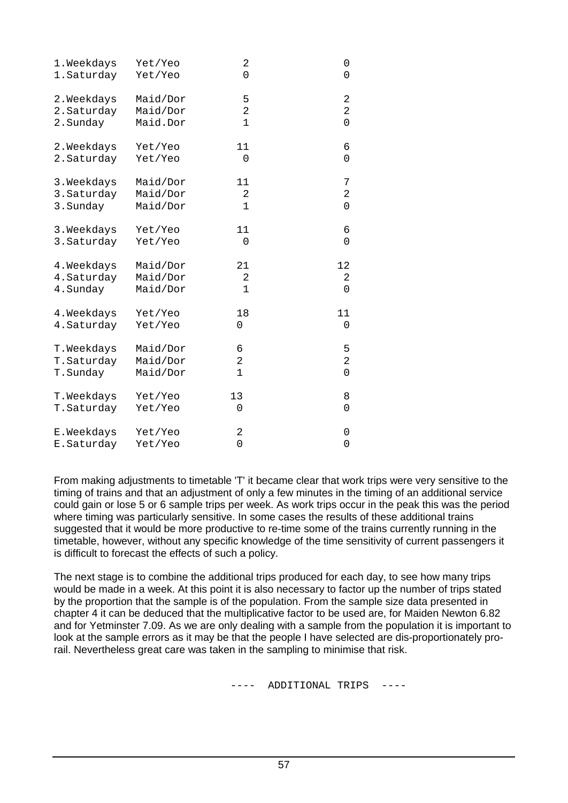| 1.Weekdays  | Yet/Yeo  | 2              | 0              |
|-------------|----------|----------------|----------------|
| 1. Saturday | Yet/Yeo  | 0              | 0              |
| 2. Weekdays | Maid/Dor | 5              | 2              |
| 2. Saturday | Maid/Dor | 2              | 2              |
| 2. Sunday   | Maid.Dor | $\mathbf 1$    | 0              |
| 2. Weekdays | Yet/Yeo  | 11             | 6              |
| 2. Saturday | Yet/Yeo  | 0              | 0              |
| 3. Weekdays | Maid/Dor | 11             | 7              |
| 3. Saturday | Maid/Dor | 2              | 2              |
| 3. Sunday   | Maid/Dor | 1              | 0              |
| 3. Weekdays | Yet/Yeo  | 11             | 6              |
| 3. Saturday | Yet/Yeo  | 0              | 0              |
| 4. Weekdays | Maid/Dor | 21             | 12             |
| 4. Saturday | Maid/Dor | 2              | 2              |
| 4. Sunday   | Maid/Dor | 1              | 0              |
| 4. Weekdays | Yet/Yeo  | 18             | 11             |
| 4. Saturday | Yet/Yeo  | 0              | 0              |
| T. Weekdays | Maid/Dor | 6              | 5              |
| T.Saturday  | Maid/Dor | $\overline{2}$ | $\overline{2}$ |
| T.Sunday    | Maid/Dor | 1              | 0              |
| T. Weekdays | Yet/Yeo  | 13             | 8              |
| T.Saturday  | Yet/Yeo  | 0              | 0              |
| E.Weekdays  | Yet/Yeo  | 2              | 0              |
| E.Saturday  | Yet/Yeo  | 0              | 0              |

From making adjustments to timetable 'T' it became clear that work trips were very sensitive to the timing of trains and that an adjustment of only a few minutes in the timing of an additional service could gain or lose 5 or 6 sample trips per week. As work trips occur in the peak this was the period where timing was particularly sensitive. In some cases the results of these additional trains suggested that it would be more productive to re-time some of the trains currently running in the timetable, however, without any specific knowledge of the time sensitivity of current passengers it is difficult to forecast the effects of such a policy.

The next stage is to combine the additional trips produced for each day, to see how many trips would be made in a week. At this point it is also necessary to factor up the number of trips stated by the proportion that the sample is of the population. From the sample size data presented in chapter 4 it can be deduced that the multiplicative factor to be used are, for Maiden Newton 6.82 and for Yetminster 7.09. As we are only dealing with a sample from the population it is important to look at the sample errors as it may be that the people I have selected are dis-proportionately prorail. Nevertheless great care was taken in the sampling to minimise that risk.

--- ADDITIONAL TRIPS ---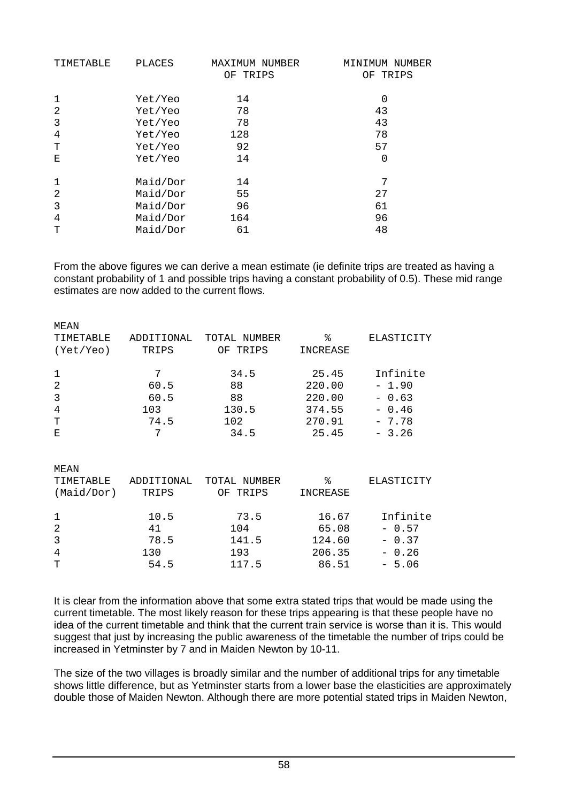| TIMETABLE | <b>PLACES</b> | MAXIMUM NUMBER<br>OF TRIPS | MINIMUM NUMBER<br>OF TRIPS |
|-----------|---------------|----------------------------|----------------------------|
| 1         | Yet/Yeo       | 14                         | 0                          |
| 2         | Yet/Yeo       | 78                         | 43                         |
| 3         | Yet/Yeo       | 78                         | 43                         |
| 4         | Yet/Yeo       | 128                        | 78                         |
| Т         | Yet/Yeo       | 92                         | 57                         |
| Ε         | Yet/Yeo       | 14                         | 0                          |
| 1         | Maid/Dor      | 14                         | 7                          |
| 2         | Maid/Dor      | 55                         | 27                         |
| 3         | Maid/Dor      | 96                         | 61                         |
| 4         | Maid/Dor      | 164                        | 96                         |
| Т         | Maid/Dor      | 61                         | 48                         |

From the above figures we can derive a mean estimate (ie definite trips are treated as having a constant probability of 1 and possible trips having a constant probability of 0.5). These mid range estimates are now added to the current flows.

| MEAN           |            |                 |          |            |
|----------------|------------|-----------------|----------|------------|
| TIMETABLE      | ADDITIONAL | NUMBER<br>TOTAL | ٩,       | ELASTICITY |
| (Yet/Yeo)      | TRIPS      | TRIPS<br>ΟF     | INCREASE |            |
| 1              | 7          | 34.5            | 25.45    | Infinite   |
| 2              | 60.5       | 88              | 220.00   | $-1.90$    |
| 3              | 60.5       | 88              | 220.00   | $-0.63$    |
| $\overline{4}$ | 103        | 130.5           | 374.55   | $-0.46$    |
| T              | 74.5       | 102             | 270.91   | $-7.78$    |
| E              | 7          | 34.5            | 25.45    | $-3.26$    |
| MEAN           |            |                 |          |            |
| TIMETABLE      | ADDITIONAL | TOTAL NUMBER    | ⊱        | ELASTICITY |
| (Maid/ Dor)    | TRIPS      | OF<br>TRIPS     | INCREASE |            |
| 1              | 10.5       | 73.5            | 16.67    | Infinite   |
| 2              | 41         | 104             | 65.08    | $-0.57$    |
| 3              | 78.5       | 141.5           | 124.60   | 0.37       |
| 4              | 130        | 193             | 206.35   | $-0.26$    |

T 54.5 117.5 86.51 - 5.06

It is clear from the information above that some extra stated trips that would be made using the current timetable. The most likely reason for these trips appearing is that these people have no idea of the current timetable and think that the current train service is worse than it is. This would suggest that just by increasing the public awareness of the timetable the number of trips could be increased in Yetminster by 7 and in Maiden Newton by 10-11.

The size of the two villages is broadly similar and the number of additional trips for any timetable shows little difference, but as Yetminster starts from a lower base the elasticities are approximately double those of Maiden Newton. Although there are more potential stated trips in Maiden Newton,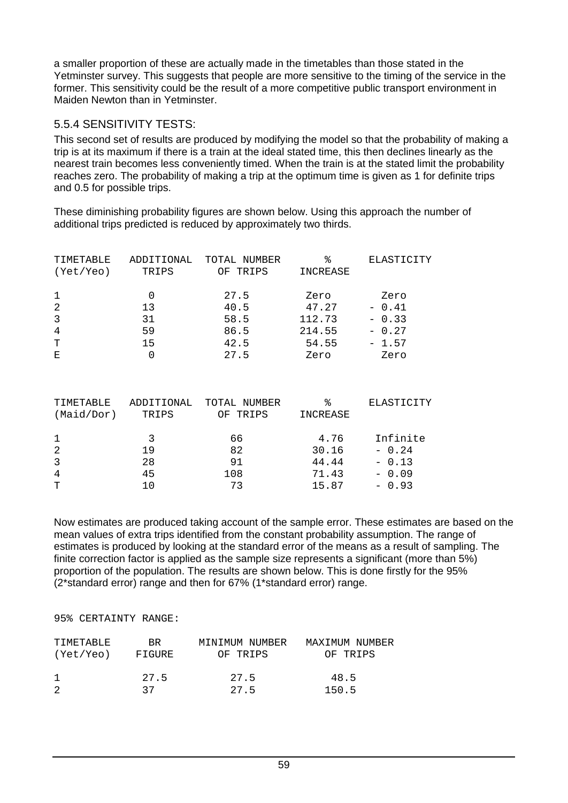a smaller proportion of these are actually made in the timetables than those stated in the Yetminster survey. This suggests that people are more sensitive to the timing of the service in the former. This sensitivity could be the result of a more competitive public transport environment in Maiden Newton than in Yetminster.

#### 5.5.4 SENSITIVITY TESTS:

This second set of results are produced by modifying the model so that the probability of making a trip is at its maximum if there is a train at the ideal stated time, this then declines linearly as the nearest train becomes less conveniently timed. When the train is at the stated limit the probability reaches zero. The probability of making a trip at the optimum time is given as 1 for definite trips and 0.5 for possible trips.

These diminishing probability figures are shown below. Using this approach the number of additional trips predicted is reduced by approximately two thirds.

| TIMETABLE<br>(Yet/Yeo) | ADDITIONAL<br>TRIPS | TOTAL NUMBER<br>TRIPS<br>OF | °<br>INCREASE | ELASTICITY |
|------------------------|---------------------|-----------------------------|---------------|------------|
| 1                      |                     | 27.5                        | Zero          | Zero       |
| 2                      | 13                  | 40.5                        | 47.27         | $-0.41$    |
| 3                      | 31                  | 58.5                        | 112.73        | $-0.33$    |
| $\overline{4}$         | 59                  | 86.5                        | 214.55        | $-0.27$    |
| T                      | 15                  | 42.5                        | 54.55         | $-1.57$    |
| E                      |                     | 27.5                        | Zero          | Zero       |

| TIMETABLE<br>(Maid/Dor)       | ADDITIONAL<br>TRIPS | TOTAL NUMBER<br>TRIPS<br>OF | °<br>INCREASE                   | ELASTICITY                                |
|-------------------------------|---------------------|-----------------------------|---------------------------------|-------------------------------------------|
| 1<br>2<br>3<br>$\overline{4}$ | 19<br>28<br>45      | 66<br>82<br>91<br>108       | 4.76<br>30.16<br>44.44<br>71.43 | Infinite<br>$-0.24$<br>$-0.13$<br>$-0.09$ |
| T                             |                     | 73                          | 15.87                           | $-0.93$                                   |

Now estimates are produced taking account of the sample error. These estimates are based on the mean values of extra trips identified from the constant probability assumption. The range of estimates is produced by looking at the standard error of the means as a result of sampling. The finite correction factor is applied as the sample size represents a significant (more than 5%) proportion of the population. The results are shown below. This is done firstly for the 95% (2\*standard error) range and then for 67% (1\*standard error) range.

95% CERTAINTY RANGE:

| TIMETABLE | BR.    | MINIMUM NUMBER | MAXIMUM NUMBER |
|-----------|--------|----------------|----------------|
| (Yet/Yeo) | FIGURE | OF TRIPS       | OF TRIPS       |
|           | 27.5   | 27.5           | 48.5           |
|           | 37     | 27.5           | 150.5          |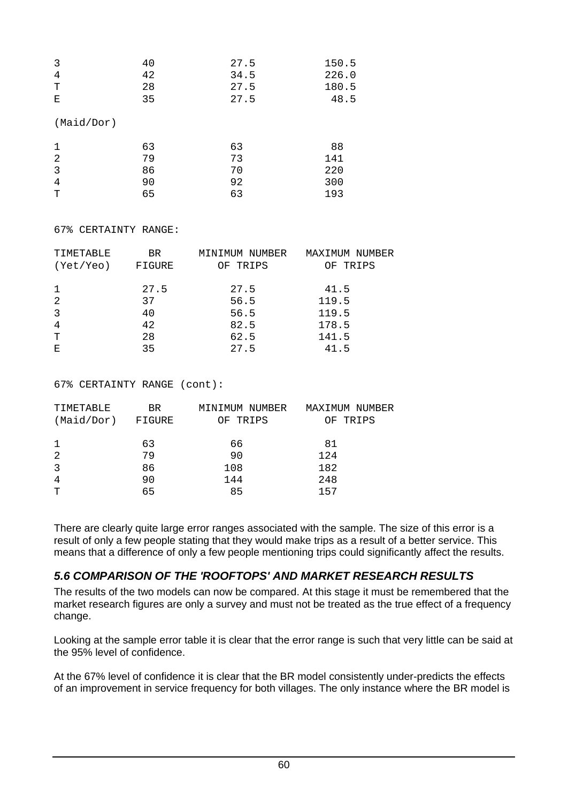| 3          | 40 | 27.5 | 150.5 |
|------------|----|------|-------|
| 4          | 42 | 34.5 | 226.0 |
| Т          | 28 | 27.5 | 180.5 |
| Ε          | 35 | 27.5 | 48.5  |
| (Maid/Dor) |    |      |       |
| 1          | 63 | 63   | 88    |
| 2          | 79 | 73   | 141   |
| 3          | 86 | 70   | 220   |
| 4          | 90 | 92   | 300   |
| Т          | 65 | 63   | 193   |

67% CERTAINTY RANGE:

| TIMETABLE      | BR.    | MINIMUM NUMBER | MAXIMUM NUMBER |
|----------------|--------|----------------|----------------|
| (Yet/Yeo)      | FIGURE | OF TRIPS       | OF TRIPS       |
|                |        |                |                |
| -1             | 27.5   | 27.5           | 41.5           |
| 2              | 37     | 56.5           | 119.5          |
| 3              | 40     | 56.5           | 119.5          |
| $\overline{4}$ | 42     | 82.5           | 178.5          |
| T              | 28     | 62.5           | 141.5          |
| Ε              | 35     | 27.5           | 41.5           |

67% CERTAINTY RANGE (cont):

| TIMETABLE<br>(Maid/Dor) | BR.<br>FIGURE | MINIMUM NUMBER<br>OF TRIPS | MAXIMUM NUMBER<br>OF TRIPS |
|-------------------------|---------------|----------------------------|----------------------------|
| 1                       | 63            | 66                         | 81                         |
| 2                       | 79            | 90                         | 124                        |
| 3                       | 86            | 108                        | 182                        |
| $\overline{4}$          | 90            | 144                        | 248                        |
| T                       | 65            | 85                         | 157                        |

There are clearly quite large error ranges associated with the sample. The size of this error is a result of only a few people stating that they would make trips as a result of a better service. This means that a difference of only a few people mentioning trips could significantly affect the results.

#### *5.6 COMPARISON OF THE 'ROOFTOPS' AND MARKET RESEARCH RESULTS*

The results of the two models can now be compared. At this stage it must be remembered that the market research figures are only a survey and must not be treated as the true effect of a frequency change.

Looking at the sample error table it is clear that the error range is such that very little can be said at the 95% level of confidence.

At the 67% level of confidence it is clear that the BR model consistently under-predicts the effects of an improvement in service frequency for both villages. The only instance where the BR model is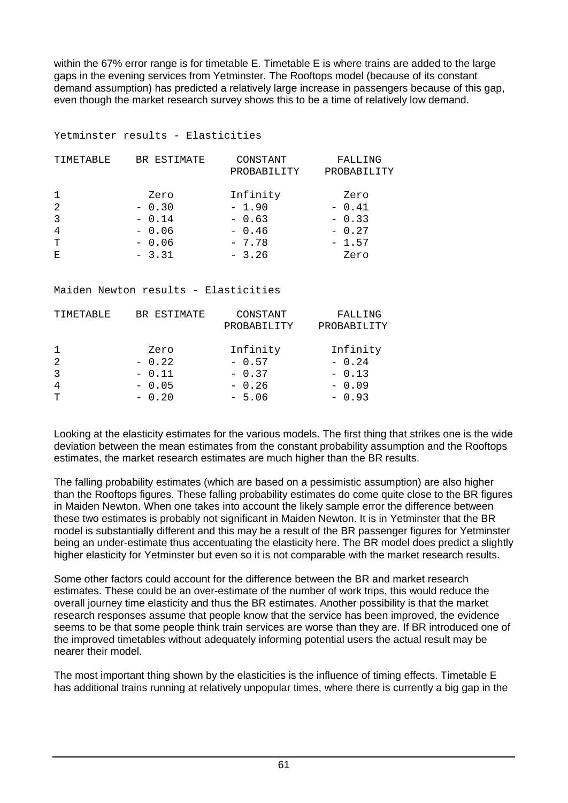within the 67% error range is for timetable E. Timetable E is where trains are added to the large gaps in the evening services from Yetminster. The Rooftops model (because of its constant demand assumption) has predicted a relatively large increase in passengers because of this gap, even though the market research survey shows this to be a time of relatively low demand.

#### Yetminster results - Elasticities

| TIMETABLE      | BR ESTIMATE | CONSTANT<br>PROBABILITY | FALLING<br>PROBABILITY |
|----------------|-------------|-------------------------|------------------------|
| 1              | Zero        | Infinity                | Zero                   |
| 2              | $-0.30$     | $-1.90$                 | $-0.41$                |
| 3              | $-0.14$     | $-0.63$                 | $-0.33$                |
| $\overline{4}$ | $-0.06$     | $-0.46$                 | $-0.27$                |
| T              | $-0.06$     | $-7.78$                 | $-1.57$                |
| Ε              | $-3.31$     | $-3.26$                 | Zero                   |

#### Maiden Newton results - Elasticities

| TIMETABLE      | BR ESTIMATE | CONSTANT<br>PROBABILITY | FALLING<br>PROBABILITY |
|----------------|-------------|-------------------------|------------------------|
| $\mathbf{1}$   | Zero        | Infinity                | Infinity               |
| 2              | $-0.22$     | $-0.57$                 | $-0.24$                |
| 3              | $-0.11$     | $-0.37$                 | $-0.13$                |
| $\overline{4}$ | $-0.05$     | $-0.26$                 | $-0.09$                |
| т              | $-0.20$     | $-5.06$                 | $-0.93$                |

Looking at the elasticity estimates for the various models. The first thing that strikes one is the wide deviation between the mean estimates from the constant probability assumption and the Rooftops estimates, the market research estimates are much higher than the BR results.

The falling probability estimates (which are based on a pessimistic assumption) are also higher than the Rooftops figures. These falling probability estimates do come quite close to the BR figures in Maiden Newton. When one takes into account the likely sample error the difference between these two estimates is probably not significant in Maiden Newton. It is in Yetminster that the BR model is substantially different and this may be a result of the BR passenger figures for Yetminster being an under-estimate thus accentuating the elasticity here. The BR model does predict a slightly higher elasticity for Yetminster but even so it is not comparable with the market research results.

Some other factors could account for the difference between the BR and market research estimates. These could be an over-estimate of the number of work trips, this would reduce the overall journey time elasticity and thus the BR estimates. Another possibility is that the market research responses assume that people know that the service has been improved, the evidence seems to be that some people think train services are worse than they are. If BR introduced one of the improved timetables without adequately informing potential users the actual result may be nearer their model.

The most important thing shown by the elasticities is the influence of timing effects. Timetable E has additional trains running at relatively unpopular times, where there is currently a big gap in the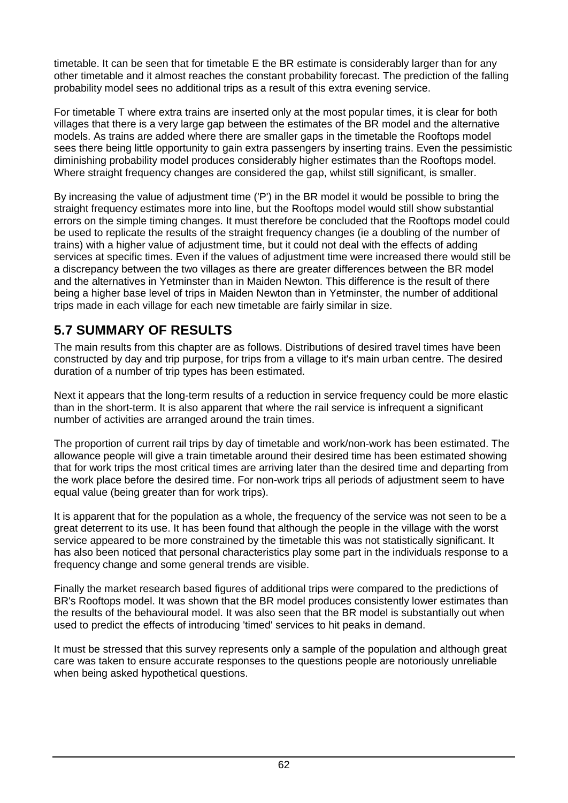timetable. It can be seen that for timetable E the BR estimate is considerably larger than for any other timetable and it almost reaches the constant probability forecast. The prediction of the falling probability model sees no additional trips as a result of this extra evening service.

For timetable T where extra trains are inserted only at the most popular times, it is clear for both villages that there is a very large gap between the estimates of the BR model and the alternative models. As trains are added where there are smaller gaps in the timetable the Rooftops model sees there being little opportunity to gain extra passengers by inserting trains. Even the pessimistic diminishing probability model produces considerably higher estimates than the Rooftops model. Where straight frequency changes are considered the gap, whilst still significant, is smaller.

By increasing the value of adjustment time ('P') in the BR model it would be possible to bring the straight frequency estimates more into line, but the Rooftops model would still show substantial errors on the simple timing changes. It must therefore be concluded that the Rooftops model could be used to replicate the results of the straight frequency changes (ie a doubling of the number of trains) with a higher value of adjustment time, but it could not deal with the effects of adding services at specific times. Even if the values of adjustment time were increased there would still be a discrepancy between the two villages as there are greater differences between the BR model and the alternatives in Yetminster than in Maiden Newton. This difference is the result of there being a higher base level of trips in Maiden Newton than in Yetminster, the number of additional trips made in each village for each new timetable are fairly similar in size.

# **5.7 SUMMARY OF RESULTS**

The main results from this chapter are as follows. Distributions of desired travel times have been constructed by day and trip purpose, for trips from a village to it's main urban centre. The desired duration of a number of trip types has been estimated.

Next it appears that the long-term results of a reduction in service frequency could be more elastic than in the short-term. It is also apparent that where the rail service is infrequent a significant number of activities are arranged around the train times.

The proportion of current rail trips by day of timetable and work/non-work has been estimated. The allowance people will give a train timetable around their desired time has been estimated showing that for work trips the most critical times are arriving later than the desired time and departing from the work place before the desired time. For non-work trips all periods of adjustment seem to have equal value (being greater than for work trips).

It is apparent that for the population as a whole, the frequency of the service was not seen to be a great deterrent to its use. It has been found that although the people in the village with the worst service appeared to be more constrained by the timetable this was not statistically significant. It has also been noticed that personal characteristics play some part in the individuals response to a frequency change and some general trends are visible.

Finally the market research based figures of additional trips were compared to the predictions of BR's Rooftops model. It was shown that the BR model produces consistently lower estimates than the results of the behavioural model. It was also seen that the BR model is substantially out when used to predict the effects of introducing 'timed' services to hit peaks in demand.

It must be stressed that this survey represents only a sample of the population and although great care was taken to ensure accurate responses to the questions people are notoriously unreliable when being asked hypothetical questions.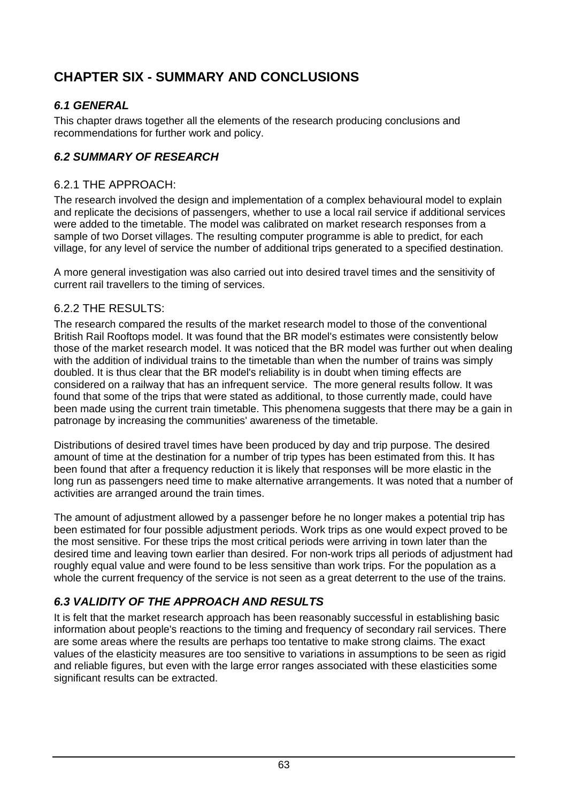# **CHAPTER SIX - SUMMARY AND CONCLUSIONS**

# *6.1 GENERAL*

This chapter draws together all the elements of the research producing conclusions and recommendations for further work and policy.

# *6.2 SUMMARY OF RESEARCH*

#### 6.2.1 THE APPROACH:

The research involved the design and implementation of a complex behavioural model to explain and replicate the decisions of passengers, whether to use a local rail service if additional services were added to the timetable. The model was calibrated on market research responses from a sample of two Dorset villages. The resulting computer programme is able to predict, for each village, for any level of service the number of additional trips generated to a specified destination.

A more general investigation was also carried out into desired travel times and the sensitivity of current rail travellers to the timing of services.

#### 6.2.2 THE RESULTS:

The research compared the results of the market research model to those of the conventional British Rail Rooftops model. It was found that the BR model's estimates were consistently below those of the market research model. It was noticed that the BR model was further out when dealing with the addition of individual trains to the timetable than when the number of trains was simply doubled. It is thus clear that the BR model's reliability is in doubt when timing effects are considered on a railway that has an infrequent service. The more general results follow. It was found that some of the trips that were stated as additional, to those currently made, could have been made using the current train timetable. This phenomena suggests that there may be a gain in patronage by increasing the communities' awareness of the timetable.

Distributions of desired travel times have been produced by day and trip purpose. The desired amount of time at the destination for a number of trip types has been estimated from this. It has been found that after a frequency reduction it is likely that responses will be more elastic in the long run as passengers need time to make alternative arrangements. It was noted that a number of activities are arranged around the train times.

The amount of adjustment allowed by a passenger before he no longer makes a potential trip has been estimated for four possible adjustment periods. Work trips as one would expect proved to be the most sensitive. For these trips the most critical periods were arriving in town later than the desired time and leaving town earlier than desired. For non-work trips all periods of adjustment had roughly equal value and were found to be less sensitive than work trips. For the population as a whole the current frequency of the service is not seen as a great deterrent to the use of the trains.

# *6.3 VALIDITY OF THE APPROACH AND RESULTS*

It is felt that the market research approach has been reasonably successful in establishing basic information about people's reactions to the timing and frequency of secondary rail services. There are some areas where the results are perhaps too tentative to make strong claims. The exact values of the elasticity measures are too sensitive to variations in assumptions to be seen as rigid and reliable figures, but even with the large error ranges associated with these elasticities some significant results can be extracted.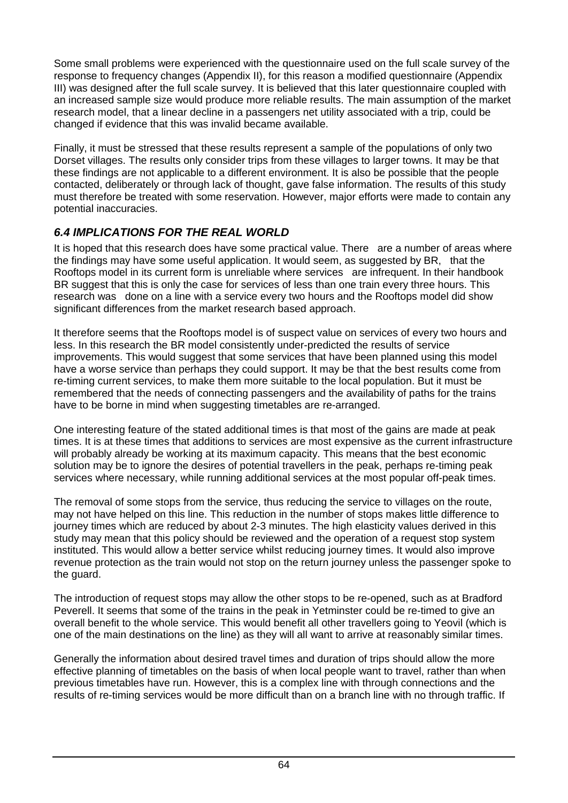Some small problems were experienced with the questionnaire used on the full scale survey of the response to frequency changes (Appendix II), for this reason a modified questionnaire (Appendix III) was designed after the full scale survey. It is believed that this later questionnaire coupled with an increased sample size would produce more reliable results. The main assumption of the market research model, that a linear decline in a passengers net utility associated with a trip, could be changed if evidence that this was invalid became available.

Finally, it must be stressed that these results represent a sample of the populations of only two Dorset villages. The results only consider trips from these villages to larger towns. It may be that these findings are not applicable to a different environment. It is also be possible that the people contacted, deliberately or through lack of thought, gave false information. The results of this study must therefore be treated with some reservation. However, major efforts were made to contain any potential inaccuracies.

# *6.4 IMPLICATIONS FOR THE REAL WORLD*

It is hoped that this research does have some practical value. There are a number of areas where the findings may have some useful application. It would seem, as suggested by BR, that the Rooftops model in its current form is unreliable where services are infrequent. In their handbook BR suggest that this is only the case for services of less than one train every three hours. This research was done on a line with a service every two hours and the Rooftops model did show significant differences from the market research based approach.

It therefore seems that the Rooftops model is of suspect value on services of every two hours and less. In this research the BR model consistently under-predicted the results of service improvements. This would suggest that some services that have been planned using this model have a worse service than perhaps they could support. It may be that the best results come from re-timing current services, to make them more suitable to the local population. But it must be remembered that the needs of connecting passengers and the availability of paths for the trains have to be borne in mind when suggesting timetables are re-arranged.

One interesting feature of the stated additional times is that most of the gains are made at peak times. It is at these times that additions to services are most expensive as the current infrastructure will probably already be working at its maximum capacity. This means that the best economic solution may be to ignore the desires of potential travellers in the peak, perhaps re-timing peak services where necessary, while running additional services at the most popular off-peak times.

The removal of some stops from the service, thus reducing the service to villages on the route, may not have helped on this line. This reduction in the number of stops makes little difference to journey times which are reduced by about 2-3 minutes. The high elasticity values derived in this study may mean that this policy should be reviewed and the operation of a request stop system instituted. This would allow a better service whilst reducing journey times. It would also improve revenue protection as the train would not stop on the return journey unless the passenger spoke to the guard.

The introduction of request stops may allow the other stops to be re-opened, such as at Bradford Peverell. It seems that some of the trains in the peak in Yetminster could be re-timed to give an overall benefit to the whole service. This would benefit all other travellers going to Yeovil (which is one of the main destinations on the line) as they will all want to arrive at reasonably similar times.

Generally the information about desired travel times and duration of trips should allow the more effective planning of timetables on the basis of when local people want to travel, rather than when previous timetables have run. However, this is a complex line with through connections and the results of re-timing services would be more difficult than on a branch line with no through traffic. If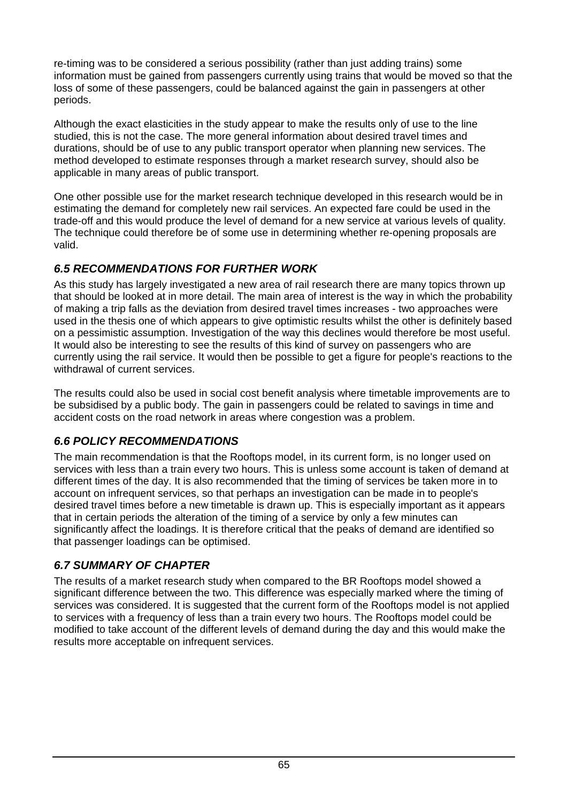re-timing was to be considered a serious possibility (rather than just adding trains) some information must be gained from passengers currently using trains that would be moved so that the loss of some of these passengers, could be balanced against the gain in passengers at other periods.

Although the exact elasticities in the study appear to make the results only of use to the line studied, this is not the case. The more general information about desired travel times and durations, should be of use to any public transport operator when planning new services. The method developed to estimate responses through a market research survey, should also be applicable in many areas of public transport.

One other possible use for the market research technique developed in this research would be in estimating the demand for completely new rail services. An expected fare could be used in the trade-off and this would produce the level of demand for a new service at various levels of quality. The technique could therefore be of some use in determining whether re-opening proposals are valid.

# *6.5 RECOMMENDATIONS FOR FURTHER WORK*

As this study has largely investigated a new area of rail research there are many topics thrown up that should be looked at in more detail. The main area of interest is the way in which the probability of making a trip falls as the deviation from desired travel times increases - two approaches were used in the thesis one of which appears to give optimistic results whilst the other is definitely based on a pessimistic assumption. Investigation of the way this declines would therefore be most useful. It would also be interesting to see the results of this kind of survey on passengers who are currently using the rail service. It would then be possible to get a figure for people's reactions to the withdrawal of current services.

The results could also be used in social cost benefit analysis where timetable improvements are to be subsidised by a public body. The gain in passengers could be related to savings in time and accident costs on the road network in areas where congestion was a problem.

# *6.6 POLICY RECOMMENDATIONS*

The main recommendation is that the Rooftops model, in its current form, is no longer used on services with less than a train every two hours. This is unless some account is taken of demand at different times of the day. It is also recommended that the timing of services be taken more in to account on infrequent services, so that perhaps an investigation can be made in to people's desired travel times before a new timetable is drawn up. This is especially important as it appears that in certain periods the alteration of the timing of a service by only a few minutes can significantly affect the loadings. It is therefore critical that the peaks of demand are identified so that passenger loadings can be optimised.

# *6.7 SUMMARY OF CHAPTER*

The results of a market research study when compared to the BR Rooftops model showed a significant difference between the two. This difference was especially marked where the timing of services was considered. It is suggested that the current form of the Rooftops model is not applied to services with a frequency of less than a train every two hours. The Rooftops model could be modified to take account of the different levels of demand during the day and this would make the results more acceptable on infrequent services.